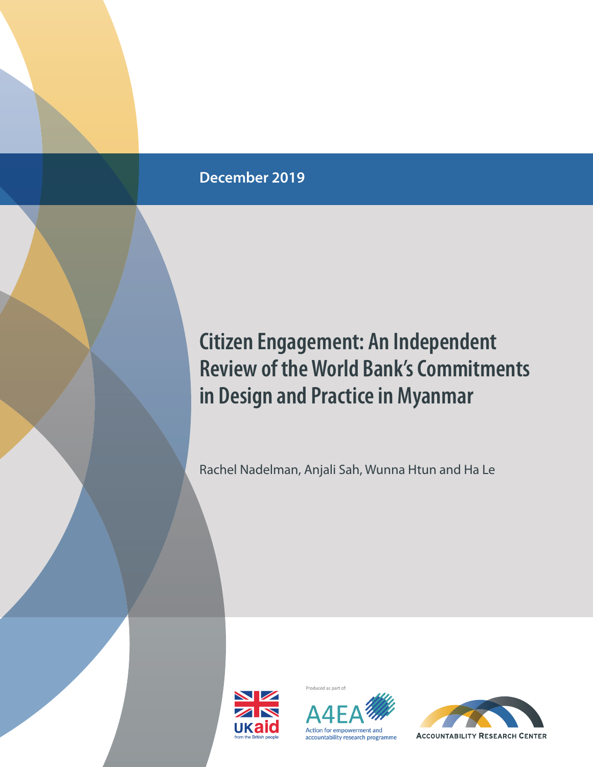## **December 2019**

## **Citizen Engagement: An Independent Review of the World Bank's Commitments in Design and Practice in Myanmar**

Rachel Nadelman, Anjali Sah, Wunna Htun and Ha Le





Produced as part of

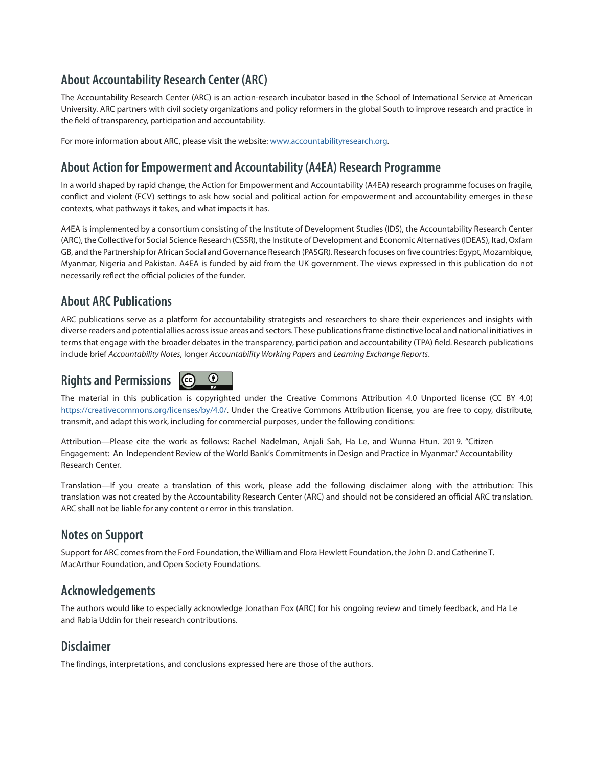## **About Accountability Research Center (ARC)**

The Accountability Research Center (ARC) is an action-research incubator based in the School of International Service at American University. ARC partners with civil society organizations and policy reformers in the global South to improve research and practice in the field of transparency, participation and accountability.

For more information about ARC, please visit the website: [www.accountabilityresearch.org](http://www.accountabilityresearch.org).

## **About Action for Empowerment and Accountability (A4EA) Research Programme**

In a world shaped by rapid change, the Action for Empowerment and Accountability (A4EA) research programme focuses on fragile, conflict and violent (FCV) settings to ask how social and political action for empowerment and accountability emerges in these contexts, what pathways it takes, and what impacts it has.

A4EA is implemented by a consortium consisting of the Institute of Development Studies (IDS), the Accountability Research Center (ARC), the Collective for Social Science Research (CSSR), the Institute of Development and Economic Alternatives (IDEAS), Itad, Oxfam GB, and the Partnership for African Social and Governance Research (PASGR). Research focuses on five countries: Egypt, Mozambique, Myanmar, Nigeria and Pakistan. A4EA is funded by aid from the UK government. The views expressed in this publication do not necessarily reflect the official policies of the funder.

## **About ARC Publications**

ARC publications serve as a platform for accountability strategists and researchers to share their experiences and insights with diverse readers and potential allies across issue areas and sectors. These publications frame distinctive local and national initiatives in terms that engage with the broader debates in the transparency, participation and accountability (TPA) field. Research publications include brief *Accountability Notes*, longer *Accountability Working Papers* and *Learning Exchange Reports*.

#### $\odot$ **Rights and Permissions**  $|$  (cc)

The material in this publication is copyrighted under the Creative Commons Attribution 4.0 Unported license (CC BY 4.0) <https://creativecommons.org/licenses/by/4.0/>. Under the Creative Commons Attribution license, you are free to copy, distribute, transmit, and adapt this work, including for commercial purposes, under the following conditions:

Attribution—Please cite the work as follows: Rachel Nadelman, Anjali Sah, Ha Le, and Wunna Htun. 2019. "Citizen Engagement: An Independent Review of the World Bank's Commitments in Design and Practice in Myanmar." Accountability Research Center.

Translation—If you create a translation of this work, please add the following disclaimer along with the attribution: This translation was not created by the Accountability Research Center (ARC) and should not be considered an official ARC translation. ARC shall not be liable for any content or error in this translation.

## **Notes on Support**

Support for ARC comes from the Ford Foundation, the William and Flora Hewlett Foundation, the John D. and Catherine T. MacArthur Foundation, and Open Society Foundations.

## **Acknowledgements**

The authors would like to especially acknowledge Jonathan Fox (ARC) for his ongoing review and timely feedback, and Ha Le and Rabia Uddin for their research contributions.

## **Disclaimer**

The findings, interpretations, and conclusions expressed here are those of the authors.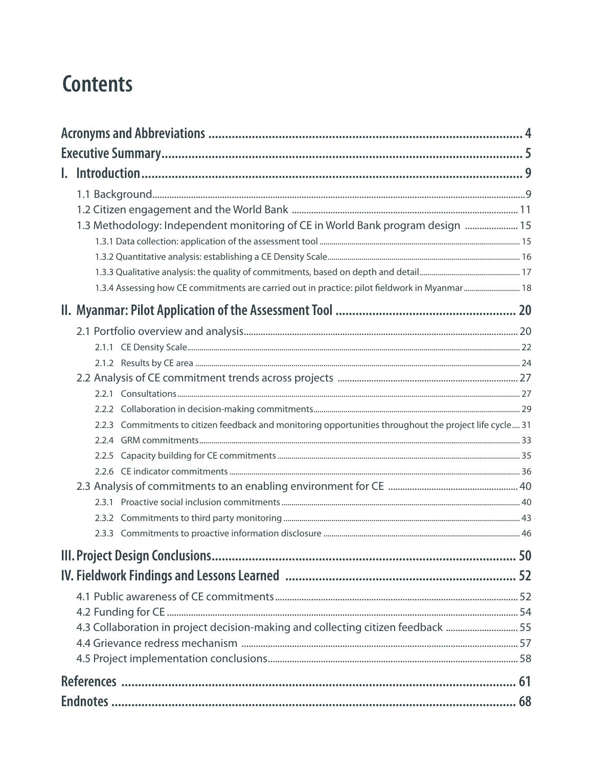## **Contents**

| 15. 1.3 Methodology: Independent monitoring of CE in World Bank program design  15                      |  |
|---------------------------------------------------------------------------------------------------------|--|
|                                                                                                         |  |
|                                                                                                         |  |
| 1.3.4 Assessing how CE commitments are carried out in practice: pilot fieldwork in Myanmar 18           |  |
|                                                                                                         |  |
|                                                                                                         |  |
|                                                                                                         |  |
|                                                                                                         |  |
|                                                                                                         |  |
|                                                                                                         |  |
|                                                                                                         |  |
|                                                                                                         |  |
| 2.2.3 Commitments to citizen feedback and monitoring opportunities throughout the project life cycle 31 |  |
|                                                                                                         |  |
|                                                                                                         |  |
|                                                                                                         |  |
|                                                                                                         |  |
|                                                                                                         |  |
|                                                                                                         |  |
|                                                                                                         |  |
|                                                                                                         |  |
|                                                                                                         |  |
|                                                                                                         |  |
|                                                                                                         |  |
| 4.3 Collaboration in project decision-making and collecting citizen feedback  55                        |  |
|                                                                                                         |  |
|                                                                                                         |  |
|                                                                                                         |  |
|                                                                                                         |  |
|                                                                                                         |  |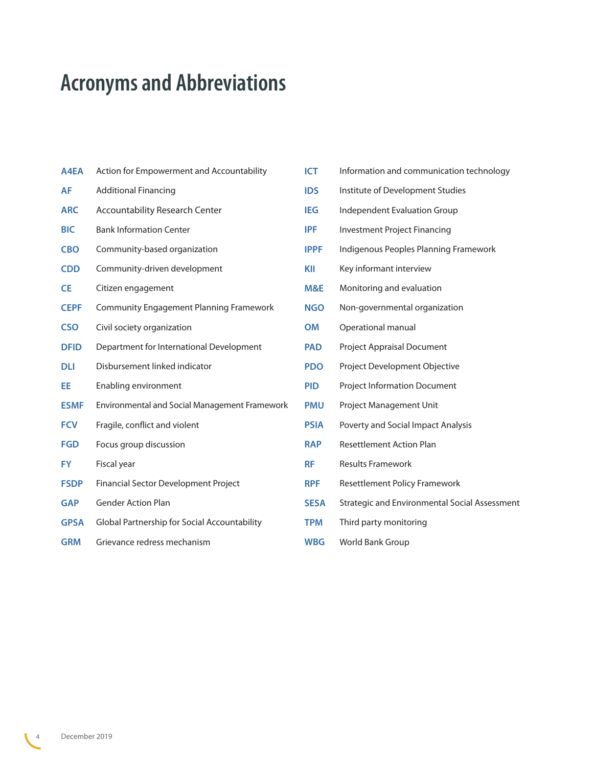# <span id="page-3-0"></span>**Acronyms and Abbreviations**

| A4EA        | Action for Empowerment and Accountability      |
|-------------|------------------------------------------------|
| AF          | <b>Additional Financing</b>                    |
| <b>ARC</b>  | <b>Accountability Research Center</b>          |
| <b>BIC</b>  | <b>Bank Information Center</b>                 |
| <b>CBO</b>  | Community-based organization                   |
| <b>CDD</b>  | Community-driven development                   |
| <b>CE</b>   | Citizen engagement                             |
| <b>CEPF</b> | <b>Community Engagement Planning Framework</b> |
| <b>CSO</b>  | Civil society organization                     |
| <b>DFID</b> | Department for International Development       |
| dli         | Disbursement linked indicator                  |
| EE.         | Enabling environment                           |
| <b>ESMF</b> | Environmental and Social Management Framework  |
| <b>FCV</b>  | Fragile, conflict and violent                  |
| <b>FGD</b>  | Focus group discussion                         |
| <b>FY</b>   | Fiscal year                                    |
| <b>FSDP</b> | Financial Sector Development Project           |
| <b>GAP</b>  | <b>Gender Action Plan</b>                      |
| <b>GPSA</b> | Global Partnership for Social Accountability   |
| <b>GRM</b>  | Grievance redress mechanism                    |

| <b>ICT</b>  | Information and communication technology      |
|-------------|-----------------------------------------------|
| <b>IDS</b>  | Institute of Development Studies              |
| IEG         | <b>Independent Evaluation Group</b>           |
| <b>IPF</b>  | <b>Investment Project Financing</b>           |
| <b>IPPF</b> | Indigenous Peoples Planning Framework         |
| KII         | Key informant interview                       |
| M&E         | Monitoring and evaluation                     |
| <b>NGO</b>  | Non-governmental organization                 |
| <b>OM</b>   | Operational manual                            |
| <b>PAD</b>  | <b>Project Appraisal Document</b>             |
| <b>PDO</b>  | Project Development Objective                 |
| <b>PID</b>  | <b>Project Information Document</b>           |
| <b>PMU</b>  | Project Management Unit                       |
| <b>PSIA</b> | Poverty and Social Impact Analysis            |
| <b>RAP</b>  | <b>Resettlement Action Plan</b>               |
| <b>RF</b>   | <b>Results Framework</b>                      |
| <b>RPF</b>  | <b>Resettlement Policy Framework</b>          |
| <b>SESA</b> | Strategic and Environmental Social Assessment |
| <b>TPM</b>  | Third party monitoring                        |
| <b>WBG</b>  | World Bank Group                              |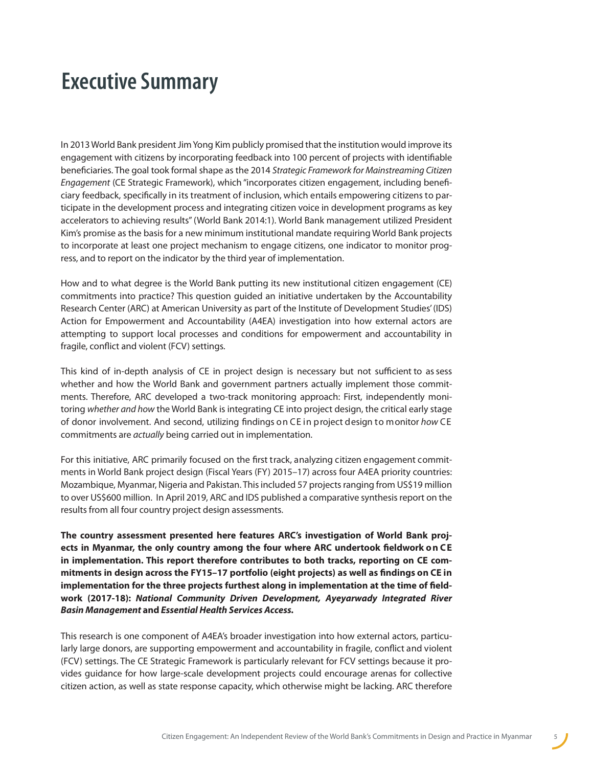## <span id="page-4-0"></span>**Executive Summary**

In 2013 World Bank president Jim Yong Kim publicly promised that the institution would improve its engagement with citizens by incorporating feedback into 100 percent of projects with identifiable beneficiaries. The goal took formal shape as the 2014 *Strategic Framework for Mainstreaming Citizen Engagement* (CE Strategic Framework), which "incorporates citizen engagement, including beneficiary feedback, specifically in its treatment of inclusion, which entails empowering citizens to participate in the development process and integrating citizen voice in development programs as key accelerators to achieving results" (World Bank 2014:1). World Bank management utilized President Kim's promise as the basis for a new minimum institutional mandate requiring World Bank projects to incorporate at least one project mechanism to engage citizens, one indicator to monitor progress, and to report on the indicator by the third year of implementation.

How and to what degree is the World Bank putting its new institutional citizen engagement (CE) commitments into practice? This question guided an initiative undertaken by the Accountability Research Center (ARC) at American University as part of the Institute of Development Studies' (IDS) Action for Empowerment and Accountability (A4EA) investigation into how external actors are attempting to support local processes and conditions for empowerment and accountability in fragile, conflict and violent (FCV) settings.

This kind of in-depth analysis of CE in project design is necessary but not sufficient to as sess whether and how the World Bank and government partners actually implement those commitments. Therefore, ARC developed a two-track monitoring approach: First, independently monitoring *whether and how* the World Bank is integrating CE into project design, the critical early stage of donor involvement. And second, utilizing findings on CE in project design to monitor *how* CE commitments are *actually* being carried out in implementation.

For this initiative, ARC primarily focused on the first track, analyzing citizen engagement commitments in World Bank project design (Fiscal Years (FY) 2015–17) across four A4EA priority countries: Mozambique, Myanmar, Nigeria and Pakistan. This included 57 projects ranging from US\$19 million to over US\$600 million. In April 2019, ARC and IDS published a comparative synthesis report on the results from all four country project design assessments.

**The country assessment presented here features ARC's investigation of World Bank proj**ects in Myanmar, the only country among the four where ARC undertook fieldwork on CE **in implementation. This report therefore contributes to both tracks, reporting on CE commitments in design across the FY15–17 portfolio (eight projects) as well as findings on CE in implementation for the three projects furthest along in implementation at the time of fieldwork (2017-18):** *National Community Driven Development, Ayeyarwady Integrated River Basin Management* **and** *Essential Health Services Access.*

This research is one component of A4EA's broader investigation into how external actors, particularly large donors, are supporting empowerment and accountability in fragile, conflict and violent (FCV) settings. The CE Strategic Framework is particularly relevant for FCV settings because it provides guidance for how large-scale development projects could encourage arenas for collective citizen action, as well as state response capacity, which otherwise might be lacking. ARC therefore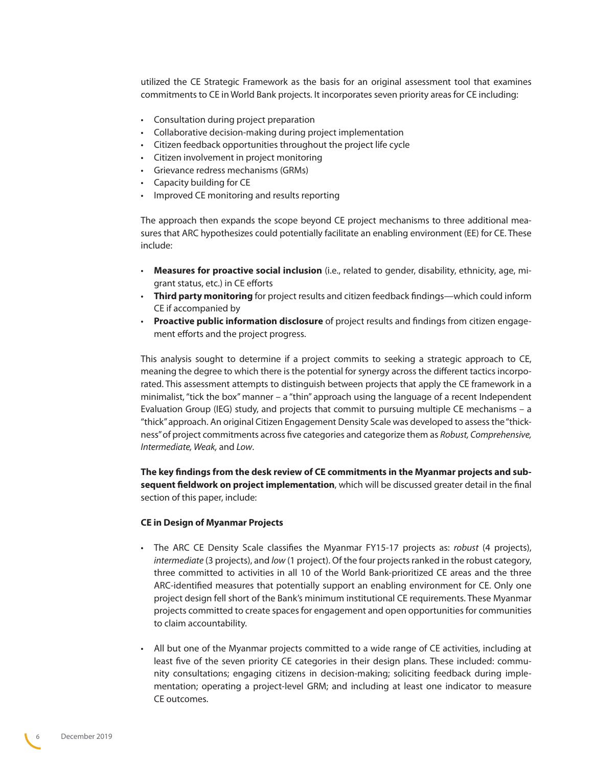utilized the CE Strategic Framework as the basis for an original assessment tool that examines commitments to CE in World Bank projects. It incorporates seven priority areas for CE including:

- Consultation during project preparation
- Collaborative decision-making during project implementation
- Citizen feedback opportunities throughout the project life cycle
- Citizen involvement in project monitoring
- Grievance redress mechanisms (GRMs)
- Capacity building for CE
- Improved CE monitoring and results reporting

The approach then expands the scope beyond CE project mechanisms to three additional measures that ARC hypothesizes could potentially facilitate an enabling environment (EE) for CE. These include:

- **Measures for proactive social inclusion** (i.e., related to gender, disability, ethnicity, age, migrant status, etc.) in CE efforts
- **Third party monitoring** for project results and citizen feedback findings—which could inform CE if accompanied by
- **Proactive public information disclosure** of project results and findings from citizen engagement efforts and the project progress.

This analysis sought to determine if a project commits to seeking a strategic approach to CE, meaning the degree to which there is the potential for synergy across the different tactics incorporated. This assessment attempts to distinguish between projects that apply the CE framework in a minimalist, "tick the box" manner  $-$  a "thin" approach using the language of a recent Independent Evaluation Group (IEG) study, and projects that commit to pursuing multiple CE mechanisms – a "thick" approach. An original Citizen Engagement Density Scale was developed to assess the "thickness" of project commitments across five categories and categorize them as *Robust, Comprehensive, Intermediate, Weak,* and *Low*.

**The key findings from the desk review of CE commitments in the Myanmar projects and subsequent fieldwork on project implementation**, which will be discussed greater detail in the final section of this paper, include:

#### **CE in Design of Myanmar Projects**

- The ARC CE Density Scale classifies the Myanmar FY15-17 projects as: *robust* (4 projects), *intermediate* (3 projects), and *low* (1 project). Of the four projects ranked in the robust category, three committed to activities in all 10 of the World Bank-prioritized CE areas and the three ARC-identified measures that potentially support an enabling environment for CE. Only one project design fell short of the Bank's minimum institutional CE requirements. These Myanmar projects committed to create spaces for engagement and open opportunities for communities to claim accountability.
- All but one of the Myanmar projects committed to a wide range of CE activities, including at least five of the seven priority CE categories in their design plans. These included: community consultations; engaging citizens in decision-making; soliciting feedback during implementation; operating a project-level GRM; and including at least one indicator to measure CE outcomes.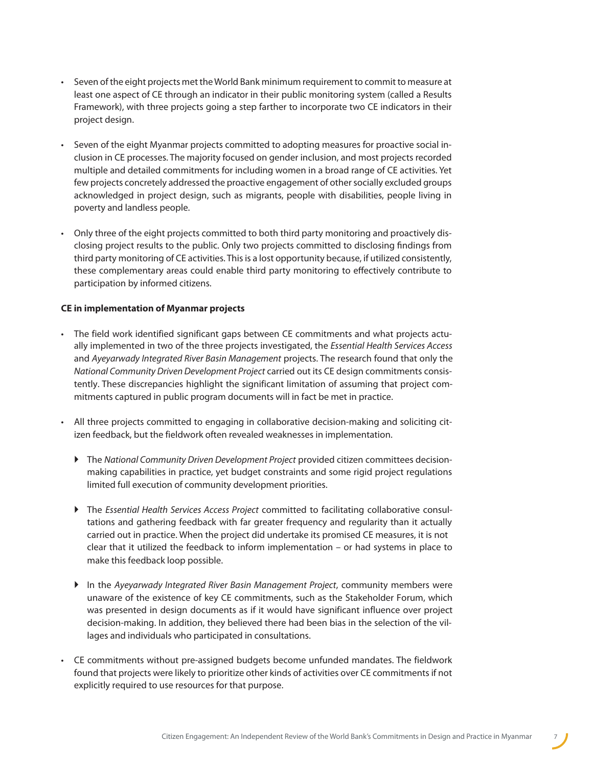- Seven of the eight projects met the World Bank minimum requirement to commit to measure at least one aspect of CE through an indicator in their public monitoring system (called a Results Framework), with three projects going a step farther to incorporate two CE indicators in their project design.
- Seven of the eight Myanmar projects committed to adopting measures for proactive social inclusion in CE processes. The majority focused on gender inclusion, and most projects recorded multiple and detailed commitments for including women in a broad range of CE activities. Yet few projects concretely addressed the proactive engagement of other socially excluded groups acknowledged in project design, such as migrants, people with disabilities, people living in poverty and landless people.
- Only three of the eight projects committed to both third party monitoring and proactively disclosing project results to the public. Only two projects committed to disclosing findings from third party monitoring of CE activities. This is a lost opportunity because, if utilized consistently, these complementary areas could enable third party monitoring to effectively contribute to participation by informed citizens.

#### **CE in implementation of Myanmar projects**

- The field work identified significant gaps between CE commitments and what projects actually implemented in two of the three projects investigated, the *Essential Health Services Access* and *Ayeyarwady Integrated River Basin Management* projects. The research found that only the *National Community Driven Development Project* carried out its CE design commitments consistently. These discrepancies highlight the significant limitation of assuming that project commitments captured in public program documents will in fact be met in practice.
- All three projects committed to engaging in collaborative decision-making and soliciting citizen feedback, but the fieldwork often revealed weaknesses in implementation.
	- ` The *National Community Driven Development Project* provided citizen committees decisionmaking capabilities in practice, yet budget constraints and some rigid project regulations limited full execution of community development priorities.
	- ` The *Essential Health Services Access Project* committed to facilitating collaborative consultations and gathering feedback with far greater frequency and regularity than it actually carried out in practice. When the project did undertake its promised CE measures, it is not clear that it utilized the feedback to inform implementation – or had systems in place to make this feedback loop possible.
	- ` In the *Ayeyarwady Integrated River Basin Management Project*, community members were unaware of the existence of key CE commitments, such as the Stakeholder Forum, which was presented in design documents as if it would have significant influence over project decision-making. In addition, they believed there had been bias in the selection of the villages and individuals who participated in consultations.
- CE commitments without pre-assigned budgets become unfunded mandates. The fieldwork found that projects were likely to prioritize other kinds of activities over CE commitments if not explicitly required to use resources for that purpose.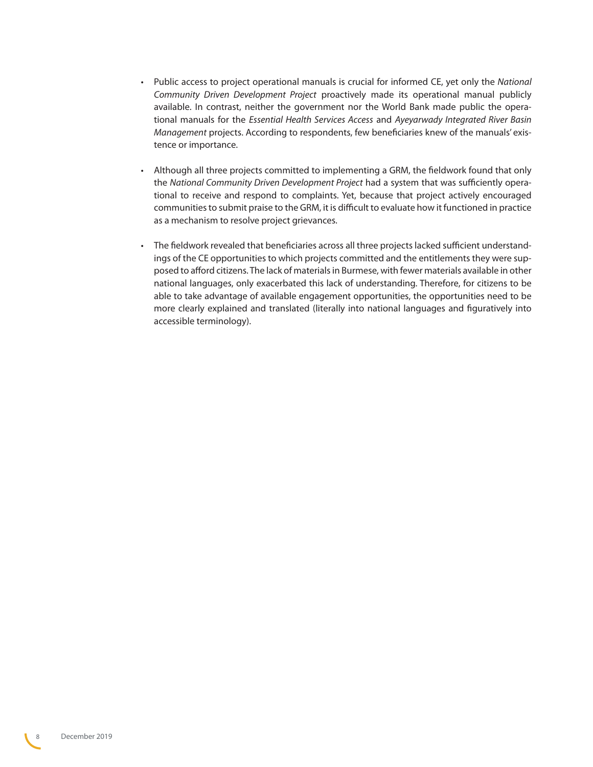- Public access to project operational manuals is crucial for informed CE, yet only the *National Community Driven Development Project* proactively made its operational manual publicly available. In contrast, neither the government nor the World Bank made public the operational manuals for the *Essential Health Services Access* and *Ayeyarwady Integrated River Basin Management* projects. According to respondents, few beneficiaries knew of the manuals' existence or importance.
- Although all three projects committed to implementing a GRM, the fieldwork found that only the *National Community Driven Development Project* had a system that was sufficiently operational to receive and respond to complaints. Yet, because that project actively encouraged communities to submit praise to the GRM, it is difficult to evaluate how it functioned in practice as a mechanism to resolve project grievances.
- The fieldwork revealed that beneficiaries across all three projects lacked sufficient understandings of the CE opportunities to which projects committed and the entitlements they were supposed to afford citizens. The lack of materials in Burmese, with fewer materials available in other national languages, only exacerbated this lack of understanding. Therefore, for citizens to be able to take advantage of available engagement opportunities, the opportunities need to be more clearly explained and translated (literally into national languages and figuratively into accessible terminology).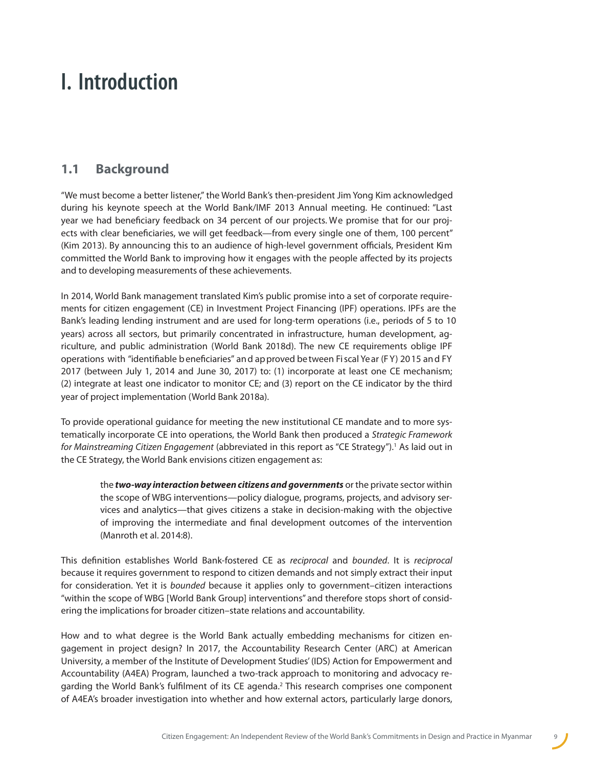## <span id="page-8-0"></span>**I. Introduction**

## **1.1 Background**

"We must become a better listener," the World Bank's then-president Jim Yong Kim acknowledged during his keynote speech at the World Bank/IMF 2013 Annual meeting. He continued: "Last year we had beneficiary feedback on 34 percent of our projects. We promise that for our projects with clear beneficiaries, we will get feedback—from every single one of them, 100 percent" (Kim 2013). By announcing this to an audience of high-level government officials, President Kim committed the World Bank to improving how it engages with the people affected by its projects and to developing measurements of these achievements.

In 2014, World Bank management translated Kim's public promise into a set of corporate requirements for citizen engagement (CE) in Investment Project Financing (IPF) operations. IPFs are the Bank's leading lending instrument and are used for long-term operations (i.e., periods of 5 to 10 years) across all sectors, but primarily concentrated in infrastructure, human development, agriculture, and public administration (World Bank 2018d). The new CE requirements oblige IPF operations with "identifiable b eneficiaries" an d ap proved be tween Fi scal Ye ar (F Y) 20 15 an d FY 2017 (between July 1, 2014 and June 30, 2017) to: (1) incorporate at least one CE mechanism; (2) integrate at least one indicator to monitor CE; and (3) report on the CE indicator by the third year of project implementation (World Bank 2018a).

To provide operational guidance for meeting the new institutional CE mandate and to more systematically incorporate CE into operations, the World Bank then produced a *Strategic Framework for Mainstreaming Citizen Engagement* (abbreviated in this report as"CE Strategy").<sup>1</sup> As laid out in the CE Strategy, the World Bank envisions citizen engagement as:

the *two-way interaction between citizens and governments* or the private sector within the scope of WBG interventions—policy dialogue, programs, projects, and advisory services and analytics—that gives citizens a stake in decision-making with the objective of improving the intermediate and final development outcomes of the intervention (Manroth et al. 2014:8).

This definition establishes World Bank-fostered CE as *reciprocal* and *bounded*. It is *reciprocal* because it requires government to respond to citizen demands and not simply extract their input for consideration. Yet it is *bounded* because it applies only to government–citizen interactions "within the scope of WBG [World Bank Group] interventions" and therefore stops short of considering the implications for broader citizen–state relations and accountability.

How and to what degree is the World Bank actually embedding mechanisms for citizen engagement in project design? In 2017, the Accountability Research Center (ARC) at American University, a member of the Institute of Development Studies' (IDS) Action for Empowerment and Accountability (A4EA) Program, launched a two-track approach to monitoring and advocacy regarding the World Bank's fulfilment of its CE agenda.<sup>2</sup> This research comprises one component of A4EA's broader investigation into whether and how external actors, particularly large donors,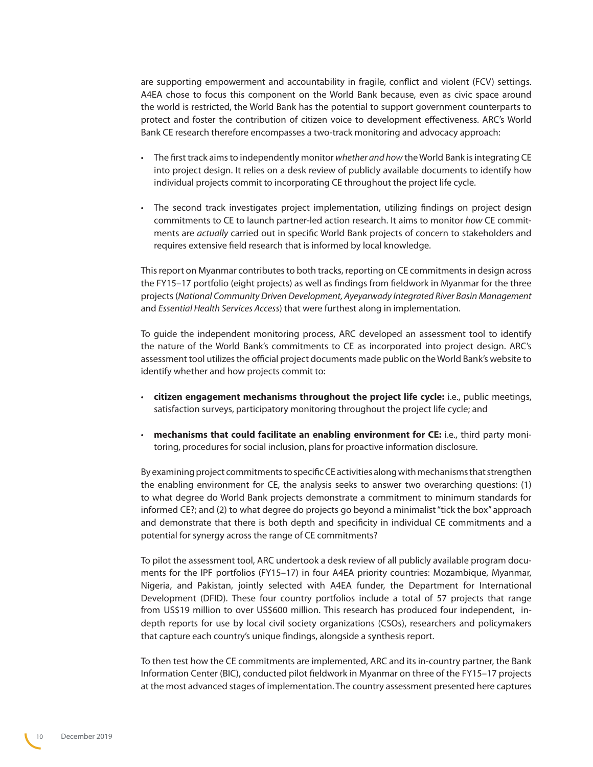are supporting empowerment and accountability in fragile, conflict and violent (FCV) settings. A4EA chose to focus this component on the World Bank because, even as civic space around the world is restricted, the World Bank has the potential to support government counterparts to protect and foster the contribution of citizen voice to development effectiveness. ARC's World Bank CE research therefore encompasses a two-track monitoring and advocacy approach:

- The first track aims to independently monitor *whether and how* the World Bank is integrating CE into project design. It relies on a desk review of publicly available documents to identify how individual projects commit to incorporating CE throughout the project life cycle.
- The second track investigates project implementation, utilizing findings on project design commitments to CE to launch partner-led action research. It aims to monitor *how* CE commitments are *actually* carried out in specific World Bank projects of concern to stakeholders and requires extensive field research that is informed by local knowledge.

This report on Myanmar contributes to both tracks, reporting on CE commitments in design across the FY15–17 portfolio (eight projects) as well as findings from fieldwork in Myanmar for the three projects (*National Community Driven Development, Ayeyarwady Integrated River Basin Management*  and *Essential Health Services Access*) that were furthest along in implementation.

To guide the independent monitoring process, ARC developed an assessment tool to identify the nature of the World Bank's commitments to CE as incorporated into project design. ARC's assessment tool utilizes the official project documents made public on the World Bank's website to identify whether and how projects commit to:

- **citizen engagement mechanisms throughout the project life cycle:** i.e., public meetings, satisfaction surveys, participatory monitoring throughout the project life cycle; and
- **mechanisms that could facilitate an enabling environment for CE:** i.e., third party monitoring, procedures for social inclusion, plans for proactive information disclosure.

By examining project commitments to specific CE activities along with mechanisms that strengthen the enabling environment for CE, the analysis seeks to answer two overarching questions: (1) to what degree do World Bank projects demonstrate a commitment to minimum standards for informed CE?; and (2) to what degree do projects go beyond a minimalist "tick the box" approach and demonstrate that there is both depth and specificity in individual CE commitments and a potential for synergy across the range of CE commitments?

To pilot the assessment tool, ARC undertook a desk review of all publicly available program documents for the IPF portfolios (FY15–17) in four A4EA priority countries: Mozambique, Myanmar, Nigeria, and Pakistan, jointly selected with A4EA funder, the Department for International Development (DFID). These four country portfolios include a total of 57 projects that range from US\$19 million to over US\$600 million. This research has produced four independent, indepth reports for use by local civil society organizations (CSOs), researchers and policymakers that capture each country's unique findings, alongside a synthesis report.

To then test how the CE commitments are implemented, ARC and its in-country partner, the Bank Information Center (BIC), conducted pilot fieldwork in Myanmar on three of the FY15–17 projects at the most advanced stages of implementation. The country assessment presented here captures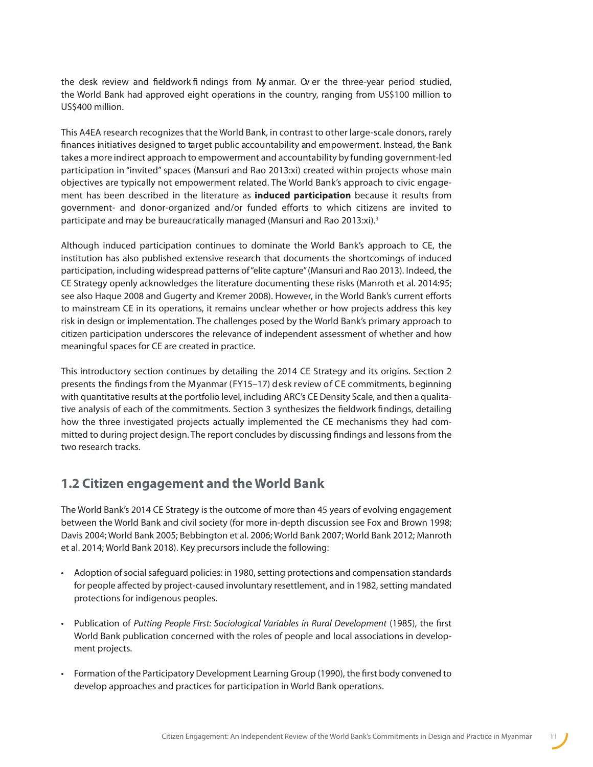<span id="page-10-0"></span>the desk review and fieldwork fi ndings from My anmar. Ov er the three-year period studied, the World Bank had approved eight operations in the country, ranging from US\$100 million to US\$400 million.

This A4EA research recognizes that the World Bank, in contrast to other large-scale donors, rarely finances initiatives designed to target public accountability and empowerment. Instead, the Bank takes a more indirect approach to empowerment and accountability by funding government-led participation in "invited" spaces (Mansuri and Rao 2013:xi) created within projects whose main objectives are typically not empowerment related. The World Bank's approach to civic engagement has been described in the literature as **induced participation** because it results from government- and donor-organized and/or funded efforts to which citizens are invited to participate and may be bureaucratically managed (Mansuri and Rao 2013:xi).<sup>3</sup>

Although induced participation continues to dominate the World Bank's approach to CE, the institution has also published extensive research that documents the shortcomings of induced participation, including widespread patterns of"elite capture" (Mansuri and Rao 2013). Indeed, the CE Strategy openly acknowledges the literature documenting these risks (Manroth et al. 2014:95; see also Haque 2008 and Gugerty and Kremer 2008). However, in the World Bank's current efforts to mainstream CE in its operations, it remains unclear whether or how projects address this key risk in design or implementation. The challenges posed by the World Bank's primary approach to citizen participation underscores the relevance of independent assessment of whether and how meaningful spaces for CE are created in practice.

This introductory section continues by detailing the 2014 CE Strategy and its origins. Section 2 presents the findings from the Myanmar (FY15–17) desk review of CE commitments, beginning with quantitative results at the portfolio level, including ARC's CE Density Scale, and then a qualitative analysis of each of the commitments. Section 3 synthesizes the fieldwork findings, detailing how the three investigated projects actually implemented the CE mechanisms they had committed to during project design. The report concludes by discussing findings and lessons from the two research tracks.

### **1.2 Citizen engagement and the World Bank**

The World Bank's 2014 CE Strategy is the outcome of more than 45 years of evolving engagement between the World Bank and civil society (for more in-depth discussion see Fox and Brown 1998; Davis 2004; World Bank 2005; Bebbington et al. 2006; World Bank 2007; World Bank 2012; Manroth et al. 2014; World Bank 2018). Key precursors include the following:

- Adoption of social safeguard policies: in 1980, setting protections and compensation standards for people affected by project-caused involuntary resettlement, and in 1982, setting mandated protections for indigenous peoples.
- Publication of *Putting People First: Sociological Variables in Rural Development* (1985), the first World Bank publication concerned with the roles of people and local associations in development projects.
- Formation of the Participatory Development Learning Group (1990), the first body convened to develop approaches and practices for participation in World Bank operations.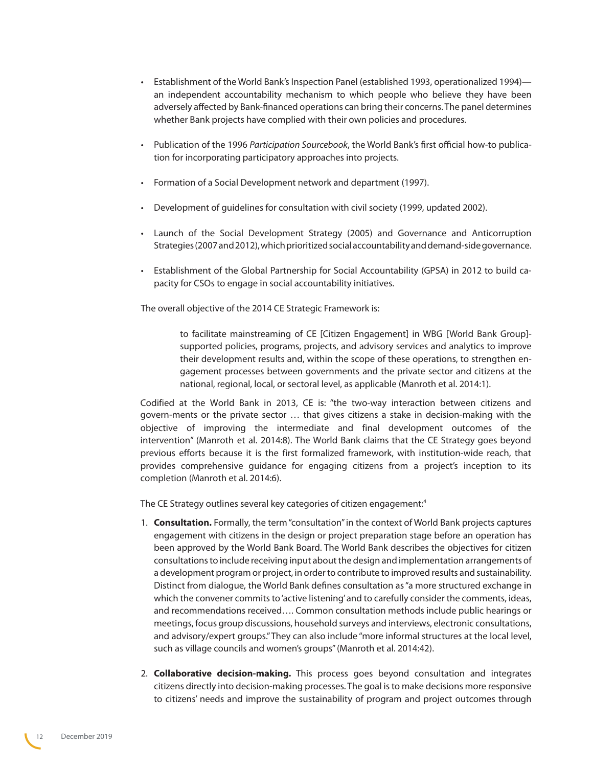- Establishment of the World Bank's Inspection Panel (established 1993, operationalized 1994) an independent accountability mechanism to which people who believe they have been adversely affected by Bank-financed operations can bring their concerns. The panel determines whether Bank projects have complied with their own policies and procedures.
- Publication of the 1996 *Participation Sourcebook*, the World Bank's first official how-to publication for incorporating participatory approaches into projects.
- Formation of a Social Development network and department (1997).
- Development of guidelines for consultation with civil society (1999, updated 2002).
- Launch of the Social Development Strategy (2005) and Governance and Anticorruption Strategies (2007 and 2012), which prioritized social accountability and demand-side governance.
- Establishment of the Global Partnership for Social Accountability (GPSA) in 2012 to build capacity for CSOs to engage in social accountability initiatives.

The overall objective of the 2014 CE Strategic Framework is:

to facilitate mainstreaming of CE [Citizen Engagement] in WBG [World Bank Group] supported policies, programs, projects, and advisory services and analytics to improve their development results and, within the scope of these operations, to strengthen engagement processes between governments and the private sector and citizens at the national, regional, local, or sectoral level, as applicable (Manroth et al. 2014:1).

Codified at the World Bank in 2013, CE is: "the two-way interaction between citizens and govern-ments or the private sector … that gives citizens a stake in decision-making with the objective of improving the intermediate and final development outcomes of the intervention" (Manroth et al. 2014:8). The World Bank claims that the CE Strategy goes beyond previous efforts because it is the first formalized framework, with institution-wide reach, that provides comprehensive guidance for engaging citizens from a project's inception to its completion (Manroth et al. 2014:6).

The CE Strategy outlines several key categories of citizen engagement:<sup>[4](#page-67-1)</sup>

- 1. **Consultation.** Formally, the term "consultation" in the context of World Bank projects captures engagement with citizens in the design or project preparation stage before an operation has been approved by the World Bank Board. The World Bank describes the objectives for citizen consultations to include receiving input about the design and implementation arrangements of a development program or project, in order to contribute to improved results and sustainability. Distinct from dialogue, the World Bank defines consultation as "a more structured exchange in which the convener commits to 'active listening' and to carefully consider the comments, ideas, and recommendations received…. Common consultation methods include public hearings or meetings, focus group discussions, household surveys and interviews, electronic consultations, and advisory/expert groups." They can also include "more informal structures at the local level, such as village councils and women's groups" (Manroth et al. 2014:42).
- 2. **Collaborative decision-making.** This process goes beyond consultation and integrates citizens directly into decision-making processes. The goal is to make decisions more responsive to citizens' needs and improve the sustainability of program and project outcomes through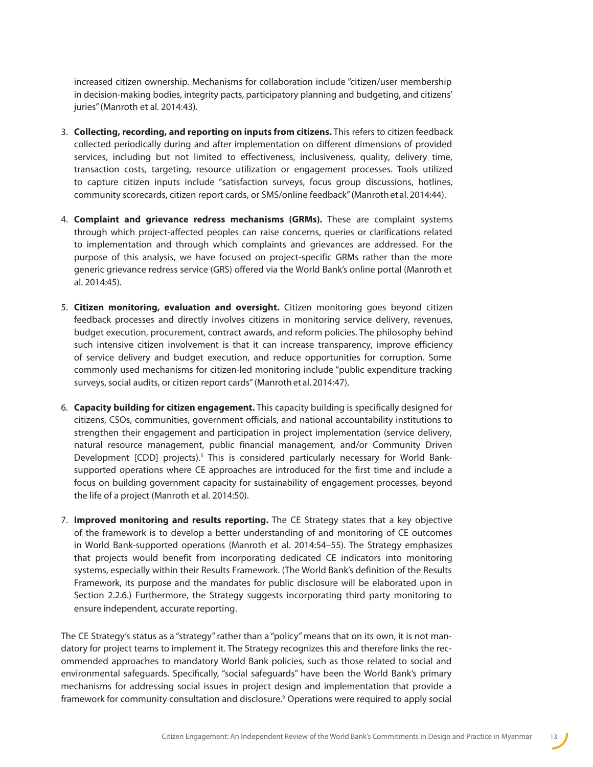increased citizen ownership. Mechanisms for collaboration include "citizen/user membership in decision-making bodies, integrity pacts, participatory planning and budgeting, and citizens' juries" (Manroth et al. 2014:43).

- 3. **Collecting, recording, and reporting on inputs from citizens.** This refers to citizen feedback collected periodically during and after implementation on different dimensions of provided services, including but not limited to effectiveness, inclusiveness, quality, delivery time, transaction costs, targeting, resource utilization or engagement processes. Tools utilized to capture citizen inputs include "satisfaction surveys, focus group discussions, hotlines, community scorecards, citizen report cards, or SMS/online feedback" (Manroth et al. 2014:44).
- 4. **Complaint and grievance redress mechanisms (GRMs).** These are complaint systems through which project-affected peoples can raise concerns, queries or clarifications related to implementation and through which complaints and grievances are addressed. For the purpose of this analysis, we have focused on project-specific GRMs rather than the more generic grievance redress service (GRS) offered via the World Bank's online portal (Manroth et al. 2014:45).
- 5. **Citizen monitoring, evaluation and oversight.** Citizen monitoring goes beyond citizen feedback processes and directly involves citizens in monitoring service delivery, revenues, budget execution, procurement, contract awards, and reform policies. The philosophy behind such intensive citizen involvement is that it can increase transparency, improve efficiency of service delivery and budget execution, and reduce opportunities for corruption. Some commonly used mechanisms for citizen-led monitoring include "public expenditure tracking surveys, social audits, or citizen report cards" (Manroth et al. 2014:47).
- 6. **Capacity building for citizen engagement.** This capacity building is specifically designed for citizens, CSOs, communities, government officials, and national accountability institutions to strengthen their engagement and participation in project implementation (service delivery, natural resource management, public financial management, and/or Community Driven Development  $[CDD]$  projects).<sup>[5](#page-68-0)</sup> This is considered particularly necessary for World Banksupported operations where CE approaches are introduced for the first time and include a focus on building government capacity for sustainability of engagement processes, beyond the life of a project (Manroth et al. 2014:50).
- 7. **Improved monitoring and results reporting.** The CE Strategy states that a key objective of the framework is to develop a better understanding of and monitoring of CE outcomes in World Bank-supported operations (Manroth et al. 2014:54–55). The Strategy emphasizes that projects would benefit from incorporating dedicated CE indicators into monitoring systems, especially within their Results Framework. (The World Bank's definition of the Results Framework, its purpose and the mandates for public disclosure will be elaborated upon in Section 2.2.6.) Furthermore, the Strategy suggests incorporating third party monitoring to ensure independent, accurate reporting.

The CE Strategy's status as a "strategy" rather than a "policy" means that on its own, it is not mandatory for project teams to implement it. The Strategy recognizes this and therefore links the recommended approaches to mandatory World Bank policies, such as those related to social and environmental safeguards. Specifically, "social safeguards" have been the World Bank's primary mechanisms for addressing social issues in project design and implementation that provide a framework for community consultation and disclosure.<sup>[6](#page-68-1)</sup> Operations were required to apply social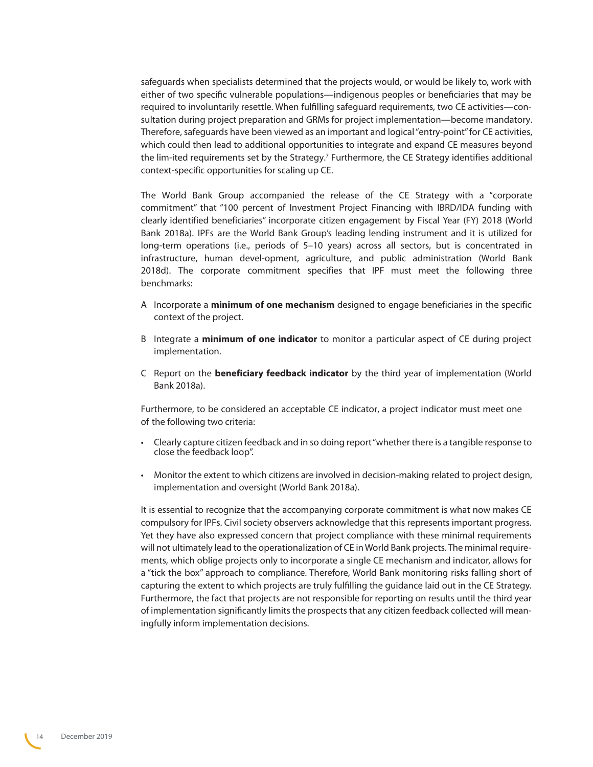safeguards when specialists determined that the projects would, or would be likely to, work with either of two specific vulnerable populations—indigenous peoples or beneficiaries that may be required to involuntarily resettle. When fulfilling safeguard requirements, two CE activities—consultation during project preparation and GRMs for project implementation—become mandatory. Therefore, safeguards have been viewed as an important and logical "entry-point" for CE activities, which could then lead to additional opportunities to integrate and expand CE measures beyond the lim-ited requirements set by the Strategy.<sup>[7](#page-68-2)</sup> Furthermore, the CE Strategy identifies additional context-specific opportunities for scaling up CE.

The World Bank Group accompanied the release of the CE Strategy with a "corporate commitment" that "100 percent of Investment Project Financing with IBRD/IDA funding with clearly identified beneficiaries" incorporate citizen engagement by Fiscal Year (FY) 2018 (World Bank 2018a). IPFs are the World Bank Group's leading lending instrument and it is utilized for long-term operations (i.e., periods of 5–10 years) across all sectors, but is concentrated in infrastructure, human devel-opment, agriculture, and public administration (World Bank 2018d). The corporate commitment specifies that IPF must meet the following three benchmarks:

- A Incorporate a **minimum of one mechanism** designed to engage beneficiaries in the specific context of the project.
- B Integrate a **minimum of one indicator** to monitor a particular aspect of CE during project implementation.
- C Report on the **beneficiary feedback indicator** by the third year of implementation (World Bank 2018a).

Furthermore, to be considered an acceptable CE indicator, a project indicator must meet one of the following two criteria:

- Clearly capture citizen feedback and in so doing report "whether there is a tangible response to close the feedback loop".
- Monitor the extent to which citizens are involved in decision-making related to project design, implementation and oversight (World Bank 2018a).

It is essential to recognize that the accompanying corporate commitment is what now makes CE compulsory for IPFs. Civil society observers acknowledge that this represents important progress. Yet they have also expressed concern that project compliance with these minimal requirements will not ultimately lead to the operationalization of CE in World Bank projects. The minimal requirements, which oblige projects only to incorporate a single CE mechanism and indicator, allows for a "tick the box" approach to compliance. Therefore, World Bank monitoring risks falling short of capturing the extent to which projects are truly fulfilling the guidance laid out in the CE Strategy. Furthermore, the fact that projects are not responsible for reporting on results until the third year of implementation significantly limits the prospects that any citizen feedback collected will meaningfully inform implementation decisions.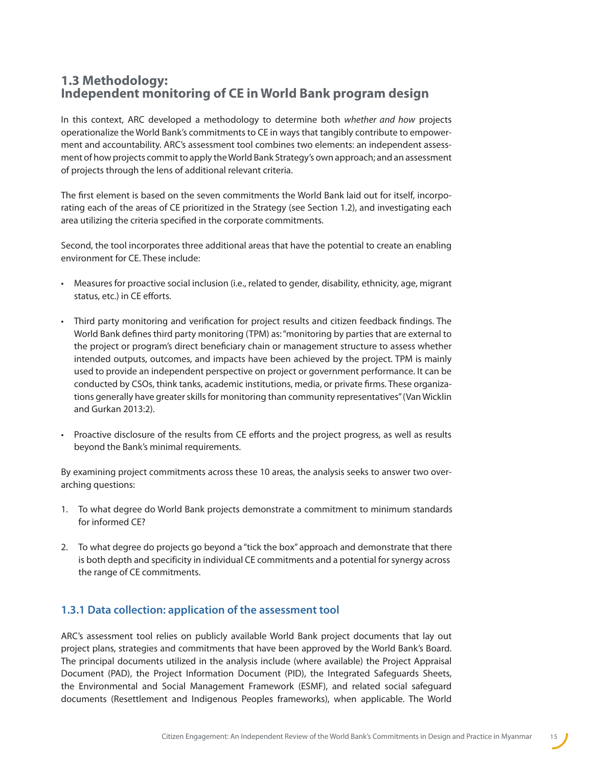### <span id="page-14-0"></span>**1.3 Methodology: Independent monitoring of CE in World Bank program design**

In this context, ARC developed a methodology to determine both *whether and how* projects operationalize the World Bank's commitments to CE in ways that tangibly contribute to empowerment and accountability. ARC's assessment tool combines two elements: an independent assessment of how projects commit to apply the World Bank Strategy's own approach; and an assessment of projects through the lens of additional relevant criteria.

The first element is based on the seven commitments the World Bank laid out for itself, incorporating each of the areas of CE prioritized in the Strategy (see Section 1.2), and investigating each area utilizing the criteria specified in the corporate commitments.

Second, the tool incorporates three additional areas that have the potential to create an enabling environment for CE. These include:

- Measures for proactive social inclusion (i.e., related to gender, disability, ethnicity, age, migrant status, etc.) in CE efforts.
- Third party monitoring and verification for project results and citizen feedback findings. The World Bank defines third party monitoring (TPM) as: "monitoring by parties that are external to the project or program's direct beneficiary chain or management structure to assess whether intended outputs, outcomes, and impacts have been achieved by the project. TPM is mainly used to provide an independent perspective on project or government performance. It can be conducted by CSOs, think tanks, academic institutions, media, or private firms. These organizations generally have greater skills for monitoring than community representatives" (Van Wicklin and Gurkan 2013:2).
- Proactive disclosure of the results from CE efforts and the project progress, as well as results beyond the Bank's minimal requirements.

By examining project commitments across these 10 areas, the analysis seeks to answer two overarching questions:

- 1. To what degree do World Bank projects demonstrate a commitment to minimum standards for informed CE?
- 2. To what degree do projects go beyond a "tick the box" approach and demonstrate that there is both depth and specificity in individual CE commitments and a potential for synergy across the range of CE commitments.

### **1.3.1 Data collection: application of the assessment tool**

ARC's assessment tool relies on publicly available World Bank project documents that lay out project plans, strategies and commitments that have been approved by the World Bank's Board. The principal documents utilized in the analysis include (where available) the Project Appraisal Document (PAD), the Project Information Document (PID), the Integrated Safeguards Sheets, the Environmental and Social Management Framework (ESMF), and related social safeguard documents (Resettlement and Indigenous Peoples frameworks), when applicable. The World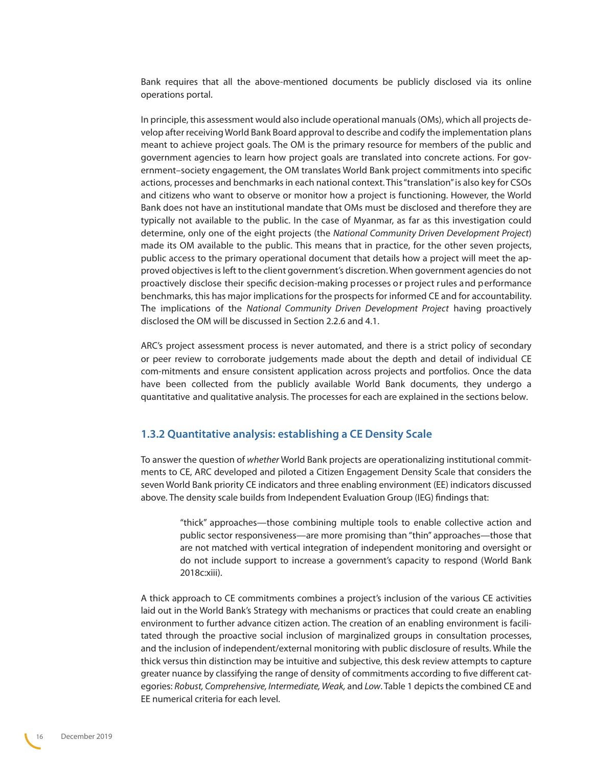<span id="page-15-0"></span>Bank requires that all the above-mentioned documents be publicly disclosed via its online operations portal.

In principle, this assessment would also include operational manuals (OMs), which all projects develop after receiving World Bank Board approval to describe and codify the implementation plans meant to achieve project goals. The OM is the primary resource for members of the public and government agencies to learn how project goals are translated into concrete actions. For government–society engagement, the OM translates World Bank project commitments into specific actions, processes and benchmarks in each national context. This"translation" is also key for CSOs and citizens who want to observe or monitor how a project is functioning. However, the World Bank does not have an institutional mandate that OMs must be disclosed and therefore they are typically not available to the public. In the case of Myanmar, as far as this investigation could determine, only one of the eight projects (the *National Community Driven Development Project*) made its OM available to the public. This means that in practice, for the other seven projects, public access to the primary operational document that details how a project will meet the approved objectives is left to the client government's discretion. When government agencies do not proactively disclose their specific decision-making processes or project rules and performance benchmarks, this has major implications for the prospects for informed CE and for accountability. The implications of the *National Community Driven Development Project* having proactively disclosed the OM will be discussed in Section 2.2.6 and 4.1.

ARC's project assessment process is never automated, and there is a strict policy of secondary or peer review to corroborate judgements made about the depth and detail of individual CE com-mitments and ensure consistent application across projects and portfolios. Once the data have been collected from the publicly available World Bank documents, they undergo a quantitative and qualitative analysis. The processes for each are explained in the sections below.

#### **1.3.2 Quantitative analysis: establishing a CE Density Scale**

To answer the question of *whether* World Bank projects are operationalizing institutional commitments to CE, ARC developed and piloted a Citizen Engagement Density Scale that considers the seven World Bank priority CE indicators and three enabling environment (EE) indicators discussed above. The density scale builds from Independent Evaluation Group (IEG) findings that:

"thick" approaches—those combining multiple tools to enable collective action and public sector responsiveness—are more promising than "thin" approaches—those that are not matched with vertical integration of independent monitoring and oversight or do not include support to increase a government's capacity to respond (World Bank 2018c:xiii).

A thick approach to CE commitments combines a project's inclusion of the various CE activities laid out in the World Bank's Strategy with mechanisms or practices that could create an enabling environment to further advance citizen action. The creation of an enabling environment is facilitated through the proactive social inclusion of marginalized groups in consultation processes, and the inclusion of independent/external monitoring with public disclosure of results. While the thick versus thin distinction may be intuitive and subjective, this desk review attempts to capture greater nuance by classifying the range of density of commitments according to five different categories: *Robust, Comprehensive, Intermediate, Weak,* and *Low*. Table 1 depicts the combined CE and EE numerical criteria for each level.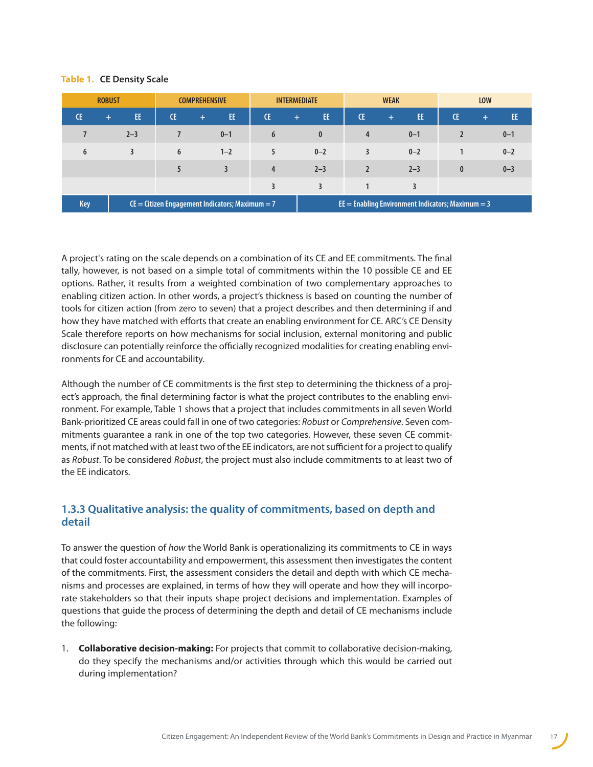#### <span id="page-16-0"></span>**Table 1. CE Density Scale**

| <b>ROBUST</b>                                                  |            | <b>COMPREHENSIVE</b> |                | <b>INTERMEDIATE</b> |            | <b>WEAK</b>    |                                                       | <b>LOW</b>       |              |
|----------------------------------------------------------------|------------|----------------------|----------------|---------------------|------------|----------------|-------------------------------------------------------|------------------|--------------|
| Œ                                                              | EE.<br>$+$ | <b>CE</b>            | EE.<br>$+$     | Œ                   | EE.<br>$+$ | <b>CE</b>      | EE.<br>$+$                                            | <b>CE</b>        | EE.<br>$\pm$ |
|                                                                | $2 - 3$    |                      | $0 - 1$        | 6                   | 0          | $\overline{4}$ | $0 - 1$                                               |                  | $0 - 1$      |
| 6                                                              | 3          | 6                    | $1 - 2$        | 5                   | $0 - 2$    | 3              | $0 - 2$                                               |                  | $0 - 2$      |
|                                                                |            | 5                    | $\overline{3}$ | 4                   | $2 - 3$    |                | $2 - 3$                                               | $\boldsymbol{0}$ | $0 - 3$      |
|                                                                |            |                      |                |                     |            |                |                                                       |                  |              |
| $C =$ Citizen Engagement Indicators; Maximum = 7<br><b>Key</b> |            |                      |                |                     |            |                | $EE =$ Enabling Environment Indicators; Maximum $=$ 3 |                  |              |

A project's rating on the scale depends on a combination of its CE and EE commitments. The final tally, however, is not based on a simple total of commitments within the 10 possible CE and EE options. Rather, it results from a weighted combination of two complementary approaches to enabling citizen action. In other words, a project's thickness is based on counting the number of tools for citizen action (from zero to seven) that a project describes and then determining if and how they have matched with efforts that create an enabling environment for CE. ARC's CE Density Scale therefore reports on how mechanisms for social inclusion, external monitoring and public disclosure can potentially reinforce the officially recognized modalities for creating enabling environments for CE and accountability.

Although the number of CE commitments is the first step to determining the thickness of a project's approach, the final determining factor is what the project contributes to the enabling environment. For example, Table 1 shows that a project that includes commitments in all seven World Bank-prioritized CE areas could fall in one of two categories: *Robust* or *Comprehensive*. Seven commitments guarantee a rank in one of the top two categories. However, these seven CE commitments, if not matched with at least two of the EE indicators, are not sufficient for a project to qualify as *Robust*. To be considered *Robust*, the project must also include commitments to at least two of the EE indicators.

#### **1.3.3 Qualitative analysis: the quality of commitments, based on depth and detail**

To answer the question of *how* the World Bank is operationalizing its commitments to CE in ways that could foster accountability and empowerment, this assessment then investigates the content of the commitments. First, the assessment considers the detail and depth with which CE mechanisms and processes are explained, in terms of how they will operate and how they will incorporate stakeholders so that their inputs shape project decisions and implementation. Examples of questions that guide the process of determining the depth and detail of CE mechanisms include the following:

1. **Collaborative decision-making:** For projects that commit to collaborative decision-making, do they specify the mechanisms and/or activities through which this would be carried out during implementation?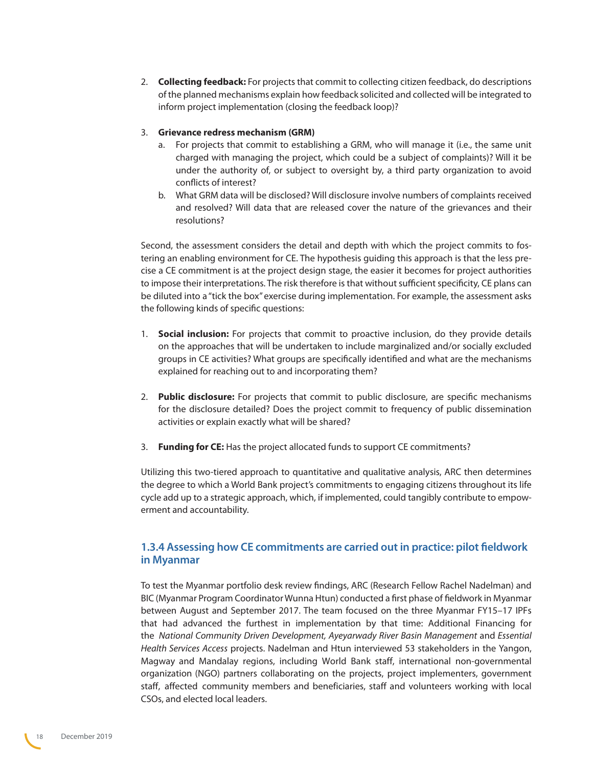<span id="page-17-0"></span>2. **Collecting feedback:** For projects that commit to collecting citizen feedback, do descriptions of the planned mechanisms explain how feedback solicited and collected will be integrated to inform project implementation (closing the feedback loop)?

#### 3. **Grievance redress mechanism (GRM)**

- a. For projects that commit to establishing a GRM, who will manage it (i.e., the same unit charged with managing the project, which could be a subject of complaints)? Will it be under the authority of, or subject to oversight by, a third party organization to avoid conflicts of interest?
- b. What GRM data will be disclosed? Will disclosure involve numbers of complaints received and resolved? Will data that are released cover the nature of the grievances and their resolutions?

Second, the assessment considers the detail and depth with which the project commits to fostering an enabling environment for CE. The hypothesis guiding this approach is that the less precise a CE commitment is at the project design stage, the easier it becomes for project authorities to impose their interpretations. The risk therefore is that without sufficient specificity, CE plans can be diluted into a "tick the box" exercise during implementation. For example, the assessment asks the following kinds of specific questions:

- 1. **Social inclusion:** For projects that commit to proactive inclusion, do they provide details on the approaches that will be undertaken to include marginalized and/or socially excluded groups in CE activities? What groups are specifically identified and what are the mechanisms explained for reaching out to and incorporating them?
- 2. **Public disclosure:** For projects that commit to public disclosure, are specific mechanisms for the disclosure detailed? Does the project commit to frequency of public dissemination activities or explain exactly what will be shared?
- 3. **Funding for CE:** Has the project allocated funds to support CE commitments?

Utilizing this two-tiered approach to quantitative and qualitative analysis, ARC then determines the degree to which a World Bank project's commitments to engaging citizens throughout its life cycle add up to a strategic approach, which, if implemented, could tangibly contribute to empowerment and accountability.

#### **1.3.4 Assessing how CE commitments are carried out in practice: pilot fieldwork in Myanmar**

To test the Myanmar portfolio desk review findings, ARC (Research Fellow Rachel Nadelman) and BIC (Myanmar Program Coordinator Wunna Htun) conducted a first phase of fieldwork in Myanmar between August and September 2017. The team focused on the three Myanmar FY15–17 IPFs that had advanced the furthest in implementation by that time: Additional Financing for the *National Community Driven Development, Ayeyarwady River Basin Management* and *Essential Health Services Access* projects. Nadelman and Htun interviewed 53 stakeholders in the Yangon, Magway and Mandalay regions, including World Bank staff, international non-governmental organization (NGO) partners collaborating on the projects, project implementers, government staff, affected community members and beneficiaries, staff and volunteers working with local CSOs, and elected local leaders.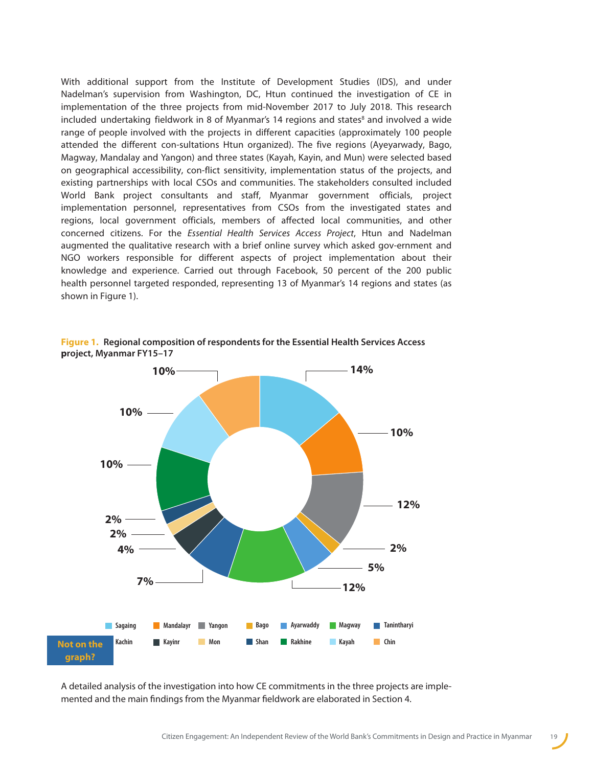With additional support from the Institute of Development Studies (IDS), and under Nadelman's supervision from Washington, DC, Htun continued the investigation of CE in implementation of the three projects from mid-November 2017 to July 2018. This research included undertaking fieldwork in [8](#page-68-3) of Myanmar's 14 regions and states $\delta$  and involved a wide range of people involved with the projects in different capacities (approximately 100 people attended the different con-sultations Htun organized). The five regions (Ayeyarwady, Bago, Magway, Mandalay and Yangon) and three states (Kayah, Kayin, and Mun) were selected based on geographical accessibility, con-flict sensitivity, implementation status of the projects, and existing partnerships with local CSOs and communities. The stakeholders consulted included World Bank project consultants and staff, Myanmar government officials, project implementation personnel, representatives from CSOs from the investigated states and regions, local government officials, members of affected local communities, and other concerned citizens. For the *Essential Health Services Access Project*, Htun and Nadelman augmented the qualitative research with a brief online survey which asked gov-ernment and NGO workers responsible for different aspects of project implementation about their knowledge and experience. Carried out through Facebook, 50 percent of the 200 public health personnel targeted responded, representing 13 of Myanmar's 14 regions and states (as shown in Figure 1).



**Figure 1. Regional composition of respondents for the Essential Health Services Access project, Myanmar FY15–17**

A detailed analysis of the investigation into how CE commitments in the three projects are implemented and the main findings from the Myanmar fieldwork are elaborated in Section 4.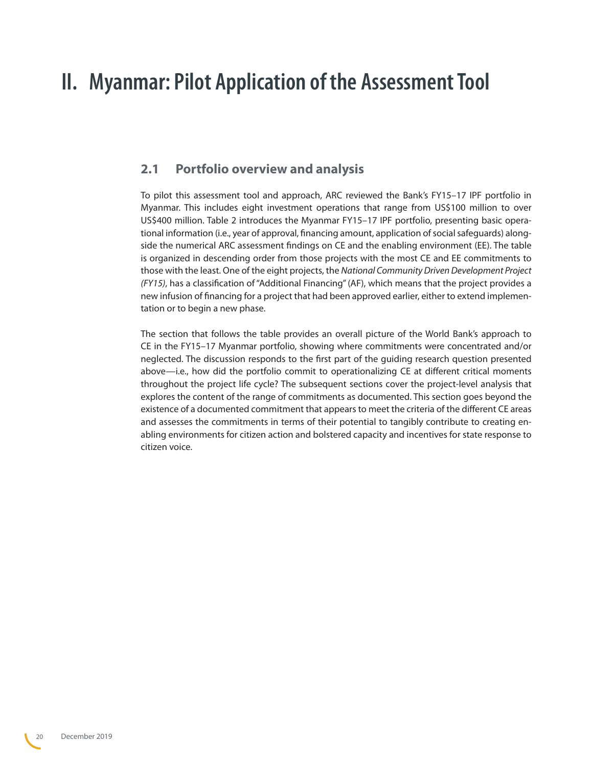## <span id="page-19-0"></span>**II. Myanmar: Pilot Application of the Assessment Tool**

## **2.1 Portfolio overview and analysis**

To pilot this assessment tool and approach, ARC reviewed the Bank's FY15–17 IPF portfolio in Myanmar. This includes eight investment operations that range from US\$100 million to over US\$400 million. Table 2 introduces the Myanmar FY15–17 IPF portfolio, presenting basic operational information (i.e., year of approval, financing amount, application of social safeguards) alongside the numerical ARC assessment findings on CE and the enabling environment (EE). The table is organized in descending order from those projects with the most CE and EE commitments to those with the least. One of the eight projects, the *National Community Driven Development Project (FY15)*, has a classification of "Additional Financing" (AF), which means that the project provides a new infusion of financing for a project that had been approved earlier, either to extend implementation or to begin a new phase.

The section that follows the table provides an overall picture of the World Bank's approach to CE in the FY15–17 Myanmar portfolio, showing where commitments were concentrated and/or neglected. The discussion responds to the first part of the guiding research question presented above—i.e., how did the portfolio commit to operationalizing CE at different critical moments throughout the project life cycle? The subsequent sections cover the project-level analysis that explores the content of the range of commitments as documented. This section goes beyond the existence of a documented commitment that appears to meet the criteria of the different CE areas and assesses the commitments in terms of their potential to tangibly contribute to creating enabling environments for citizen action and bolstered capacity and incentives for state response to citizen voice.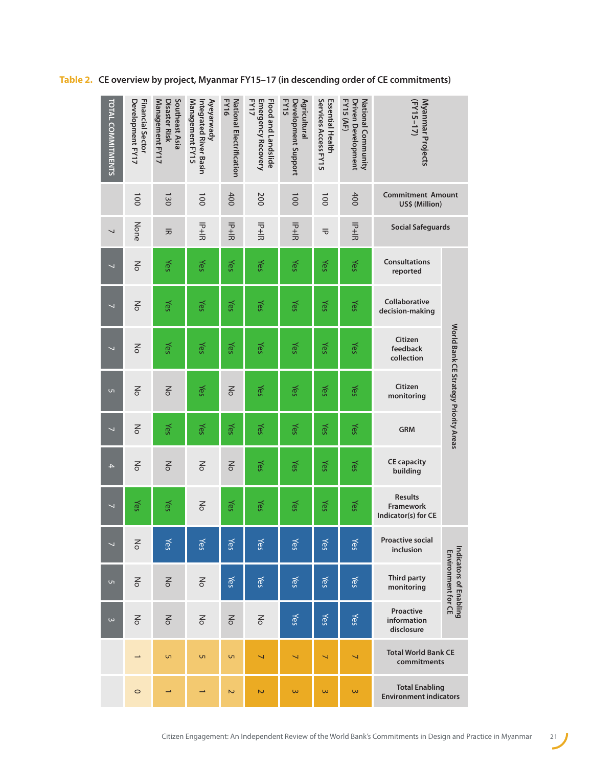| <b>TOTAL COMMITMENTS</b> | Development FY17<br><b>Financial Sector</b> | Southeast Asia<br>Management FY17<br>Disaster Risk | Management FY15<br>Ayeyarwady<br>Integrated River Basin | <b>FY16</b><br>National Electrification     | FY17<br>Emergency Recovery<br><b>Flood and Landslide</b> | Development Support<br>FY15<br>Agricultural | Services Access FY15<br><b>Essential Health</b> | FY15 (AF)<br><b>Driven Development</b><br>National Community | Myanmar Projects<br>$(FY15-17)$                        |                                              |
|--------------------------|---------------------------------------------|----------------------------------------------------|---------------------------------------------------------|---------------------------------------------|----------------------------------------------------------|---------------------------------------------|-------------------------------------------------|--------------------------------------------------------------|--------------------------------------------------------|----------------------------------------------|
|                          | $\overline{0}0$                             | 130                                                | $\overline{0}0$                                         | 400                                         | 200                                                      | $\overline{00}$                             | $\overline{0}0$                                 | 400                                                          | <b>Commitment Amount</b><br>US\$ (Million)             |                                              |
| $\overline{\phantom{0}}$ | None                                        | 云                                                  | ラキヨ                                                     | $\overline{\overline{d}}$<br>$\overline{d}$ | $\frac{1}{2}$                                            | $\frac{1}{2}$                               | $\overline{\sigma}$                             | $\frac{1}{2}$                                                | <b>Social Safeguards</b>                               |                                              |
| $\overline{\phantom{0}}$ | $\frac{8}{\pi}$                             | Yes                                                | Yes                                                     | Yes                                         | Yes                                                      | Yes                                         | Yes                                             | Yes                                                          | <b>Consultations</b><br>reported                       |                                              |
| $\overline{\phantom{0}}$ | $\leq$                                      | Yes                                                | Yes                                                     | Yes                                         | Yes                                                      | Yes                                         | Yes                                             | Yes                                                          | Collaborative<br>decision-making                       |                                              |
| $\overline{\phantom{0}}$ | $\leq$                                      | Yes                                                | Yes                                                     | Yes                                         | Yes                                                      | Yes                                         | Yes                                             | Yes                                                          | Citizen<br>feedback<br>collection                      | World Bank CE Strategy Priority Areas        |
| G1                       | $\leq$                                      | $\leq$                                             | Yes                                                     | $\leq$                                      | Yes                                                      | Yes                                         | Yes                                             | Yes                                                          | Citizen<br>monitoring                                  |                                              |
| $\overline{\phantom{0}}$ | $\leq$                                      | Yes                                                | Yes                                                     | Yes                                         | Yes                                                      | Yes                                         | Yes                                             | Yes                                                          | <b>GRM</b>                                             |                                              |
| $\mathcal{A}% _{0}$      | $\leq$                                      | $\leq$                                             | $\leq$                                                  | m                                           | Yes                                                      | Yes                                         | Yes                                             | Yes                                                          | <b>CE capacity</b><br>building                         |                                              |
| $\overline{\phantom{0}}$ | Yes                                         | Yes                                                | $\frac{8}{\pi}$                                         | Yes                                         | Yes                                                      | Yes                                         | Yes                                             | Yes                                                          | <b>Results</b><br>Framework<br>Indicator(s) for CE     |                                              |
| $\overline{\phantom{0}}$ | $\leq$                                      | Yes                                                | Yes                                                     | Yes                                         | Yes                                                      | Yes                                         | Yes                                             | Yes                                                          | <b>Proactive social</b><br>inclusion                   |                                              |
| <b>ι</b>                 | $\leq$                                      | $\leq$                                             | 종                                                       | Yes                                         | Yes                                                      | Yes                                         | Yes                                             | Yes                                                          | Third party<br>monitoring                              | Indicators of Enabling<br>Environment for CE |
| $\omega$                 | $\leq$                                      | $\leq$                                             | $\leq$                                                  | $\leq$                                      | $\leq$                                                   | Yes                                         | Yes                                             | Yes                                                          | Proactive<br>information<br>disclosure                 |                                              |
|                          |                                             | ŪΠ,                                                | ŪΠ,                                                     | ŪΠ,                                         | $\overline{\phantom{0}}$                                 | $\overline{\phantom{0}}$                    | $\overline{\phantom{0}}$                        | $\overline{\phantom{0}}$                                     | <b>Total World Bank CE</b><br>commitments              |                                              |
|                          | $\circ$                                     |                                                    | →                                                       | $\overline{\mathsf{c}}$                     | $\overline{\mathsf{C}}$                                  | $\omega$                                    | $\omega$                                        | $\omega$                                                     | <b>Total Enabling</b><br><b>Environment indicators</b> |                                              |

**Table 2. CE overview by project, Myanmar FY15–17 (in descending order of CE commitments)**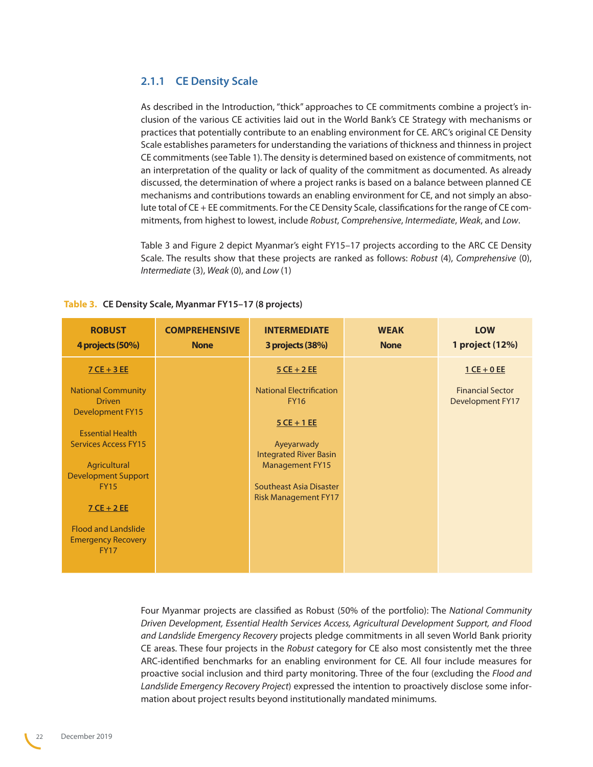#### <span id="page-21-0"></span>**2.1.1 CE Density Scale**

As described in the Introduction, "thick" approaches to CE commitments combine a project's inclusion of the various CE activities laid out in the World Bank's CE Strategy with mechanisms or practices that potentially contribute to an enabling environment for CE. ARC's original CE Density Scale establishes parameters for understanding the variations of thickness and thinness in project CE commitments (see Table 1). The density is determined based on existence of commitments, not an interpretation of the quality or lack of quality of the commitment as documented. As already discussed, the determination of where a project ranks is based on a balance between planned CE mechanisms and contributions towards an enabling environment for CE, and not simply an absolute total of CE + EE commitments. For the CE Density Scale, classifications for the range of CE commitments, from highest to lowest, include *Robust*, *Comprehensive*, *Intermediate*, *Weak*, and *Low*.

Table 3 and Figure 2 depict Myanmar's eight FY15–17 projects according to the ARC CE Density Scale. The results show that these projects are ranked as follows: *Robust* (4), *Comprehensive* (0), *Intermediate* (3), *Weak* (0), and *Low* (1)

| <b>ROBUST</b><br>4 projects (50%)                                      | <b>COMPREHENSIVE</b><br><b>None</b> | <b>INTERMEDIATE</b><br>3 projects (38%)                | <b>WEAK</b><br><b>None</b> | <b>LOW</b><br>1 project (12%)                      |
|------------------------------------------------------------------------|-------------------------------------|--------------------------------------------------------|----------------------------|----------------------------------------------------|
| $7$ CE + 3 EE                                                          |                                     | $5$ CE + 2 EE                                          |                            | $1$ CE + 0 EE                                      |
| <b>National Community</b><br><b>Driven</b><br><b>Development FY15</b>  |                                     | <b>National Electrification</b><br><b>FY16</b>         |                            | <b>Financial Sector</b><br><b>Development FY17</b> |
| <b>Essential Health</b>                                                |                                     | $5$ CE + 1 EE                                          |                            |                                                    |
| <b>Services Access FY15</b>                                            |                                     | Ayeyarwady<br><b>Integrated River Basin</b>            |                            |                                                    |
| Agricultural<br><b>Development Support</b>                             |                                     | <b>Management FY15</b>                                 |                            |                                                    |
| <b>FY15</b>                                                            |                                     | Southeast Asia Disaster<br><b>Risk Management FY17</b> |                            |                                                    |
| $7$ CE + 2 EE                                                          |                                     |                                                        |                            |                                                    |
| <b>Flood and Landslide</b><br><b>Emergency Recovery</b><br><b>FY17</b> |                                     |                                                        |                            |                                                    |

| Table 3. | . CE Density Scale, Myanmar FY15-17 (8 projects) |  |  |  |  |  |
|----------|--------------------------------------------------|--|--|--|--|--|
|----------|--------------------------------------------------|--|--|--|--|--|

Four Myanmar projects are classified as Robust (50% of the portfolio): The *National Community Driven Development, Essential Health Services Access, Agricultural Development Support, and Flood and Landslide Emergency Recovery* projects pledge commitments in all seven World Bank priority CE areas. These four projects in the *Robust* category for CE also most consistently met the three ARC-identified benchmarks for an enabling environment for CE. All four include measures for proactive social inclusion and third party monitoring. Three of the four (excluding the *Flood and Landslide Emergency Recovery Project*) expressed the intention to proactively disclose some information about project results beyond institutionally mandated minimums.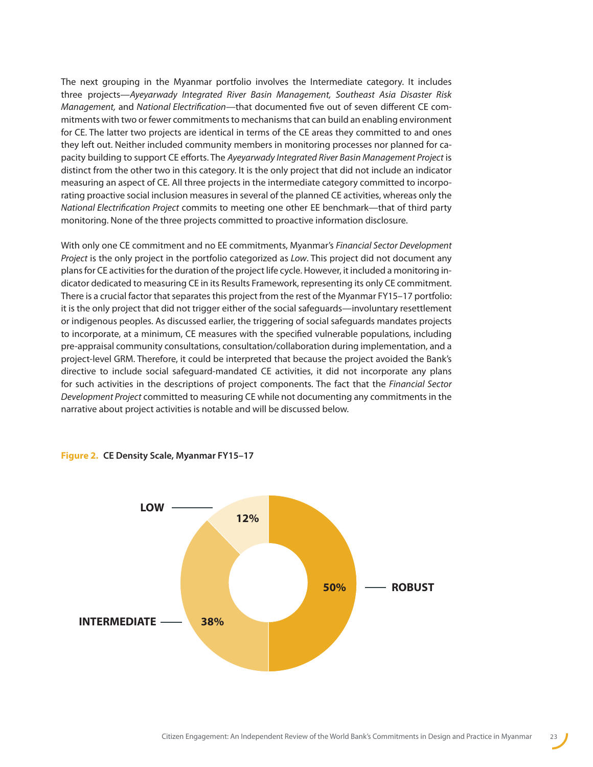The next grouping in the Myanmar portfolio involves the Intermediate category. It includes three projects—*Ayeyarwady Integrated River Basin Management, Southeast Asia Disaster Risk Management,* and *National Electrification*—that documented five out of seven different CE commitments with two or fewer commitments to mechanisms that can build an enabling environment for CE. The latter two projects are identical in terms of the CE areas they committed to and ones they left out. Neither included community members in monitoring processes nor planned for capacity building to support CE efforts. The *Ayeyarwady Integrated River Basin Management Project* is distinct from the other two in this category. It is the only project that did not include an indicator measuring an aspect of CE. All three projects in the intermediate category committed to incorporating proactive social inclusion measures in several of the planned CE activities, whereas only the *National Electrification Project* commits to meeting one other EE benchmark—that of third party monitoring. None of the three projects committed to proactive information disclosure.

With only one CE commitment and no EE commitments, Myanmar's *Financial Sector Development Project* is the only project in the portfolio categorized as *Low*. This project did not document any plans for CE activities for the duration of the project life cycle. However, it included a monitoring indicator dedicated to measuring CE in its Results Framework, representing its only CE commitment. There is a crucial factor that separates this project from the rest of the Myanmar FY15–17 portfolio: it is the only project that did not trigger either of the social safeguards—involuntary resettlement or indigenous peoples. As discussed earlier, the triggering of social safeguards mandates projects to incorporate, at a minimum, CE measures with the specified vulnerable populations, including pre-appraisal community consultations, consultation/collaboration during implementation, and a project-level GRM. Therefore, it could be interpreted that because the project avoided the Bank's directive to include social safeguard-mandated CE activities, it did not incorporate any plans for such activities in the descriptions of project components. The fact that the *Financial Sector Development Project* committed to measuring CE while not documenting any commitments in the narrative about project activities is notable and will be discussed below.



**Figure 2. CE Density Scale, Myanmar FY15–17**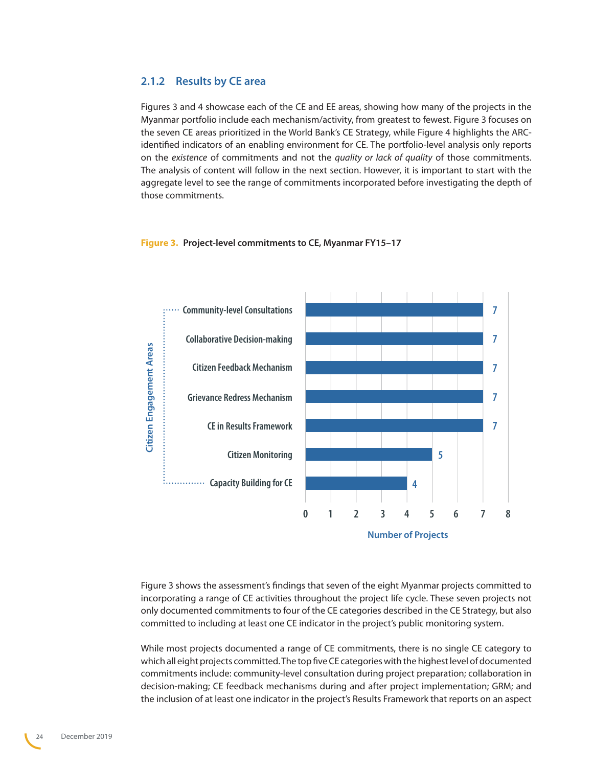#### <span id="page-23-0"></span>**2.1.2 Results by CE area**

Figures 3 and 4 showcase each of the CE and EE areas, showing how many of the projects in the Myanmar portfolio include each mechanism/activity, from greatest to fewest. Figure 3 focuses on the seven CE areas prioritized in the World Bank's CE Strategy, while Figure 4 highlights the ARCidentified indicators of an enabling environment for CE. The portfolio-level analysis only reports on the *existence* of commitments and not the *quality or lack of quality* of those commitments. The analysis of content will follow in the next section. However, it is important to start with the aggregate level to see the range of commitments incorporated before investigating the depth of those commitments.

## **7 Community-level Consultations 7 Collaborative Decision-making Citizen Engagement Areas Citizen Engagement Areas Citizen Feedback Mechanism 7 7 Grievance Redress Mechanism CE in Results Framework 7 Citizen Monitoring 5Capacity Building for CE 4 0 1 2 3 4 5 6 7 8 Number of Projects**

#### **Figure 3. Project-level commitments to CE, Myanmar FY15–17**

Figure 3 shows the assessment's findings that seven of the eight Myanmar projects committed to incorporating a range of CE activities throughout the project life cycle. These seven projects not only documented commitments to four of the CE categories described in the CE Strategy, but also committed to including at least one CE indicator in the project's public monitoring system.

While most projects documented a range of CE commitments, there is no single CE category to which all eight projects committed. The top five CE categories with the highest level of documented commitments include: community-level consultation during project preparation; collaboration in decision-making; CE feedback mechanisms during and after project implementation; GRM; and the inclusion of at least one indicator in the project's Results Framework that reports on an aspect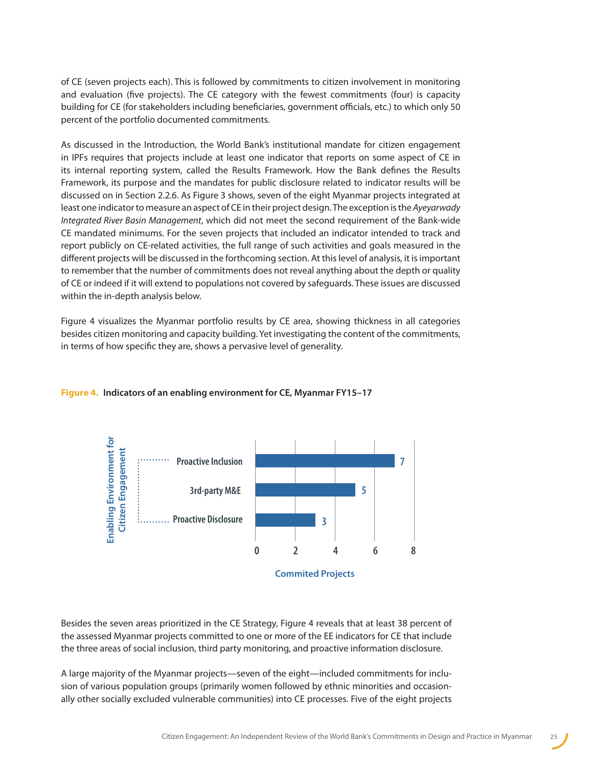of CE (seven projects each). This is followed by commitments to citizen involvement in monitoring and evaluation (five projects). The CE category with the fewest commitments (four) is capacity building for CE (for stakeholders including beneficiaries, government officials, etc.) to which only 50 percent of the portfolio documented commitments.

As discussed in the Introduction, the World Bank's institutional mandate for citizen engagement in IPFs requires that projects include at least one indicator that reports on some aspect of CE in its internal reporting system, called the Results Framework. How the Bank defines the Results Framework, its purpose and the mandates for public disclosure related to indicator results will be discussed on in Section 2.2.6. As Figure 3 shows, seven of the eight Myanmar projects integrated at least one indicator to measure an aspect of CE in their project design. The exception is the *Ayeyarwady Integrated River Basin Management*, which did not meet the second requirement of the Bank-wide CE mandated minimums. For the seven projects that included an indicator intended to track and report publicly on CE-related activities, the full range of such activities and goals measured in the different projects will be discussed in the forthcoming section. At this level of analysis, it is important to remember that the number of commitments does not reveal anything about the depth or quality of CE or indeed if it will extend to populations not covered by safeguards. These issues are discussed within the in-depth analysis below.

Figure 4 visualizes the Myanmar portfolio results by CE area, showing thickness in all categories besides citizen monitoring and capacity building. Yet investigating the content of the commitments, in terms of how specific they are, shows a pervasive level of generality.



#### **Figure 4. Indicators of an enabling environment for CE, Myanmar FY15–17**

Besides the seven areas prioritized in the CE Strategy, Figure 4 reveals that at least 38 percent of the assessed Myanmar projects committed to one or more of the EE indicators for CE that include the three areas of social inclusion, third party monitoring, and proactive information disclosure.

A large majority of the Myanmar projects—seven of the eight—included commitments for inclusion of various population groups (primarily women followed by ethnic minorities and occasionally other socially excluded vulnerable communities) into CE processes. Five of the eight projects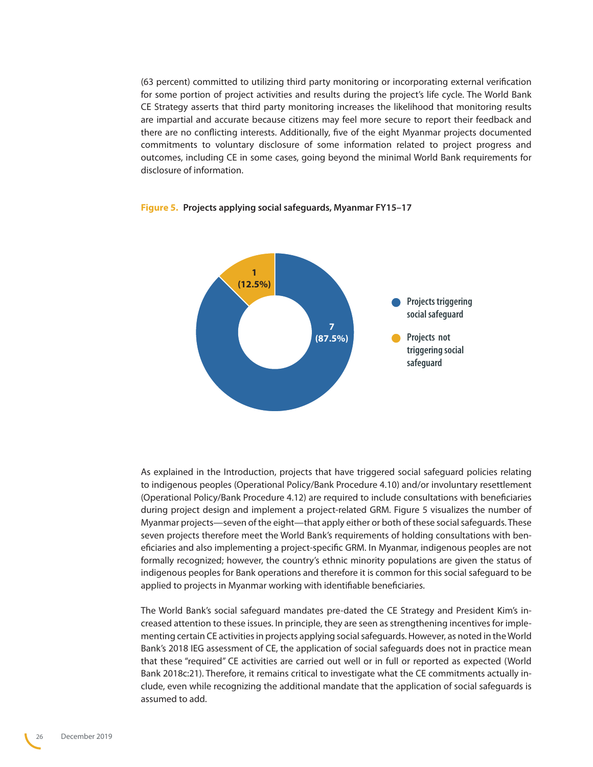(63 percent) committed to utilizing third party monitoring or incorporating external verification for some portion of project activities and results during the project's life cycle. The World Bank CE Strategy asserts that third party monitoring increases the likelihood that monitoring results are impartial and accurate because citizens may feel more secure to report their feedback and there are no conflicting interests. Additionally, five of the eight Myanmar projects documented commitments to voluntary disclosure of some information related to project progress and outcomes, including CE in some cases, going beyond the minimal World Bank requirements for disclosure of information.



#### **Figure 5. Projects applying social safeguards, Myanmar FY15–17**

As explained in the Introduction, projects that have triggered social safeguard policies relating to indigenous peoples (Operational Policy/Bank Procedure 4.10) and/or involuntary resettlement (Operational Policy/Bank Procedure 4.12) are required to include consultations with beneficiaries during project design and implement a project-related GRM. Figure 5 visualizes the number of Myanmar projects—seven of the eight—that apply either or both of these social safeguards. These seven projects therefore meet the World Bank's requirements of holding consultations with beneficiaries and also implementing a project-specific GRM. In Myanmar, indigenous peoples are not formally recognized; however, the country's ethnic minority populations are given the status of indigenous peoples for Bank operations and therefore it is common for this social safeguard to be applied to projects in Myanmar working with identifiable beneficiaries.

The World Bank's social safeguard mandates pre-dated the CE Strategy and President Kim's increased attention to these issues. In principle, they are seen as strengthening incentives for implementing certain CE activities in projects applying social safeguards. However, as noted in the World Bank's 2018 IEG assessment of CE, the application of social safeguards does not in practice mean that these "required" CE activities are carried out well or in full or reported as expected (World Bank 2018c:21). Therefore, it remains critical to investigate what the CE commitments actually include, even while recognizing the additional mandate that the application of social safeguards is assumed to add.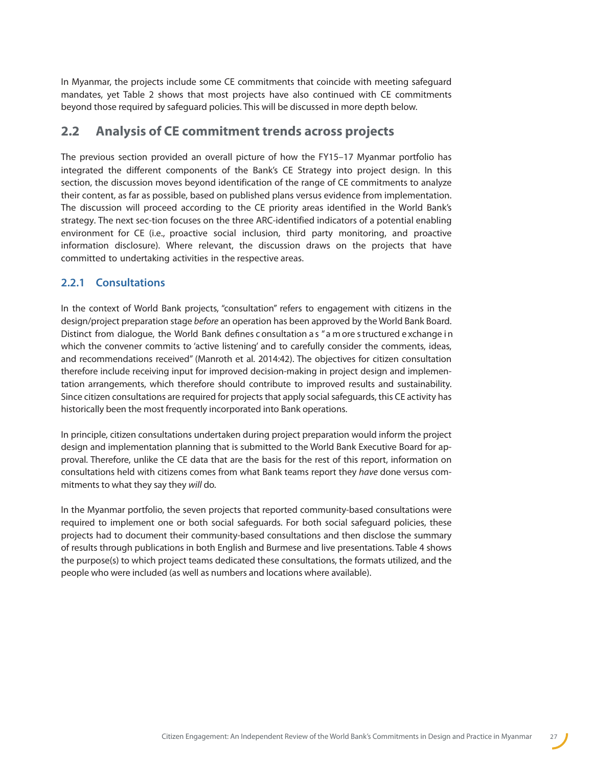<span id="page-26-0"></span>In Myanmar, the projects include some CE commitments that coincide with meeting safeguard mandates, yet Table 2 shows that most projects have also continued with CE commitments beyond those required by safeguard policies. This will be discussed in more depth below.

### **2.2 Analysis of CE commitment trends across projects**

The previous section provided an overall picture of how the FY15–17 Myanmar portfolio has integrated the different components of the Bank's CE Strategy into project design. In this section, the discussion moves beyond identification of the range of CE commitments to analyze their content, as far as possible, based on published plans versus evidence from implementation. The discussion will proceed according to the CE priority areas identified in the World Bank's strategy. The next sec-tion focuses on the three ARC-identified indicators of a potential enabling environment for CE (i.e., proactive social inclusion, third party monitoring, and proactive information disclosure). Where relevant, the discussion draws on the projects that have committed to undertaking activities in the respective areas.

#### **2.2.1 Consultations**

In the context of World Bank projects, "consultation" refers to engagement with citizens in the design/project preparation stage *before* an operation has been approved by the World Bank Board. Distinct from dialogue, the World Bank defines c onsultation a s "a m ore s tructured e xchange i n which the convener commits to 'active listening' and to carefully consider the comments, ideas, and recommendations received" (Manroth et al. 2014:42). The objectives for citizen consultation therefore include receiving input for improved decision-making in project design and implementation arrangements, which therefore should contribute to improved results and sustainability. Since citizen consultations are required for projects that apply social safeguards, this CE activity has historically been the most frequently incorporated into Bank operations.

In principle, citizen consultations undertaken during project preparation would inform the project design and implementation planning that is submitted to the World Bank Executive Board for approval. Therefore, unlike the CE data that are the basis for the rest of this report, information on consultations held with citizens comes from what Bank teams report they *have* done versus commitments to what they say they *will* do.

In the Myanmar portfolio, the seven projects that reported community-based consultations were required to implement one or both social safeguards. For both social safeguard policies, these projects had to document their community-based consultations and then disclose the summary of results through publications in both English and Burmese and live presentations. Table 4 shows the purpose(s) to which project teams dedicated these consultations, the formats utilized, and the people who were included (as well as numbers and locations where available).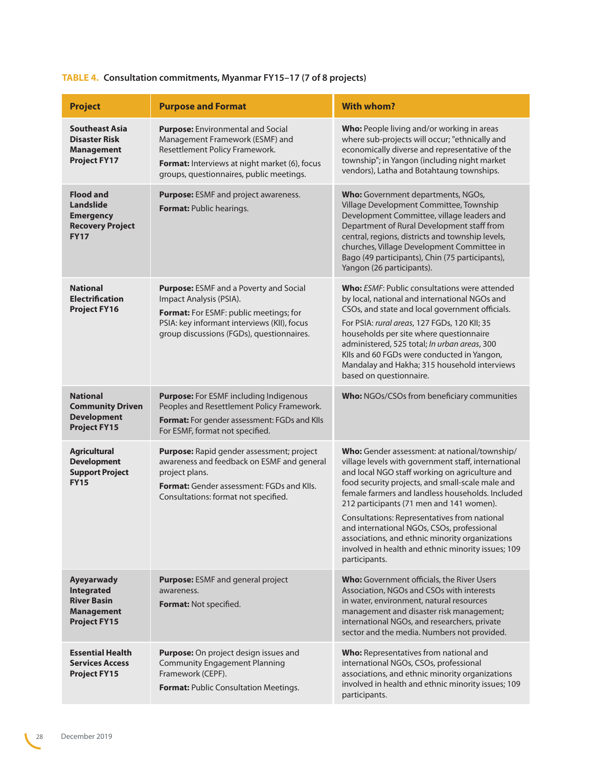| <b>Project</b>                                                                                     | <b>Purpose and Format</b>                                                                                                                                                                                         | <b>With whom?</b>                                                                                                                                                                                                                                                                                                                                                                                                                                                                                                                  |
|----------------------------------------------------------------------------------------------------|-------------------------------------------------------------------------------------------------------------------------------------------------------------------------------------------------------------------|------------------------------------------------------------------------------------------------------------------------------------------------------------------------------------------------------------------------------------------------------------------------------------------------------------------------------------------------------------------------------------------------------------------------------------------------------------------------------------------------------------------------------------|
| <b>Southeast Asia</b><br><b>Disaster Risk</b><br><b>Management</b><br><b>Project FY17</b>          | <b>Purpose:</b> Environmental and Social<br>Management Framework (ESMF) and<br>Resettlement Policy Framework.<br><b>Format:</b> Interviews at night market (6), focus<br>groups, questionnaires, public meetings. | Who: People living and/or working in areas<br>where sub-projects will occur; "ethnically and<br>economically diverse and representative of the<br>township"; in Yangon (including night market<br>vendors), Latha and Botahtaung townships.                                                                                                                                                                                                                                                                                        |
| <b>Flood and</b><br><b>Landslide</b><br><b>Emergency</b><br><b>Recovery Project</b><br><b>FY17</b> | Purpose: ESMF and project awareness.<br>Format: Public hearings.                                                                                                                                                  | Who: Government departments, NGOs,<br>Village Development Committee, Township<br>Development Committee, village leaders and<br>Department of Rural Development staff from<br>central, regions, districts and township levels,<br>churches, Village Development Committee in<br>Bago (49 participants), Chin (75 participants),<br>Yangon (26 participants).                                                                                                                                                                        |
| <b>National</b><br><b>Electrification</b><br><b>Project FY16</b>                                   | Purpose: ESMF and a Poverty and Social<br>Impact Analysis (PSIA).<br>Format: For ESMF: public meetings; for<br>PSIA: key informant interviews (KII), focus<br>group discussions (FGDs), questionnaires.           | <b>Who:</b> ESMF: Public consultations were attended<br>by local, national and international NGOs and<br>CSOs, and state and local government officials.<br>For PSIA: rural areas, 127 FGDs, 120 KII; 35<br>households per site where questionnaire<br>administered, 525 total; In urban areas, 300<br>Klls and 60 FGDs were conducted in Yangon,<br>Mandalay and Hakha; 315 household interviews<br>based on questionnaire.                                                                                                       |
| <b>National</b><br><b>Community Driven</b><br><b>Development</b><br><b>Project FY15</b>            | Purpose: For ESMF including Indigenous<br>Peoples and Resettlement Policy Framework.<br>Format: For gender assessment: FGDs and KIIs<br>For ESMF, format not specified.                                           | Who: NGOs/CSOs from beneficiary communities                                                                                                                                                                                                                                                                                                                                                                                                                                                                                        |
| <b>Agricultural</b><br><b>Development</b><br><b>Support Project</b><br><b>FY15</b>                 | Purpose: Rapid gender assessment; project<br>awareness and feedback on ESMF and general<br>project plans.<br><b>Format:</b> Gender assessment: FGDs and KIIs.<br>Consultations: format not specified.             | Who: Gender assessment: at national/township/<br>village levels with government staff, international<br>and local NGO staff working on agriculture and<br>food security projects, and small-scale male and<br>female farmers and landless households. Included<br>212 participants (71 men and 141 women).<br>Consultations: Representatives from national<br>and international NGOs, CSOs, professional<br>associations, and ethnic minority organizations<br>involved in health and ethnic minority issues; 109<br>participants. |
| <b>Ayeyarwady</b><br>Integrated<br><b>River Basin</b><br><b>Management</b><br><b>Project FY15</b>  | <b>Purpose: ESMF and general project</b><br>awareness.<br>Format: Not specified.                                                                                                                                  | <b>Who:</b> Government officials, the River Users<br>Association, NGOs and CSOs with interests<br>in water, environment, natural resources<br>management and disaster risk management;<br>international NGOs, and researchers, private<br>sector and the media. Numbers not provided.                                                                                                                                                                                                                                              |
| <b>Essential Health</b><br><b>Services Access</b><br><b>Project FY15</b>                           | Purpose: On project design issues and<br><b>Community Engagement Planning</b><br>Framework (CEPF).<br>Format: Public Consultation Meetings.                                                                       | Who: Representatives from national and<br>international NGOs, CSOs, professional<br>associations, and ethnic minority organizations<br>involved in health and ethnic minority issues; 109<br>participants.                                                                                                                                                                                                                                                                                                                         |

### **TABLE 4. Consultation commitments, Myanmar FY15–17 (7 of 8 projects)**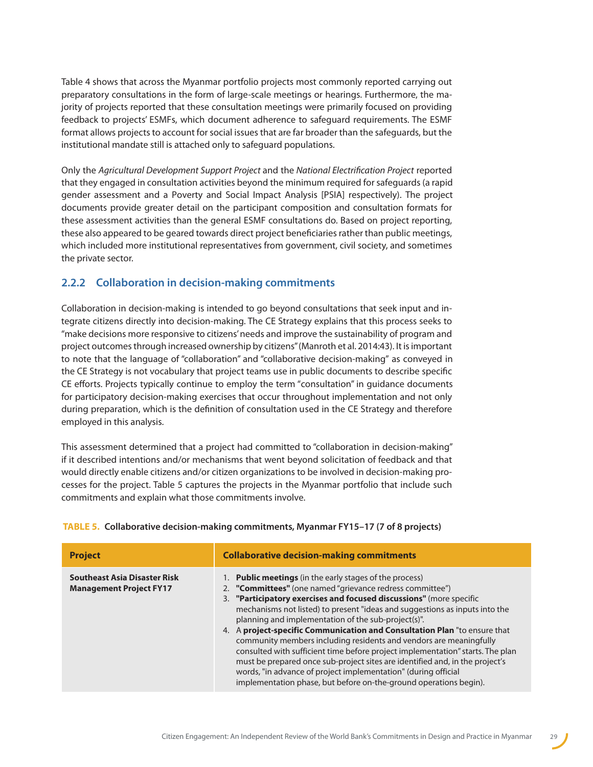<span id="page-28-0"></span>Table 4 shows that across the Myanmar portfolio projects most commonly reported carrying out preparatory consultations in the form of large-scale meetings or hearings. Furthermore, the majority of projects reported that these consultation meetings were primarily focused on providing feedback to projects' ESMFs, which document adherence to safeguard requirements. The ESMF format allows projects to account for social issues that are far broader than the safeguards, but the institutional mandate still is attached only to safeguard populations.

Only the *Agricultural Development Support Project* and the *National Electrification Project* reported that they engaged in consultation activities beyond the minimum required for safeguards (a rapid gender assessment and a Poverty and Social Impact Analysis [PSIA] respectively). The project documents provide greater detail on the participant composition and consultation formats for these assessment activities than the general ESMF consultations do. Based on project reporting, these also appeared to be geared towards direct project beneficiaries rather than public meetings, which included more institutional representatives from government, civil society, and sometimes the private sector.

### **2.2.2 Collaboration in decision-making commitments**

Collaboration in decision-making is intended to go beyond consultations that seek input and integrate citizens directly into decision-making. The CE Strategy explains that this process seeks to "make decisions more responsive to citizens' needs and improve the sustainability of program and project outcomes through increased ownership by citizens" (Manroth et al. 2014:43). It is important to note that the language of "collaboration" and "collaborative decision-making" as conveyed in the CE Strategy is not vocabulary that project teams use in public documents to describe specific CE efforts. Projects typically continue to employ the term "consultation" in guidance documents for participatory decision-making exercises that occur throughout implementation and not only during preparation, which is the definition of consultation used in the CE Strategy and therefore employed in this analysis.

This assessment determined that a project had committed to "collaboration in decision-making" if it described intentions and/or mechanisms that went beyond solicitation of feedback and that would directly enable citizens and/or citizen organizations to be involved in decision-making processes for the project. Table 5 captures the projects in the Myanmar portfolio that include such commitments and explain what those commitments involve.

| <b>Project</b>                                                        | <b>Collaborative decision-making commitments</b>                                                                                                                                                                                                                                                                                                                                                                                                                                                                                                                                                                                                                                                                                                                                              |  |
|-----------------------------------------------------------------------|-----------------------------------------------------------------------------------------------------------------------------------------------------------------------------------------------------------------------------------------------------------------------------------------------------------------------------------------------------------------------------------------------------------------------------------------------------------------------------------------------------------------------------------------------------------------------------------------------------------------------------------------------------------------------------------------------------------------------------------------------------------------------------------------------|--|
| <b>Southeast Asia Disaster Risk</b><br><b>Management Project FY17</b> | 1. Public meetings (in the early stages of the process)<br>2. "Committees" (one named "grievance redress committee")<br>3. "Participatory exercises and focused discussions" (more specific<br>mechanisms not listed) to present "ideas and suggestions as inputs into the<br>planning and implementation of the sub-project(s)".<br>4. A project-specific Communication and Consultation Plan "to ensure that<br>community members including residents and vendors are meaningfully<br>consulted with sufficient time before project implementation" starts. The plan<br>must be prepared once sub-project sites are identified and, in the project's<br>words, "in advance of project implementation" (during official<br>implementation phase, but before on-the-ground operations begin). |  |

#### **TABLE 5. Collaborative decision-making commitments, Myanmar FY15–17 (7 of 8 projects)**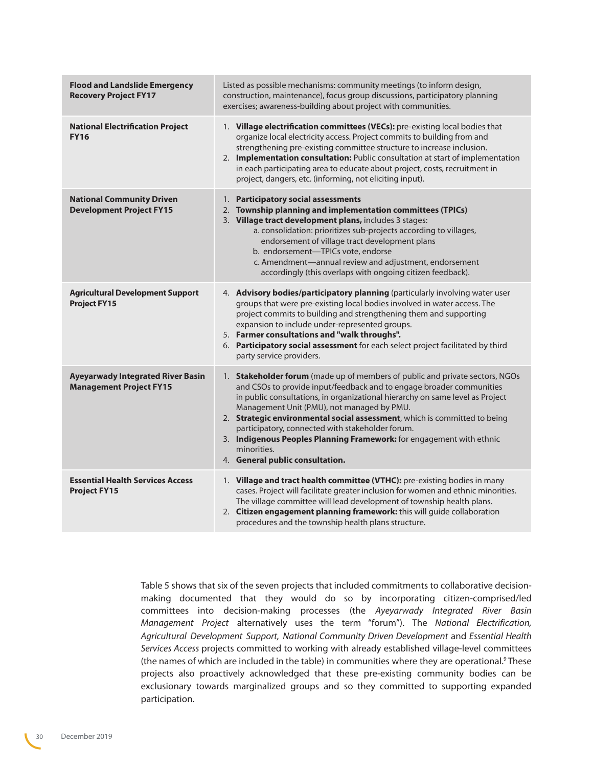| <b>Flood and Landslide Emergency</b><br><b>Recovery Project FY17</b>       | Listed as possible mechanisms: community meetings (to inform design,<br>construction, maintenance), focus group discussions, participatory planning<br>exercises; awareness-building about project with communities.                                                                                                                                                                                                                                                                                                                           |
|----------------------------------------------------------------------------|------------------------------------------------------------------------------------------------------------------------------------------------------------------------------------------------------------------------------------------------------------------------------------------------------------------------------------------------------------------------------------------------------------------------------------------------------------------------------------------------------------------------------------------------|
| <b>National Electrification Project</b><br><b>FY16</b>                     | 1. Village electrification committees (VECs): pre-existing local bodies that<br>organize local electricity access. Project commits to building from and<br>strengthening pre-existing committee structure to increase inclusion.<br>2. Implementation consultation: Public consultation at start of implementation<br>in each participating area to educate about project, costs, recruitment in<br>project, dangers, etc. (informing, not eliciting input).                                                                                   |
| <b>National Community Driven</b><br><b>Development Project FY15</b>        | 1. Participatory social assessments<br>Township planning and implementation committees (TPICs)<br>2.<br>3. Village tract development plans, includes 3 stages:<br>a. consolidation: prioritizes sub-projects according to villages,<br>endorsement of village tract development plans<br>b. endorsement-TPICs vote, endorse<br>c. Amendment-annual review and adjustment, endorsement<br>accordingly (this overlaps with ongoing citizen feedback).                                                                                            |
| <b>Agricultural Development Support</b><br><b>Project FY15</b>             | 4. Advisory bodies/participatory planning (particularly involving water user<br>groups that were pre-existing local bodies involved in water access. The<br>project commits to building and strengthening them and supporting<br>expansion to include under-represented groups.<br>5. Farmer consultations and "walk throughs".<br>6. Participatory social assessment for each select project facilitated by third<br>party service providers.                                                                                                 |
| <b>Ayeyarwady Integrated River Basin</b><br><b>Management Project FY15</b> | 1. Stakeholder forum (made up of members of public and private sectors, NGOs<br>and CSOs to provide input/feedback and to engage broader communities<br>in public consultations, in organizational hierarchy on same level as Project<br>Management Unit (PMU), not managed by PMU.<br>2. Strategic environmental social assessment, which is committed to being<br>participatory, connected with stakeholder forum.<br>3. Indigenous Peoples Planning Framework: for engagement with ethnic<br>minorities.<br>4. General public consultation. |
| <b>Essential Health Services Access</b><br><b>Project FY15</b>             | 1. Village and tract health committee (VTHC): pre-existing bodies in many<br>cases. Project will facilitate greater inclusion for women and ethnic minorities.<br>The village committee will lead development of township health plans.<br>2. Citizen engagement planning framework: this will guide collaboration<br>procedures and the township health plans structure.                                                                                                                                                                      |

Table 5 shows that six of the seven projects that included commitments to collaborative decisionmaking documented that they would do so by incorporating citizen-comprised/led committees into decision-making processes (the *Ayeyarwady Integrated River Basin Management* Project alternatively uses the term "forum"). The *National Electrification, Agricultural Development Support, National Community Driven Development* and *Essential Health Services Access* projects committed to working with already established village-level committees (the names of which are included in the table) in communities where they are operational.<sup>[9](#page-68-4)</sup> These projects also proactively acknowledged that these pre-existing community bodies can be exclusionary towards marginalized groups and so they committed to supporting expanded participation.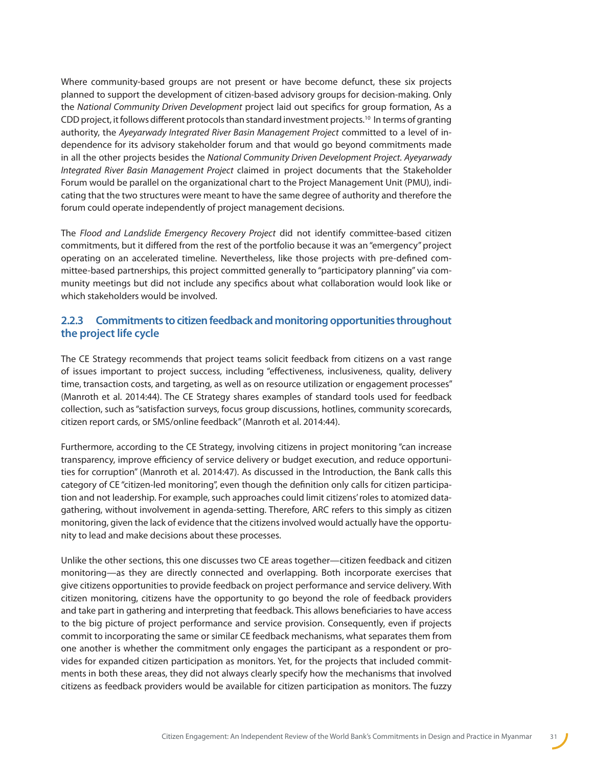Where community-based groups are not present or have become defunct, these six projects planned to support the development of citizen-based advisory groups for decision-making. Only the *National Community Driven Development* project laid out specifics for group formation, As a CDD project, it follows different protocols than standard investment projects.<sup>10</sup> In terms of granting authority, the *Ayeyarwady Integrated River Basin Management Project* committed to a level of independence for its advisory stakeholder forum and that would go beyond commitments made in all the other projects besides the *National Community Driven Development Project. Ayeyarwady Integrated River Basin Management Project* claimed in project documents that the Stakeholder Forum would be parallel on the organizational chart to the Project Management Unit (PMU), indicating that the two structures were meant to have the same degree of authority and therefore the forum could operate independently of project management decisions.

The *Flood and Landslide Emergency Recovery Project* did not identify committee-based citizen commitments, but it differed from the rest of the portfolio because it was an "emergency" project operating on an accelerated timeline. Nevertheless, like those projects with pre-defined committee-based partnerships, this project committed generally to "participatory planning" via community meetings but did not include any specifics about what collaboration would look like or which stakeholders would be involved.

#### **2.2.3 Commitments to citizen feedback and monitoring opportunities throughout the project life cycle**

The CE Strategy recommends that project teams solicit feedback from citizens on a vast range of issues important to project success, including "effectiveness, inclusiveness, quality, delivery time, transaction costs, and targeting, as well as on resource utilization or engagement processes" (Manroth et al. 2014:44). The CE Strategy shares examples of standard tools used for feedback collection, such as "satisfaction surveys, focus group discussions, hotlines, community scorecards, citizen report cards, or SMS/online feedback" (Manroth et al. 2014:44).

Furthermore, according to the CE Strategy, involving citizens in project monitoring "can increase transparency, improve efficiency of service delivery or budget execution, and reduce opportunities for corruption" (Manroth et al. 2014:47). As discussed in the Introduction, the Bank calls this category of CE "citizen-led monitoring", even though the definition only calls for citizen participation and not leadership. For example, such approaches could limit citizens' roles to atomized datagathering, without involvement in agenda-setting. Therefore, ARC refers to this simply as citizen monitoring, given the lack of evidence that the citizens involved would actually have the opportunity to lead and make decisions about these processes.

Unlike the other sections, this one discusses two CE areas together—citizen feedback and citizen monitoring—as they are directly connected and overlapping. Both incorporate exercises that give citizens opportunities to provide feedback on project performance and service delivery. With citizen monitoring, citizens have the opportunity to go beyond the role of feedback providers and take part in gathering and interpreting that feedback. This allows beneficiaries to have access to the big picture of project performance and service provision. Consequently, even if projects commit to incorporating the same or similar CE feedback mechanisms, what separates them from one another is whether the commitment only engages the participant as a respondent or provides for expanded citizen participation as monitors. Yet, for the projects that included commitments in both these areas, they did not always clearly specify how the mechanisms that involved citizens as feedback providers would be available for citizen participation as monitors. The fuzzy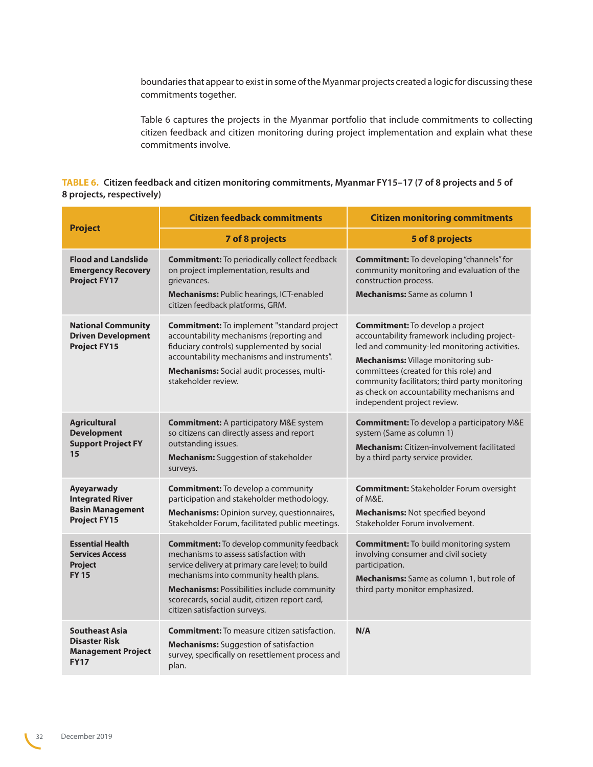boundaries that appear to exist in some of the Myanmar projects created a logic for discussing these commitments together.

Table 6 captures the projects in the Myanmar portfolio that include commitments to collecting citizen feedback and citizen monitoring during project implementation and explain what these commitments involve.

#### **TABLE 6. Citizen feedback and citizen monitoring commitments, Myanmar FY15–17 (7 of 8 projects and 5 of 8 projects, respectively)**

|                                                                                           | <b>Citizen feedback commitments</b>                                                                                                                                                                                                                                                                                         | <b>Citizen monitoring commitments</b>                                                                                                                                                                                                                                                                                                                        |
|-------------------------------------------------------------------------------------------|-----------------------------------------------------------------------------------------------------------------------------------------------------------------------------------------------------------------------------------------------------------------------------------------------------------------------------|--------------------------------------------------------------------------------------------------------------------------------------------------------------------------------------------------------------------------------------------------------------------------------------------------------------------------------------------------------------|
| <b>Project</b>                                                                            | 7 of 8 projects                                                                                                                                                                                                                                                                                                             | 5 of 8 projects                                                                                                                                                                                                                                                                                                                                              |
| <b>Flood and Landslide</b><br><b>Emergency Recovery</b><br><b>Project FY17</b>            | <b>Commitment:</b> To periodically collect feedback<br>on project implementation, results and<br>grievances.<br>Mechanisms: Public hearings, ICT-enabled<br>citizen feedback platforms, GRM.                                                                                                                                | <b>Commitment:</b> To developing "channels" for<br>community monitoring and evaluation of the<br>construction process.<br><b>Mechanisms:</b> Same as column 1                                                                                                                                                                                                |
| <b>National Community</b><br><b>Driven Development</b><br><b>Project FY15</b>             | <b>Commitment:</b> To implement "standard project<br>accountability mechanisms (reporting and<br>fiduciary controls) supplemented by social<br>accountability mechanisms and instruments".<br>Mechanisms: Social audit processes, multi-<br>stakeholder review.                                                             | <b>Commitment:</b> To develop a project<br>accountability framework including project-<br>led and community-led monitoring activities.<br><b>Mechanisms:</b> Village monitoring sub-<br>committees (created for this role) and<br>community facilitators; third party monitoring<br>as check on accountability mechanisms and<br>independent project review. |
| <b>Agricultural</b><br><b>Development</b><br><b>Support Project FY</b><br>15              | <b>Commitment:</b> A participatory M&E system<br>so citizens can directly assess and report<br>outstanding issues.<br><b>Mechanism:</b> Suggestion of stakeholder<br>surveys.                                                                                                                                               | <b>Commitment:</b> To develop a participatory M&E<br>system (Same as column 1)<br><b>Mechanism:</b> Citizen-involvement facilitated<br>by a third party service provider.                                                                                                                                                                                    |
| Ayeyarwady<br><b>Integrated River</b><br><b>Basin Management</b><br><b>Project FY15</b>   | <b>Commitment:</b> To develop a community<br>participation and stakeholder methodology.<br>Mechanisms: Opinion survey, questionnaires,<br>Stakeholder Forum, facilitated public meetings.                                                                                                                                   | <b>Commitment: Stakeholder Forum oversight</b><br>of M&E.<br>Mechanisms: Not specified beyond<br>Stakeholder Forum involvement.                                                                                                                                                                                                                              |
| <b>Essential Health</b><br><b>Services Access</b><br><b>Project</b><br><b>FY15</b>        | <b>Commitment:</b> To develop community feedback<br>mechanisms to assess satisfaction with<br>service delivery at primary care level; to build<br>mechanisms into community health plans.<br>Mechanisms: Possibilities include community<br>scorecards, social audit, citizen report card,<br>citizen satisfaction surveys. | <b>Commitment:</b> To build monitoring system<br>involving consumer and civil society<br>participation.<br><b>Mechanisms:</b> Same as column 1, but role of<br>third party monitor emphasized.                                                                                                                                                               |
| <b>Southeast Asia</b><br><b>Disaster Risk</b><br><b>Management Project</b><br><b>FY17</b> | <b>Commitment:</b> To measure citizen satisfaction.<br><b>Mechanisms:</b> Suggestion of satisfaction<br>survey, specifically on resettlement process and<br>plan.                                                                                                                                                           | N/A                                                                                                                                                                                                                                                                                                                                                          |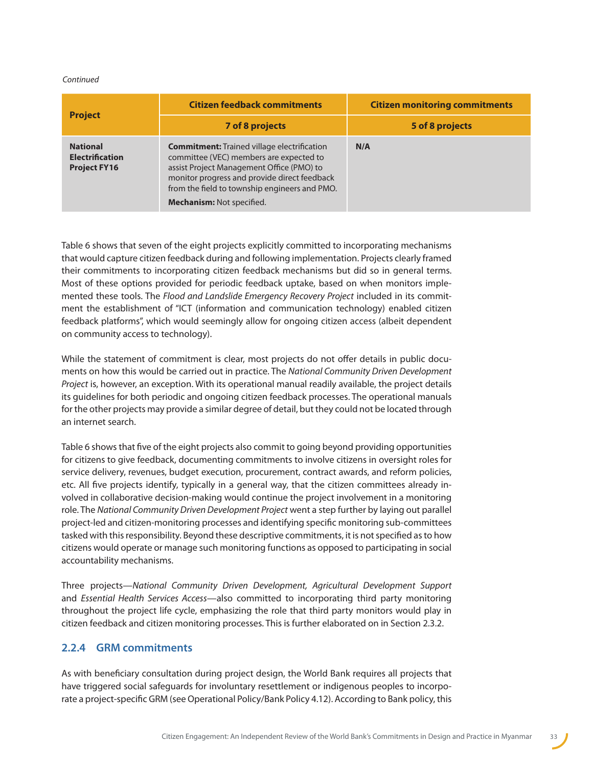#### <span id="page-32-0"></span>*Continued*

|                                                                  | <b>Citizen feedback commitments</b>                                                                                                                                                                                                                                             | <b>Citizen monitoring commitments</b> |  |  |  |
|------------------------------------------------------------------|---------------------------------------------------------------------------------------------------------------------------------------------------------------------------------------------------------------------------------------------------------------------------------|---------------------------------------|--|--|--|
| <b>Project</b>                                                   | 7 of 8 projects                                                                                                                                                                                                                                                                 | 5 of 8 projects                       |  |  |  |
| <b>National</b><br><b>Electrification</b><br><b>Project FY16</b> | <b>Commitment:</b> Trained village electrification<br>committee (VEC) members are expected to<br>assist Project Management Office (PMO) to<br>monitor progress and provide direct feedback<br>from the field to township engineers and PMO.<br><b>Mechanism: Not specified.</b> | N/A                                   |  |  |  |

Table 6 shows that seven of the eight projects explicitly committed to incorporating mechanisms that would capture citizen feedback during and following implementation. Projects clearly framed their commitments to incorporating citizen feedback mechanisms but did so in general terms. Most of these options provided for periodic feedback uptake, based on when monitors implemented these tools. The *Flood and Landslide Emergency Recovery Project* included in its commitment the establishment of "ICT (information and communication technology) enabled citizen feedback platforms", which would seemingly allow for ongoing citizen access (albeit dependent on community access to technology).

While the statement of commitment is clear, most projects do not offer details in public documents on how this would be carried out in practice. The *National Community Driven Development Project* is, however, an exception. With its operational manual readily available, the project details its guidelines for both periodic and ongoing citizen feedback processes. The operational manuals for the other projects may provide a similar degree of detail, but they could not be located through an internet search.

Table 6 shows that five of the eight projects also commit to going beyond providing opportunities for citizens to give feedback, documenting commitments to involve citizens in oversight roles for service delivery, revenues, budget execution, procurement, contract awards, and reform policies, etc. All five projects identify, typically in a general way, that the citizen committees already involved in collaborative decision-making would continue the project involvement in a monitoring role. The *National Community Driven Development Project* went a step further by laying out parallel project-led and citizen-monitoring processes and identifying specific monitoring sub-committees tasked with this responsibility. Beyond these descriptive commitments, it is not specified as to how citizens would operate or manage such monitoring functions as opposed to participating in social accountability mechanisms.

Three projects—*National Community Driven Development, Agricultural Development Support*  and *Essential Health Services Access*—also committed to incorporating third party monitoring throughout the project life cycle, emphasizing the role that third party monitors would play in citizen feedback and citizen monitoring processes. This is further elaborated on in Section 2.3.2.

#### **2.2.4 GRM commitments**

As with beneficiary consultation during project design, the World Bank requires all projects that have triggered social safeguards for involuntary resettlement or indigenous peoples to incorporate a project-specific GRM (see Operational Policy/Bank Policy 4.12). According to Bank policy, this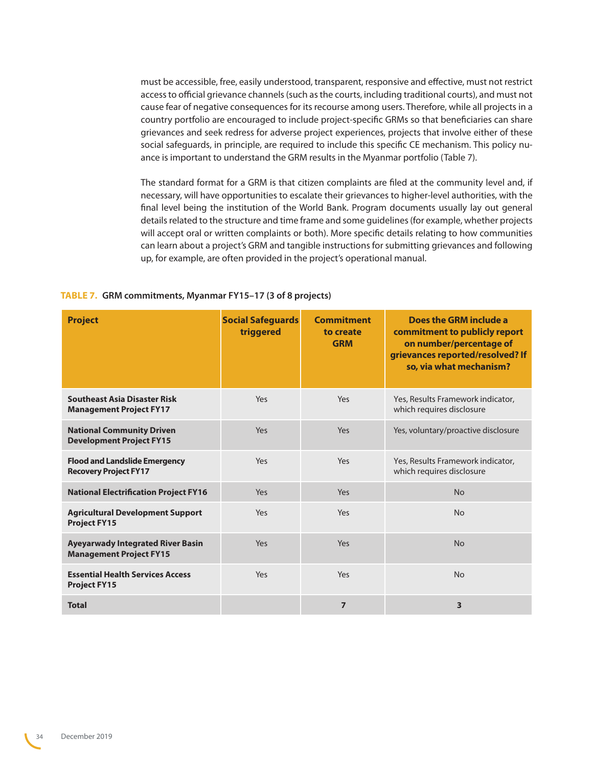must be accessible, free, easily understood, transparent, responsive and effective, must not restrict access to official grievance channels (such as the courts, including traditional courts), and must not cause fear of negative consequences for its recourse among users. Therefore, while all projects in a country portfolio are encouraged to include project-specific GRMs so that beneficiaries can share grievances and seek redress for adverse project experiences, projects that involve either of these social safeguards, in principle, are required to include this specific CE mechanism. This policy nuance is important to understand the GRM results in the Myanmar portfolio (Table 7).

The standard format for a GRM is that citizen complaints are filed at the community level and, if necessary, will have opportunities to escalate their grievances to higher-level authorities, with the final level being the institution of the World Bank. Program documents usually lay out general details related to the structure and time frame and some guidelines (for example, whether projects will accept oral or written complaints or both). More specific details relating to how communities can learn about a project's GRM and tangible instructions for submitting grievances and following up, for example, are often provided in the project's operational manual.

| TABLE 7. GRM commitments, Myanmar FY15-17 (3 of 8 projects) |  |  |  |
|-------------------------------------------------------------|--|--|--|
|-------------------------------------------------------------|--|--|--|

| <b>Project</b>                                                             | <b>Social Safeguards</b><br>triggered | Commitment<br>to create<br><b>GRM</b> | Does the GRM include a<br>commitment to publicly report<br>on number/percentage of<br>grievances reported/resolved? If<br>so, via what mechanism? |
|----------------------------------------------------------------------------|---------------------------------------|---------------------------------------|---------------------------------------------------------------------------------------------------------------------------------------------------|
| <b>Southeast Asia Disaster Risk</b><br><b>Management Project FY17</b>      | Yes                                   | Yes                                   | Yes, Results Framework indicator,<br>which requires disclosure                                                                                    |
| <b>National Community Driven</b><br><b>Development Project FY15</b>        | Yes                                   | Yes                                   | Yes, voluntary/proactive disclosure                                                                                                               |
| <b>Flood and Landslide Emergency</b><br><b>Recovery Project FY17</b>       | Yes                                   | Yes                                   | Yes, Results Framework indicator,<br>which requires disclosure                                                                                    |
| <b>National Electrification Project FY16</b>                               | Yes                                   | Yes                                   | <b>No</b>                                                                                                                                         |
| <b>Agricultural Development Support</b><br><b>Project FY15</b>             | Yes                                   | Yes                                   | <b>No</b>                                                                                                                                         |
| <b>Ayeyarwady Integrated River Basin</b><br><b>Management Project FY15</b> | Yes.                                  | Yes                                   | No                                                                                                                                                |
| <b>Essential Health Services Access</b><br><b>Project FY15</b>             | Yes                                   | Yes                                   | <b>No</b>                                                                                                                                         |
| <b>Total</b>                                                               |                                       | $\overline{7}$                        | 3                                                                                                                                                 |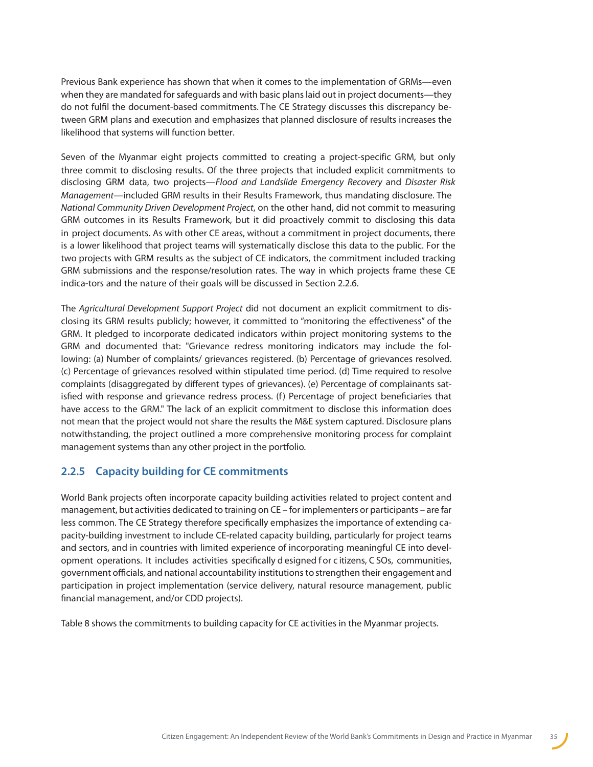<span id="page-34-0"></span>Previous Bank experience has shown that when it comes to the implementation of GRMs—even when they are mandated for safeguards and with basic plans laid out in project documents—they do not fulfil the document-based commitments. The CE Strategy discusses this discrepancy between GRM plans and execution and emphasizes that planned disclosure of results increases the likelihood that systems will function better.

Seven of the Myanmar eight projects committed to creating a project-specific GRM, but only three commit to disclosing results. Of the three projects that included explicit commitments to disclosing GRM data, two projects—*Flood and Landslide Emergency Recovery* and *Disaster Risk Management*—included GRM results in their Results Framework, thus mandating disclosure. The *National Community Driven Development Project*, on the other hand, did not commit to measuring GRM outcomes in its Results Framework, but it did proactively commit to disclosing this data in project documents. As with other CE areas, without a commitment in project documents, there is a lower likelihood that project teams will systematically disclose this data to the public. For the two projects with GRM results as the subject of CE indicators, the commitment included tracking GRM submissions and the response/resolution rates. The way in which projects frame these CE indica-tors and the nature of their goals will be discussed in Section 2.2.6.

The *Agricultural Development Support Project* did not document an explicit commitment to disclosing its GRM results publicly; however, it committed to "monitoring the effectiveness" of the GRM. It pledged to incorporate dedicated indicators within project monitoring systems to the GRM and documented that: "Grievance redress monitoring indicators may include the following: (a) Number of complaints/ grievances registered. (b) Percentage of grievances resolved. (c) Percentage of grievances resolved within stipulated time period. (d) Time required to resolve complaints (disaggregated by different types of grievances). (e) Percentage of complainants satisfied with response and grievance redress process. (f) Percentage of project beneficiaries that have access to the GRM." The lack of an explicit commitment to disclose this information does not mean that the project would not share the results the M&E system captured. Disclosure plans notwithstanding, the project outlined a more comprehensive monitoring process for complaint management systems than any other project in the portfolio.

### **2.2.5 Capacity building for CE commitments**

World Bank projects often incorporate capacity building activities related to project content and management, but activities dedicated to training on CE – for implementers or participants – are far less common. The CE Strategy therefore specifically emphasizes the importance of extending capacity-building investment to include CE-related capacity building, particularly for project teams and sectors, and in countries with limited experience of incorporating meaningful CE into development operations. It includes activities specifically d esigned f or c itizens, C SOs, communities, government officials, and national accountability institutions to strengthen their engagement and participation in project implementation (service delivery, natural resource management, public financial management, and/or CDD projects).

Table 8 shows the commitments to building capacity for CE activities in the Myanmar projects.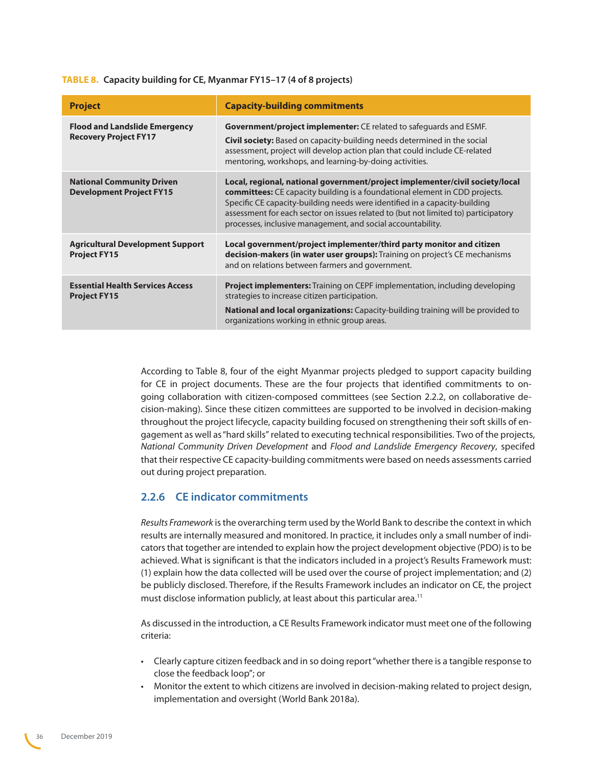#### **TABLE 8. Capacity building for CE, Myanmar FY15–17 (4 of 8 projects)**

| <b>Project</b>                                                       | <b>Capacity-building commitments</b>                                                                                                                                                                                                                                                                                                                                                                  |
|----------------------------------------------------------------------|-------------------------------------------------------------------------------------------------------------------------------------------------------------------------------------------------------------------------------------------------------------------------------------------------------------------------------------------------------------------------------------------------------|
| <b>Flood and Landslide Emergency</b><br><b>Recovery Project FY17</b> | <b>Government/project implementer:</b> CE related to safeguards and ESMF.<br><b>Civil society:</b> Based on capacity-building needs determined in the social<br>assessment, project will develop action plan that could include CE-related<br>mentoring, workshops, and learning-by-doing activities.                                                                                                 |
| <b>National Community Driven</b><br><b>Development Project FY15</b>  | Local, regional, national government/project implementer/civil society/local<br><b>committees:</b> CE capacity building is a foundational element in CDD projects.<br>Specific CE capacity-building needs were identified in a capacity-building<br>assessment for each sector on issues related to (but not limited to) participatory<br>processes, inclusive management, and social accountability. |
| <b>Agricultural Development Support</b><br><b>Project FY15</b>       | Local government/project implementer/third party monitor and citizen<br><b>decision-makers (in water user groups):</b> Training on project's CE mechanisms<br>and on relations between farmers and government.                                                                                                                                                                                        |
| <b>Essential Health Services Access</b><br><b>Project FY15</b>       | <b>Project implementers:</b> Training on CEPF implementation, including developing<br>strategies to increase citizen participation.<br><b>National and local organizations:</b> Capacity-building training will be provided to<br>organizations working in ethnic group areas.                                                                                                                        |

According to Table 8, four of the eight Myanmar projects pledged to support capacity building for CE in project documents. These are the four projects that identified commitments to ongoing collaboration with citizen-composed committees (see Section 2.2.2, on collaborative decision-making). Since these citizen committees are supported to be involved in decision-making throughout the project lifecycle, capacity building focused on strengthening their soft skills of engagement as well as "hard skills" related to executing technical responsibilities. Two of the projects, *National Community Driven Development* and *Flood and Landslide Emergency Recovery*, specifed that their respective CE capacity-building commitments were based on needs assessments carried out during project preparation.

### **2.2.6 CE indicator commitments**

*Results Framework* is the overarching term used by the World Bank to describe the context in which results are internally measured and monitored. In practice, it includes only a small number of indicators that together are intended to explain how the project development objective (PDO) is to be achieved. What is significant is that the indicators included in a project's Results Framework must: (1) explain how the data collected will be used over the course of project implementation; and (2) be publicly disclosed. Therefore, if the Results Framework includes an indicator on CE, the project must disclose information publicly, at least about this particular area.<sup>[11](#page-68-6)</sup>

As discussed in the introduction, a CE Results Framework indicator must meet one of the following criteria:

- Clearly capture citizen feedback and in so doing report "whether there is a tangible response to close the feedback loop"; or
- Monitor the extent to which citizens are involved in decision-making related to project design, implementation and oversight (World Bank 2018a).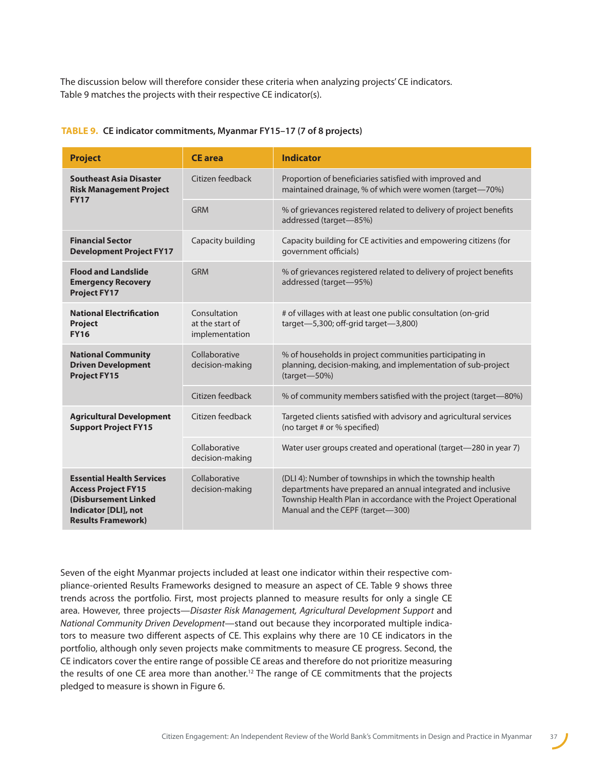The discussion below will therefore consider these criteria when analyzing projects' CE indicators. Table 9 matches the projects with their respective CE indicator(s).

| <b>Project</b>                                                                                                                              | <b>CE</b> area                                    | <b>Indicator</b>                                                                                                                                                                                                                 |
|---------------------------------------------------------------------------------------------------------------------------------------------|---------------------------------------------------|----------------------------------------------------------------------------------------------------------------------------------------------------------------------------------------------------------------------------------|
| <b>Southeast Asia Disaster</b><br><b>Risk Management Project</b>                                                                            | Citizen feedback                                  | Proportion of beneficiaries satisfied with improved and<br>maintained drainage, % of which were women (target-70%)                                                                                                               |
| <b>FY17</b>                                                                                                                                 | GRM                                               | % of grievances registered related to delivery of project benefits<br>addressed (target-85%)                                                                                                                                     |
| <b>Financial Sector</b><br><b>Development Project FY17</b>                                                                                  | Capacity building                                 | Capacity building for CE activities and empowering citizens (for<br>government officials)                                                                                                                                        |
| <b>Flood and Landslide</b><br><b>Emergency Recovery</b><br><b>Project FY17</b>                                                              | <b>GRM</b>                                        | % of grievances registered related to delivery of project benefits<br>addressed (target-95%)                                                                                                                                     |
| <b>National Electrification</b><br><b>Project</b><br><b>FY16</b>                                                                            | Consultation<br>at the start of<br>implementation | # of villages with at least one public consultation (on-grid<br>target- $5,300$ ; off-grid target- $3,800$ )                                                                                                                     |
| <b>National Community</b><br><b>Driven Development</b><br><b>Project FY15</b>                                                               | Collaborative<br>decision-making                  | % of households in project communities participating in<br>planning, decision-making, and implementation of sub-project<br>$(target - 50%)$                                                                                      |
|                                                                                                                                             | Citizen feedback                                  | % of community members satisfied with the project (target—80%)                                                                                                                                                                   |
| <b>Agricultural Development</b><br><b>Support Project FY15</b>                                                                              | Citizen feedback                                  | Targeted clients satisfied with advisory and agricultural services<br>(no target # or % specified)                                                                                                                               |
|                                                                                                                                             | Collaborative<br>decision-making                  | Water user groups created and operational (target-280 in year 7)                                                                                                                                                                 |
| <b>Essential Health Services</b><br><b>Access Project FY15</b><br>(Disbursement Linked<br>Indicator [DLI], not<br><b>Results Framework)</b> | Collaborative<br>decision-making                  | (DLI 4): Number of townships in which the township health<br>departments have prepared an annual integrated and inclusive<br>Township Health Plan in accordance with the Project Operational<br>Manual and the CEPF (target-300) |

#### **TABLE 9. CE indicator commitments, Myanmar FY15–17 (7 of 8 projects)**

Seven of the eight Myanmar projects included at least one indicator within their respective compliance-oriented Results Frameworks designed to measure an aspect of CE. Table 9 shows three trends across the portfolio. First, most projects planned to measure results for only a single CE area. However, three projects—*Disaster Risk Management, Agricultural Development Support* and *National Community Driven Development*—stand out because they incorporated multiple indicators to measure two different aspects of CE. This explains why there are 10 CE indicators in the portfolio, although only seven projects make commitments to measure CE progress. Second, the CE indicators cover the entire range of possible CE areas and therefore do not prioritize measuring the results of one CE area more than another.<sup>12</sup> The range of CE commitments that the projects pledged to measure is shown in Figure 6.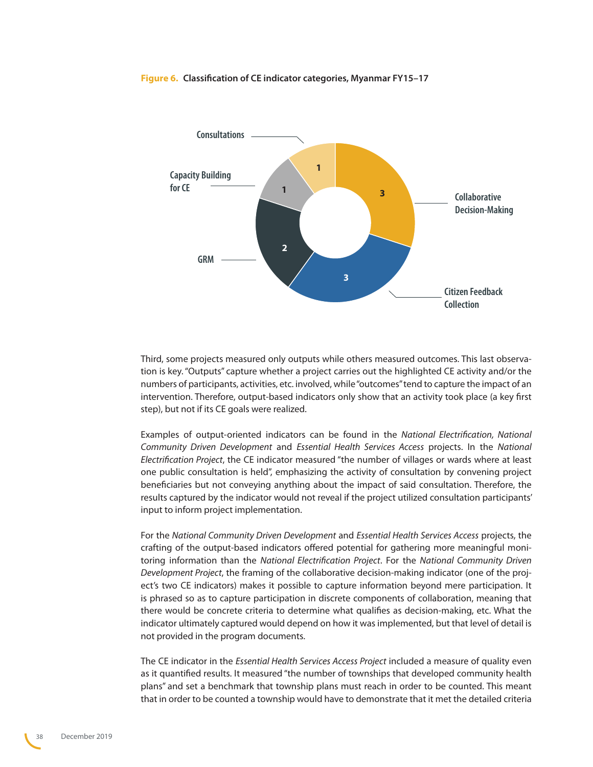#### **Figure 6. Classification of CE indicator categories, Myanmar FY15–17**



Third, some projects measured only outputs while others measured outcomes. This last observation is key. "Outputs" capture whether a project carries out the highlighted CE activity and/or the numbers of participants, activities, etc. involved, while "outcomes" tend to capture the impact of an intervention. Therefore, output-based indicators only show that an activity took place (a key first step), but not if its CE goals were realized.

Examples of output-oriented indicators can be found in the *National Electrification, National Community Driven Development* and *Essential Health Services Access* projects. In the *National Electrification Project*, the CE indicator measured "the number of villages or wards where at least one public consultation is held", emphasizing the activity of consultation by convening project beneficiaries but not conveying anything about the impact of said consultation. Therefore, the results captured by the indicator would not reveal if the project utilized consultation participants' input to inform project implementation.

For the *National Community Driven Development* and *Essential Health Services Access* projects, the crafting of the output-based indicators offered potential for gathering more meaningful monitoring information than the *National Electrification Project*. For the *National Community Driven Development Project*, the framing of the collaborative decision-making indicator (one of the project's two CE indicators) makes it possible to capture information beyond mere participation. It is phrased so as to capture participation in discrete components of collaboration, meaning that there would be concrete criteria to determine what qualifies as decision-making, etc. What the indicator ultimately captured would depend on how it was implemented, but that level of detail is not provided in the program documents.

The CE indicator in the *Essential Health Services Access Project* included a measure of quality even as it quantified results. It measured "the number of townships that developed community health plans" and set a benchmark that township plans must reach in order to be counted. This meant that in order to be counted a township would have to demonstrate that it met the detailed criteria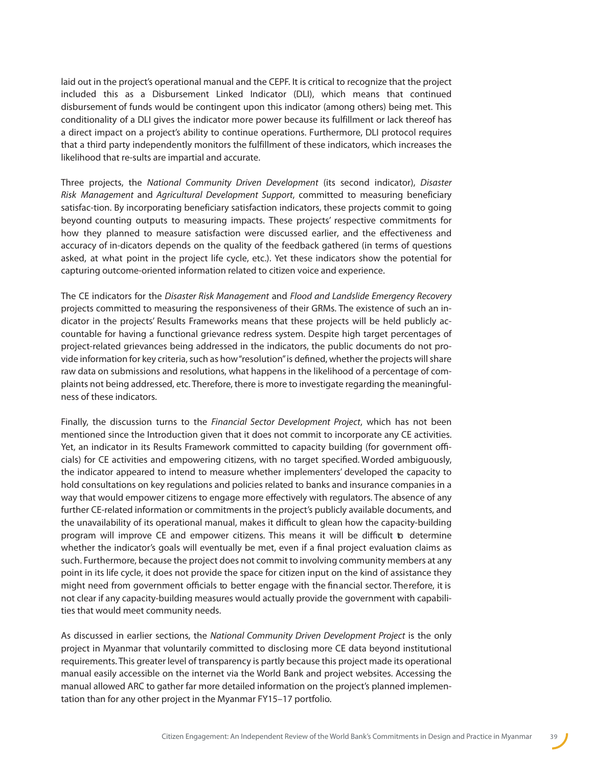laid out in the project's operational manual and the CEPF. It is critical to recognize that the project included this as a Disbursement Linked Indicator (DLI), which means that continued disbursement of funds would be contingent upon this indicator (among others) being met. This conditionality of a DLI gives the indicator more power because its fulfillment or lack thereof has a direct impact on a project's ability to continue operations. Furthermore, DLI protocol requires that a third party independently monitors the fulfillment of these indicators, which increases the likelihood that re-sults are impartial and accurate.

Three projects, the *National Community Driven Development* (its second indicator), *Disaster Risk Management* and *Agricultural Development Support*, committed to measuring beneficiary satisfac-tion. By incorporating beneficiary satisfaction indicators, these projects commit to going beyond counting outputs to measuring impacts. These projects' respective commitments for how they planned to measure satisfaction were discussed earlier, and the effectiveness and accuracy of in-dicators depends on the quality of the feedback gathered (in terms of questions asked, at what point in the project life cycle, etc.). Yet these indicators show the potential for capturing outcome-oriented information related to citizen voice and experience.

The CE indicators for the *Disaster Risk Management* and *Flood and Landslide Emergency Recovery*  projects committed to measuring the responsiveness of their GRMs. The existence of such an indicator in the projects' Results Frameworks means that these projects will be held publicly accountable for having a functional grievance redress system. Despite high target percentages of project-related grievances being addressed in the indicators, the public documents do not provide information for key criteria, such as how"resolution"is defined, whether the projects will share raw data on submissions and resolutions, what happens in the likelihood of a percentage of complaints not being addressed, etc. Therefore, there is more to investigate regarding the meaningfulness of these indicators.

Finally, the discussion turns to the *Financial Sector Development Project*, which has not been mentioned since the Introduction given that it does not commit to incorporate any CE activities. Yet, an indicator in its Results Framework committed to capacity building (for government officials) for CE activities and empowering citizens, with no target specified. Worded ambiguously, the indicator appeared to intend to measure whether implementers' developed the capacity to hold consultations on key regulations and policies related to banks and insurance companies in a way that would empower citizens to engage more effectively with regulators. The absence of any further CE-related information or commitments in the project's publicly available documents, and the unavailability of its operational manual, makes it difficult to glean how the capacity-building program will improve CE and empower citizens. This means it will be difficult to determine whether the indicator's goals will eventually be met, even if a final project evaluation claims as such. Furthermore, because the project does not commit to involving community members at any point in its life cycle, it does not provide the space for citizen input on the kind of assistance they might need from government officials to better engage with the financial sector. Therefore, it is not clear if any capacity-building measures would actually provide the government with capabilities that would meet community needs.

As discussed in earlier sections, the *National Community Driven Development Project* is the only project in Myanmar that voluntarily committed to disclosing more CE data beyond institutional requirements. This greater level of transparency is partly because this project made its operational manual easily accessible on the internet via the World Bank and project websites. Accessing the manual allowed ARC to gather far more detailed information on the project's planned implementation than for any other project in the Myanmar FY15–17 portfolio.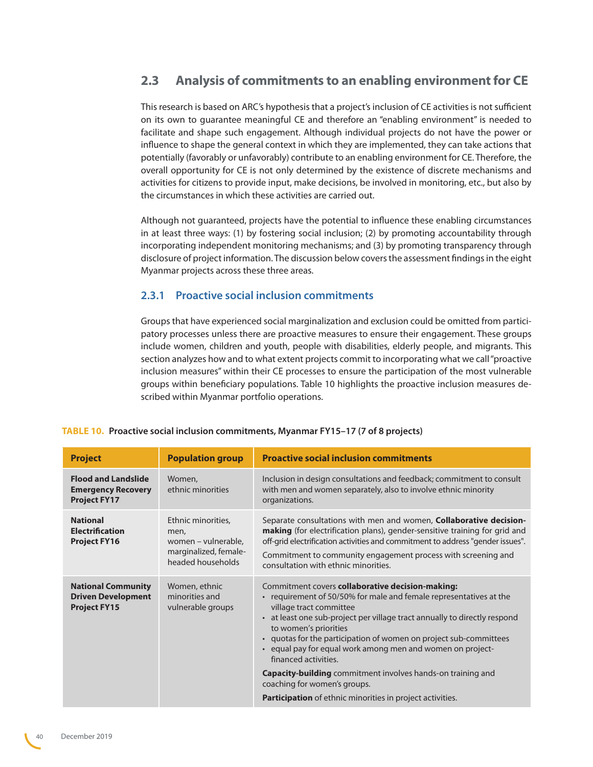## <span id="page-39-0"></span>**2.3 Analysis of commitments to an enabling environment for CE**

This research is based on ARC's hypothesis that a project's inclusion of CE activities is not sufficient on its own to guarantee meaningful CE and therefore an "enabling environment" is needed to facilitate and shape such engagement. Although individual projects do not have the power or influence to shape the general context in which they are implemented, they can take actions that potentially (favorably or unfavorably) contribute to an enabling environment for CE. Therefore, the overall opportunity for CE is not only determined by the existence of discrete mechanisms and activities for citizens to provide input, make decisions, be involved in monitoring, etc., but also by the circumstances in which these activities are carried out.

Although not guaranteed, projects have the potential to influence these enabling circumstances in at least three ways: (1) by fostering social inclusion; (2) by promoting accountability through incorporating independent monitoring mechanisms; and (3) by promoting transparency through disclosure of project information. The discussion below covers the assessment findings in the eight Myanmar projects across these three areas.

### **2.3.1 Proactive social inclusion commitments**

Groups that have experienced social marginalization and exclusion could be omitted from participatory processes unless there are proactive measures to ensure their engagement. These groups include women, children and youth, people with disabilities, elderly people, and migrants. This section analyzes how and to what extent projects commit to incorporating what we call "proactive inclusion measures" within their CE processes to ensure the participation of the most vulnerable groups within beneficiary populations. Table 10 highlights the proactive inclusion measures described within Myanmar portfolio operations.

| <b>Project</b>                                                                 | <b>Population group</b>                                                                         | <b>Proactive social inclusion commitments</b>                                                                                                                                                                                                                                                                                                                                                                                                                                                                                                                                                |
|--------------------------------------------------------------------------------|-------------------------------------------------------------------------------------------------|----------------------------------------------------------------------------------------------------------------------------------------------------------------------------------------------------------------------------------------------------------------------------------------------------------------------------------------------------------------------------------------------------------------------------------------------------------------------------------------------------------------------------------------------------------------------------------------------|
| <b>Flood and Landslide</b><br><b>Emergency Recovery</b><br><b>Project FY17</b> | Women,<br>ethnic minorities                                                                     | Inclusion in design consultations and feedback; commitment to consult<br>with men and women separately, also to involve ethnic minority<br>organizations.                                                                                                                                                                                                                                                                                                                                                                                                                                    |
| <b>National</b><br><b>Electrification</b><br><b>Project FY16</b>               | Ethnic minorities,<br>men,<br>women – vulnerable,<br>marginalized, female-<br>headed households | Separate consultations with men and women, <b>Collaborative decision-</b><br>making (for electrification plans), gender-sensitive training for grid and<br>off-grid electrification activities and commitment to address "gender issues".<br>Commitment to community engagement process with screening and<br>consultation with ethnic minorities.                                                                                                                                                                                                                                           |
| <b>National Community</b><br><b>Driven Development</b><br><b>Project FY15</b>  | Women, ethnic<br>minorities and<br>vulnerable groups                                            | Commitment covers collaborative decision-making:<br>• requirement of 50/50% for male and female representatives at the<br>village tract committee<br>• at least one sub-project per village tract annually to directly respond<br>to women's priorities<br>• quotas for the participation of women on project sub-committees<br>• equal pay for equal work among men and women on project-<br>financed activities.<br><b>Capacity-building</b> commitment involves hands-on training and<br>coaching for women's groups.<br><b>Participation</b> of ethnic minorities in project activities. |

#### **TABLE 10. Proactive social inclusion commitments, Myanmar FY15–17 (7 of 8 projects)**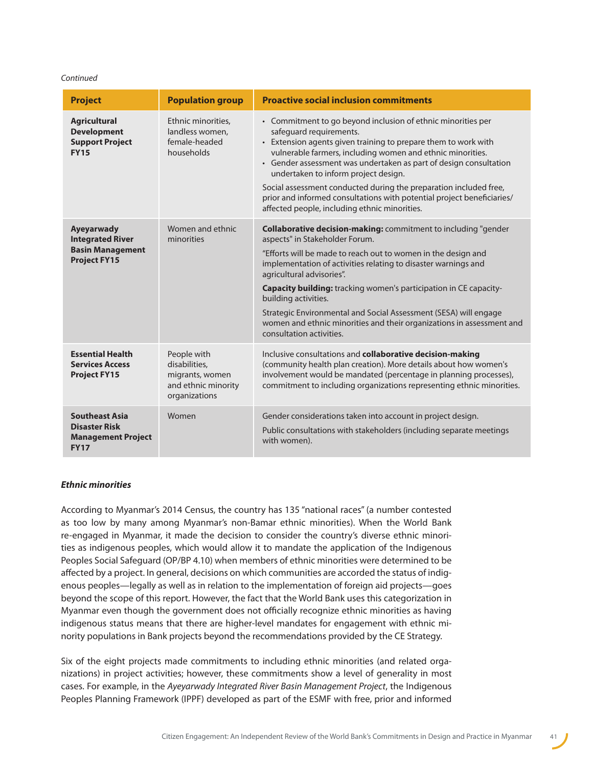#### *Continued*

| <b>Project</b>                                                                            | <b>Population group</b>                                                                 | <b>Proactive social inclusion commitments</b>                                                                                                                                                                                                                                                                                                                                                                                                                                                                                                 |
|-------------------------------------------------------------------------------------------|-----------------------------------------------------------------------------------------|-----------------------------------------------------------------------------------------------------------------------------------------------------------------------------------------------------------------------------------------------------------------------------------------------------------------------------------------------------------------------------------------------------------------------------------------------------------------------------------------------------------------------------------------------|
| <b>Agricultural</b><br><b>Development</b><br><b>Support Project</b><br><b>FY15</b>        | Ethnic minorities,<br>landless women,<br>female-headed<br>households                    | • Commitment to go beyond inclusion of ethnic minorities per<br>safequard requirements.<br>• Extension agents given training to prepare them to work with<br>vulnerable farmers, including women and ethnic minorities.<br>• Gender assessment was undertaken as part of design consultation<br>undertaken to inform project design.<br>Social assessment conducted during the preparation included free,<br>prior and informed consultations with potential project beneficiaries/<br>affected people, including ethnic minorities.          |
| Ayeyarwady<br><b>Integrated River</b><br><b>Basin Management</b><br><b>Project FY15</b>   | Women and ethnic<br>minorities                                                          | <b>Collaborative decision-making:</b> commitment to including "gender<br>aspects" in Stakeholder Forum.<br>"Efforts will be made to reach out to women in the design and<br>implementation of activities relating to disaster warnings and<br>agricultural advisories".<br>Capacity building: tracking women's participation in CE capacity-<br>building activities.<br>Strategic Environmental and Social Assessment (SESA) will engage<br>women and ethnic minorities and their organizations in assessment and<br>consultation activities. |
| <b>Essential Health</b><br><b>Services Access</b><br><b>Project FY15</b>                  | People with<br>disabilities,<br>migrants, women<br>and ethnic minority<br>organizations | Inclusive consultations and collaborative decision-making<br>(community health plan creation). More details about how women's<br>involvement would be mandated (percentage in planning processes),<br>commitment to including organizations representing ethnic minorities.                                                                                                                                                                                                                                                                   |
| <b>Southeast Asia</b><br><b>Disaster Risk</b><br><b>Management Project</b><br><b>FY17</b> | Women                                                                                   | Gender considerations taken into account in project design.<br>Public consultations with stakeholders (including separate meetings<br>with women).                                                                                                                                                                                                                                                                                                                                                                                            |

#### *Ethnic minorities*

According to Myanmar's 2014 Census, the country has 135 "national races" (a number contested as too low by many among Myanmar's non-Bamar ethnic minorities). When the World Bank re-engaged in Myanmar, it made the decision to consider the country's diverse ethnic minorities as indigenous peoples, which would allow it to mandate the application of the Indigenous Peoples Social Safeguard (OP/BP 4.10) when members of ethnic minorities were determined to be affected by a project. In general, decisions on which communities are accorded the status of indigenous peoples—legally as well as in relation to the implementation of foreign aid projects—goes beyond the scope of this report. However, the fact that the World Bank uses this categorization in Myanmar even though the government does not officially recognize ethnic minorities as having indigenous status means that there are higher-level mandates for engagement with ethnic minority populations in Bank projects beyond the recommendations provided by the CE Strategy.

Six of the eight projects made commitments to including ethnic minorities (and related organizations) in project activities; however, these commitments show a level of generality in most cases. For example, in the *Ayeyarwady Integrated River Basin Management Project*, the Indigenous Peoples Planning Framework (IPPF) developed as part of the ESMF with free, prior and informed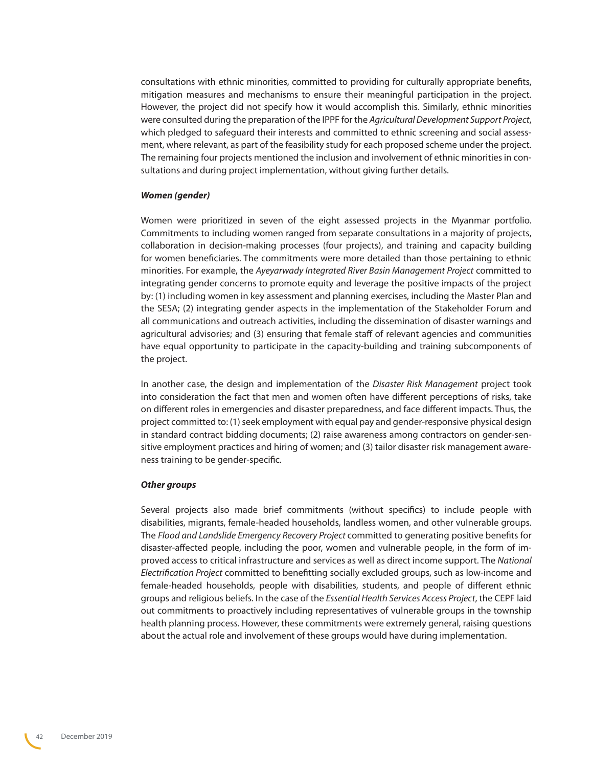consultations with ethnic minorities, committed to providing for culturally appropriate benefits, mitigation measures and mechanisms to ensure their meaningful participation in the project. However, the project did not specify how it would accomplish this. Similarly, ethnic minorities were consulted during the preparation of the IPPF for the *Agricultural Development Support Project*, which pledged to safeguard their interests and committed to ethnic screening and social assessment, where relevant, as part of the feasibility study for each proposed scheme under the project. The remaining four projects mentioned the inclusion and involvement of ethnic minorities in consultations and during project implementation, without giving further details.

#### *Women (gender)*

Women were prioritized in seven of the eight assessed projects in the Myanmar portfolio. Commitments to including women ranged from separate consultations in a majority of projects, collaboration in decision-making processes (four projects), and training and capacity building for women beneficiaries. The commitments were more detailed than those pertaining to ethnic minorities. For example, the *Ayeyarwady Integrated River Basin Management Project* committed to integrating gender concerns to promote equity and leverage the positive impacts of the project by: (1) including women in key assessment and planning exercises, including the Master Plan and the SESA; (2) integrating gender aspects in the implementation of the Stakeholder Forum and all communications and outreach activities, including the dissemination of disaster warnings and agricultural advisories; and (3) ensuring that female staff of relevant agencies and communities have equal opportunity to participate in the capacity-building and training subcomponents of the project.

In another case, the design and implementation of the *Disaster Risk Management* project took into consideration the fact that men and women often have different perceptions of risks, take on different roles in emergencies and disaster preparedness, and face different impacts. Thus, the project committed to: (1) seek employment with equal pay and gender-responsive physical design in standard contract bidding documents; (2) raise awareness among contractors on gender-sensitive employment practices and hiring of women; and (3) tailor disaster risk management awareness training to be gender-specific.

#### *Other groups*

Several projects also made brief commitments (without specifics) to include people with disabilities, migrants, female-headed households, landless women, and other vulnerable groups. The *Flood and Landslide Emergency Recovery Project* committed to generating positive benefits for disaster-affected people, including the poor, women and vulnerable people, in the form of improved access to critical infrastructure and services as well as direct income support. The *National Electrification Project* committed to benefitting socially excluded groups, such as low-income and female-headed households, people with disabilities, students, and people of different ethnic groups and religious beliefs. In the case of the *Essential Health Services Access Project*, the CEPF laid out commitments to proactively including representatives of vulnerable groups in the township health planning process. However, these commitments were extremely general, raising questions about the actual role and involvement of these groups would have during implementation.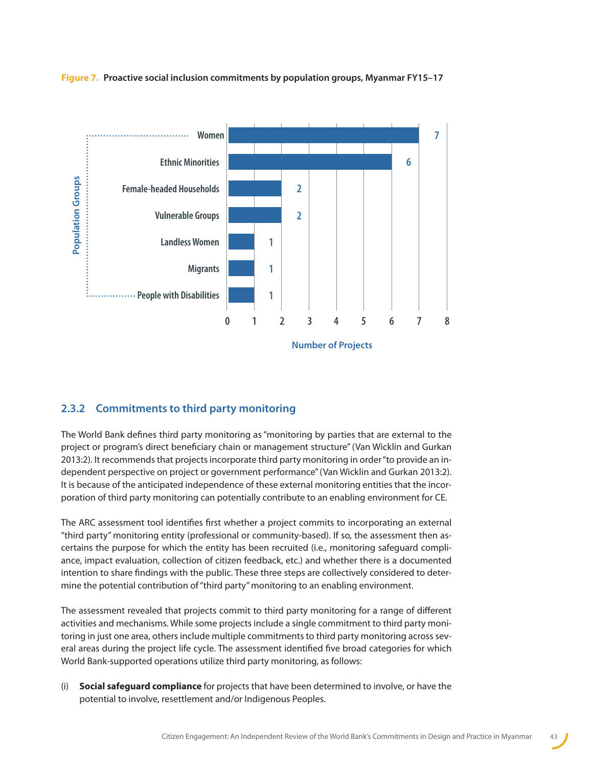

<span id="page-42-0"></span>**Figure 7. Proactive social inclusion commitments by population groups, Myanmar FY15–17**

### **2.3.2 Commitments to third party monitoring**

The World Bank defines third party monitoring as "monitoring by parties that are external to the project or program's direct beneficiary chain or management structure" (Van Wicklin and Gurkan 2013:2). It recommends that projects incorporate third party monitoring in order "to provide an independent perspective on project or government performance" (Van Wicklin and Gurkan 2013:2). It is because of the anticipated independence of these external monitoring entities that the incorporation of third party monitoring can potentially contribute to an enabling environment for CE.

The ARC assessment tool identifies first whether a project commits to incorporating an external "third party" monitoring entity (professional or community-based). If so, the assessment then ascertains the purpose for which the entity has been recruited (i.e., monitoring safeguard compliance, impact evaluation, collection of citizen feedback, etc.) and whether there is a documented intention to share findings with the public. These three steps are collectively considered to determine the potential contribution of "third party" monitoring to an enabling environment.

The assessment revealed that projects commit to third party monitoring for a range of different activities and mechanisms. While some projects include a single commitment to third party monitoring in just one area, others include multiple commitments to third party monitoring across several areas during the project life cycle. The assessment identified five broad categories for which World Bank-supported operations utilize third party monitoring, as follows:

(i) **Social safeguard compliance** for projects that have been determined to involve, or have the potential to involve, resettlement and/or Indigenous Peoples.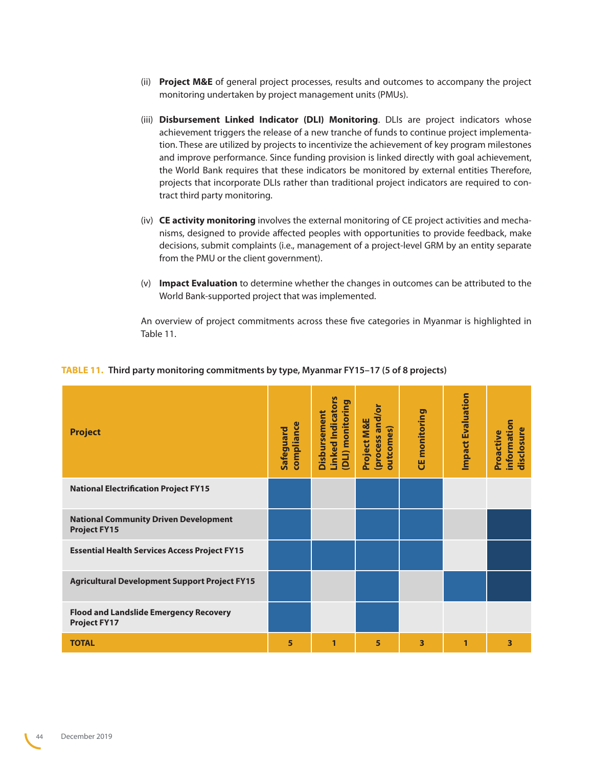- (ii) **Project M&E** of general project processes, results and outcomes to accompany the project monitoring undertaken by project management units (PMUs).
- (iii) **Disbursement Linked Indicator (DLI) Monitoring**. DLIs are project indicators whose achievement triggers the release of a new tranche of funds to continue project implementation. These are utilized by projects to incentivize the achievement of key program milestones and improve performance. Since funding provision is linked directly with goal achievement, the World Bank requires that these indicators be monitored by external entities Therefore, projects that incorporate DLIs rather than traditional project indicators are required to contract third party monitoring.
- (iv) **CE activity monitoring** involves the external monitoring of CE project activities and mechanisms, designed to provide affected peoples with opportunities to provide feedback, make decisions, submit complaints (i.e., management of a project-level GRM by an entity separate from the PMU or the client government).
- (v) **Impact Evaluation** to determine whether the changes in outcomes can be attributed to the World Bank-supported project that was implemented.

An overview of project commitments across these five categories in Myanmar is highlighted in Table 11.

| <b>Project</b>                                                       | compliance<br>Safeguard | <b>Linked Indicators</b><br>(DLI) monitoring<br>Disbursement | (process and/or<br>Project M&E<br>outcomes) | monitoring<br>٣ | <b>Impact Evaluation</b> | information<br>disclosure<br>Proactive |
|----------------------------------------------------------------------|-------------------------|--------------------------------------------------------------|---------------------------------------------|-----------------|--------------------------|----------------------------------------|
| <b>National Electrification Project FY15</b>                         |                         |                                                              |                                             |                 |                          |                                        |
| <b>National Community Driven Development</b><br><b>Project FY15</b>  |                         |                                                              |                                             |                 |                          |                                        |
| <b>Essential Health Services Access Project FY15</b>                 |                         |                                                              |                                             |                 |                          |                                        |
| <b>Agricultural Development Support Project FY15</b>                 |                         |                                                              |                                             |                 |                          |                                        |
| <b>Flood and Landslide Emergency Recovery</b><br><b>Project FY17</b> |                         |                                                              |                                             |                 |                          |                                        |
| <b>TOTAL</b>                                                         | 5                       | 1                                                            | 5                                           | 3               | 1                        | 3                                      |

#### **TABLE 11. Third party monitoring commitments by type, Myanmar FY15–17 (5 of 8 projects)**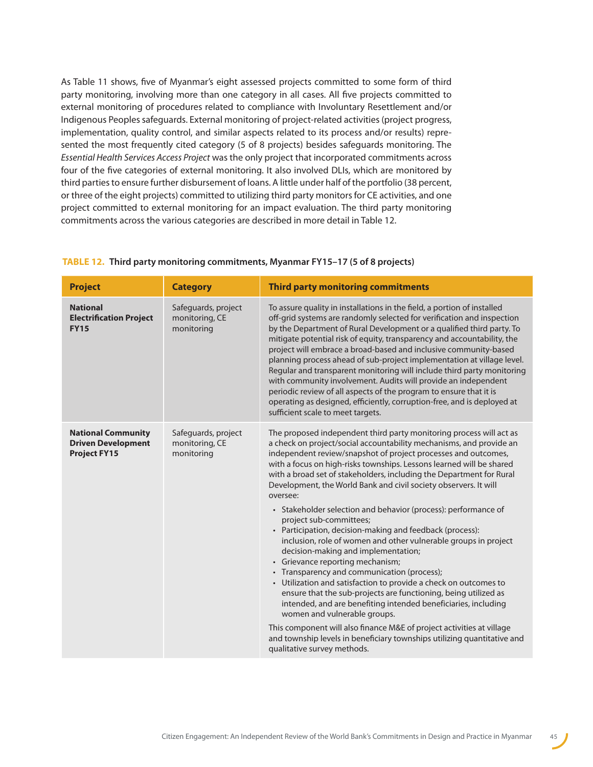As Table 11 shows, five of Myanmar's eight assessed projects committed to some form of third party monitoring, involving more than one category in all cases. All five projects committed to external monitoring of procedures related to compliance with Involuntary Resettlement and/or Indigenous Peoples safeguards. External monitoring of project-related activities (project progress, implementation, quality control, and similar aspects related to its process and/or results) represented the most frequently cited category (5 of 8 projects) besides safeguards monitoring. The *Essential Health Services Access Project* was the only project that incorporated commitments across four of the five categories of external monitoring. It also involved DLIs, which are monitored by third parties to ensure further disbursement of loans. A little under half of the portfolio (38 percent, or three of the eight projects) committed to utilizing third party monitors for CE activities, and one project committed to external monitoring for an impact evaluation. The third party monitoring commitments across the various categories are described in more detail in Table 12.

| <b>Project</b>                                                                | <b>Category</b>                                     | <b>Third party monitoring commitments</b>                                                                                                                                                                                                                                                                                                                                                                                                                                                                                                                                                                                                                                                                                                                                                                                                                                                                                                                                                                                                                                                                                                                                                                                    |
|-------------------------------------------------------------------------------|-----------------------------------------------------|------------------------------------------------------------------------------------------------------------------------------------------------------------------------------------------------------------------------------------------------------------------------------------------------------------------------------------------------------------------------------------------------------------------------------------------------------------------------------------------------------------------------------------------------------------------------------------------------------------------------------------------------------------------------------------------------------------------------------------------------------------------------------------------------------------------------------------------------------------------------------------------------------------------------------------------------------------------------------------------------------------------------------------------------------------------------------------------------------------------------------------------------------------------------------------------------------------------------------|
| <b>National</b><br><b>Electrification Project</b><br><b>FY15</b>              | Safeguards, project<br>monitoring, CE<br>monitoring | To assure quality in installations in the field, a portion of installed<br>off-grid systems are randomly selected for verification and inspection<br>by the Department of Rural Development or a qualified third party. To<br>mitigate potential risk of equity, transparency and accountability, the<br>project will embrace a broad-based and inclusive community-based<br>planning process ahead of sub-project implementation at village level.<br>Regular and transparent monitoring will include third party monitoring<br>with community involvement. Audits will provide an independent<br>periodic review of all aspects of the program to ensure that it is<br>operating as designed, efficiently, corruption-free, and is deployed at<br>sufficient scale to meet targets.                                                                                                                                                                                                                                                                                                                                                                                                                                        |
| <b>National Community</b><br><b>Driven Development</b><br><b>Project FY15</b> | Safeguards, project<br>monitoring, CE<br>monitoring | The proposed independent third party monitoring process will act as<br>a check on project/social accountability mechanisms, and provide an<br>independent review/snapshot of project processes and outcomes,<br>with a focus on high-risks townships. Lessons learned will be shared<br>with a broad set of stakeholders, including the Department for Rural<br>Development, the World Bank and civil society observers. It will<br>oversee:<br>• Stakeholder selection and behavior (process): performance of<br>project sub-committees;<br>• Participation, decision-making and feedback (process):<br>inclusion, role of women and other vulnerable groups in project<br>decision-making and implementation;<br>Grievance reporting mechanism;<br>• Transparency and communication (process);<br>• Utilization and satisfaction to provide a check on outcomes to<br>ensure that the sub-projects are functioning, being utilized as<br>intended, and are benefiting intended beneficiaries, including<br>women and vulnerable groups.<br>This component will also finance M&E of project activities at village<br>and township levels in beneficiary townships utilizing quantitative and<br>qualitative survey methods. |

#### **TABLE 12. Third party monitoring commitments, Myanmar FY15–17 (5 of 8 projects)**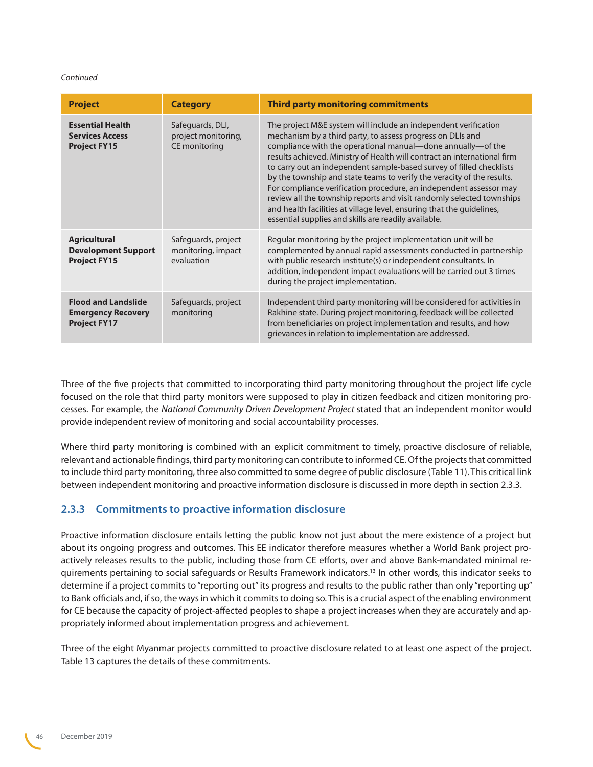#### <span id="page-45-0"></span>*Continued*

| <b>Project</b>                                                                 | <b>Category</b>                                          | <b>Third party monitoring commitments</b>                                                                                                                                                                                                                                                                                                                                                                                                                                                                                                                                                                                                                                                                  |
|--------------------------------------------------------------------------------|----------------------------------------------------------|------------------------------------------------------------------------------------------------------------------------------------------------------------------------------------------------------------------------------------------------------------------------------------------------------------------------------------------------------------------------------------------------------------------------------------------------------------------------------------------------------------------------------------------------------------------------------------------------------------------------------------------------------------------------------------------------------------|
| <b>Essential Health</b><br><b>Services Access</b><br><b>Project FY15</b>       | Safeguards, DLI,<br>project monitoring,<br>CE monitoring | The project M&E system will include an independent verification<br>mechanism by a third party, to assess progress on DLIs and<br>compliance with the operational manual-done annually-of the<br>results achieved. Ministry of Health will contract an international firm<br>to carry out an independent sample-based survey of filled checklists<br>by the township and state teams to verify the veracity of the results.<br>For compliance verification procedure, an independent assessor may<br>review all the township reports and visit randomly selected townships<br>and health facilities at village level, ensuring that the guidelines,<br>essential supplies and skills are readily available. |
| <b>Agricultural</b><br><b>Development Support</b><br><b>Project FY15</b>       | Safeguards, project<br>monitoring, impact<br>evaluation  | Regular monitoring by the project implementation unit will be<br>complemented by annual rapid assessments conducted in partnership<br>with public research institute(s) or independent consultants. In<br>addition, independent impact evaluations will be carried out 3 times<br>during the project implementation.                                                                                                                                                                                                                                                                                                                                                                                       |
| <b>Flood and Landslide</b><br><b>Emergency Recovery</b><br><b>Project FY17</b> | Safeguards, project<br>monitoring                        | Independent third party monitoring will be considered for activities in<br>Rakhine state. During project monitoring, feedback will be collected<br>from beneficiaries on project implementation and results, and how<br>grievances in relation to implementation are addressed.                                                                                                                                                                                                                                                                                                                                                                                                                            |

Three of the five projects that committed to incorporating third party monitoring throughout the project life cycle focused on the role that third party monitors were supposed to play in citizen feedback and citizen monitoring processes. For example, the *National Community Driven Development Project* stated that an independent monitor would provide independent review of monitoring and social accountability processes.

Where third party monitoring is combined with an explicit commitment to timely, proactive disclosure of reliable, relevant and actionable findings, third party monitoring can contribute to informed CE. Of the projects that committed to include third party monitoring, three also committed to some degree of public disclosure (Table 11). This critical link between independent monitoring and proactive information disclosure is discussed in more depth in section 2.3.3.

### **2.3.3 Commitments to proactive information disclosure**

Proactive information disclosure entails letting the public know not just about the mere existence of a project but about its ongoing progress and outcomes. This EE indicator therefore measures whether a World Bank project proactively releases results to the public, including those from CE efforts, over and above Bank-mandated minimal requirements pertaining to social safeguards or Results Framework indicators.[13](#page-68-8) In other words, this indicator seeks to determine if a project commits to "reporting out" its progress and results to the public rather than only "reporting up" to Bank officials and, if so, the ways in which it commits to doing so. This is a crucial aspect of the enabling environment for CE because the capacity of project-affected peoples to shape a project increases when they are accurately and appropriately informed about implementation progress and achievement.

Three of the eight Myanmar projects committed to proactive disclosure related to at least one aspect of the project. Table 13 captures the details of these commitments.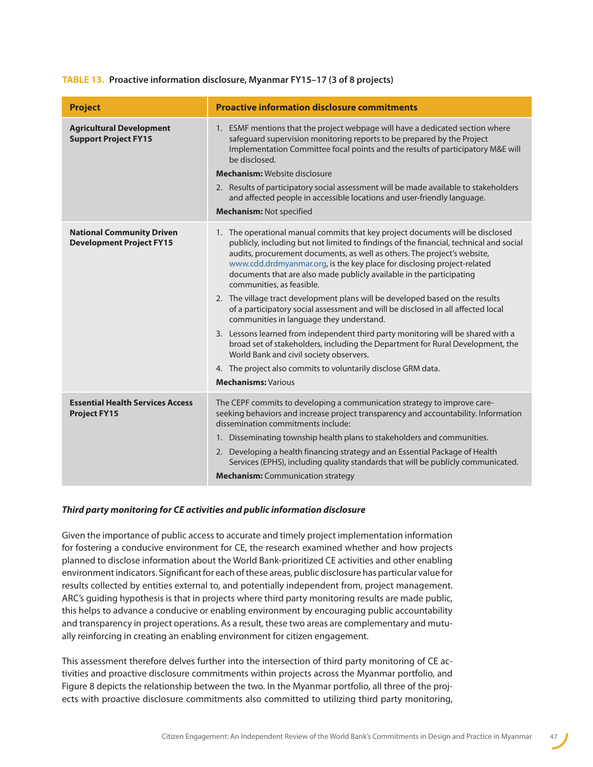#### **TABLE 13. Proactive information disclosure, Myanmar FY15–17 (3 of 8 projects)**

| <b>Project</b>                                                      | <b>Proactive information disclosure commitments</b>                                                                                                                                                                                                                                                                                                                                                                                                                                                                                                                                                                                                                                                                                                                                                                                                                                                                                                                   |
|---------------------------------------------------------------------|-----------------------------------------------------------------------------------------------------------------------------------------------------------------------------------------------------------------------------------------------------------------------------------------------------------------------------------------------------------------------------------------------------------------------------------------------------------------------------------------------------------------------------------------------------------------------------------------------------------------------------------------------------------------------------------------------------------------------------------------------------------------------------------------------------------------------------------------------------------------------------------------------------------------------------------------------------------------------|
| <b>Agricultural Development</b><br><b>Support Project FY15</b>      | 1. ESMF mentions that the project webpage will have a dedicated section where<br>safeguard supervision monitoring reports to be prepared by the Project<br>Implementation Committee focal points and the results of participatory M&E will<br>be disclosed.<br><b>Mechanism:</b> Website disclosure<br>2. Results of participatory social assessment will be made available to stakeholders<br>and affected people in accessible locations and user-friendly language.<br><b>Mechanism: Not specified</b>                                                                                                                                                                                                                                                                                                                                                                                                                                                             |
| <b>National Community Driven</b><br><b>Development Project FY15</b> | 1. The operational manual commits that key project documents will be disclosed<br>publicly, including but not limited to findings of the financial, technical and social<br>audits, procurement documents, as well as others. The project's website,<br>www.cdd.drdmyanmar.org, is the key place for disclosing project-related<br>documents that are also made publicly available in the participating<br>communities, as feasible.<br>2. The village tract development plans will be developed based on the results<br>of a participatory social assessment and will be disclosed in all affected local<br>communities in language they understand.<br>3. Lessons learned from independent third party monitoring will be shared with a<br>broad set of stakeholders, including the Department for Rural Development, the<br>World Bank and civil society observers.<br>4. The project also commits to voluntarily disclose GRM data.<br><b>Mechanisms: Various</b> |
| <b>Essential Health Services Access</b><br><b>Project FY15</b>      | The CEPF commits to developing a communication strategy to improve care-<br>seeking behaviors and increase project transparency and accountability. Information<br>dissemination commitments include:<br>1. Disseminating township health plans to stakeholders and communities.<br>2. Developing a health financing strategy and an Essential Package of Health<br>Services (EPHS), including quality standards that will be publicly communicated.<br><b>Mechanism:</b> Communication strategy                                                                                                                                                                                                                                                                                                                                                                                                                                                                      |

#### *Third party monitoring for CE activities and public information disclosure*

Given the importance of public access to accurate and timely project implementation information for fostering a conducive environment for CE, the research examined whether and how projects planned to disclose information about the World Bank-prioritized CE activities and other enabling environment indicators. Significant for each of these areas, public disclosure has particular value for results collected by entities external to, and potentially independent from, project management. ARC's guiding hypothesis is that in projects where third party monitoring results are made public, this helps to advance a conducive or enabling environment by encouraging public accountability and transparency in project operations. As a result, these two areas are complementary and mutually reinforcing in creating an enabling environment for citizen engagement.

This assessment therefore delves further into the intersection of third party monitoring of CE activities and proactive disclosure commitments within projects across the Myanmar portfolio, and Figure 8 depicts the relationship between the two. In the Myanmar portfolio, all three of the projects with proactive disclosure commitments also committed to utilizing third party monitoring,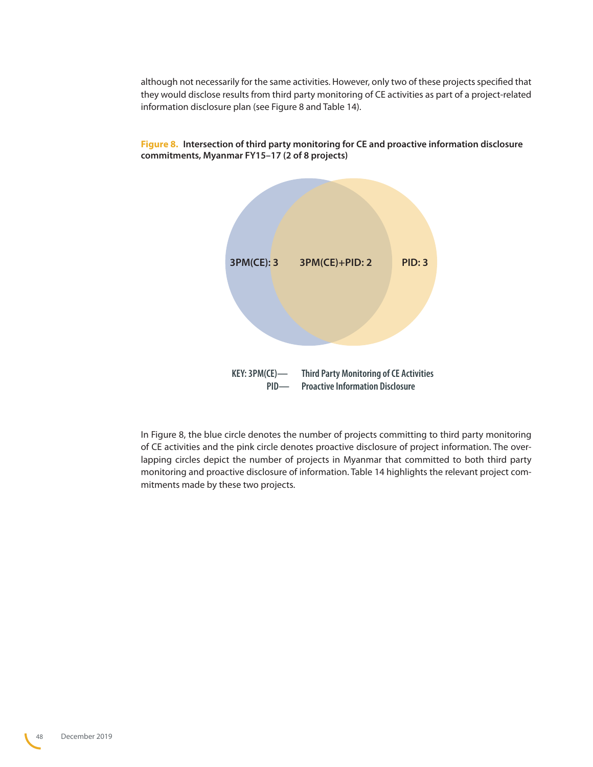although not necessarily for the same activities. However, only two of these projects specified that they would disclose results from third party monitoring of CE activities as part of a project-related information disclosure plan (see Figure 8 and Table 14).



**Figure 8. Intersection of third party monitoring for CE and proactive information disclosure commitments, Myanmar FY15–17 (2 of 8 projects)**

In Figure 8, the blue circle denotes the number of projects committing to third party monitoring of CE activities and the pink circle denotes proactive disclosure of project information. The overlapping circles depict the number of projects in Myanmar that committed to both third party monitoring and proactive disclosure of information. Table 14 highlights the relevant project commitments made by these two projects.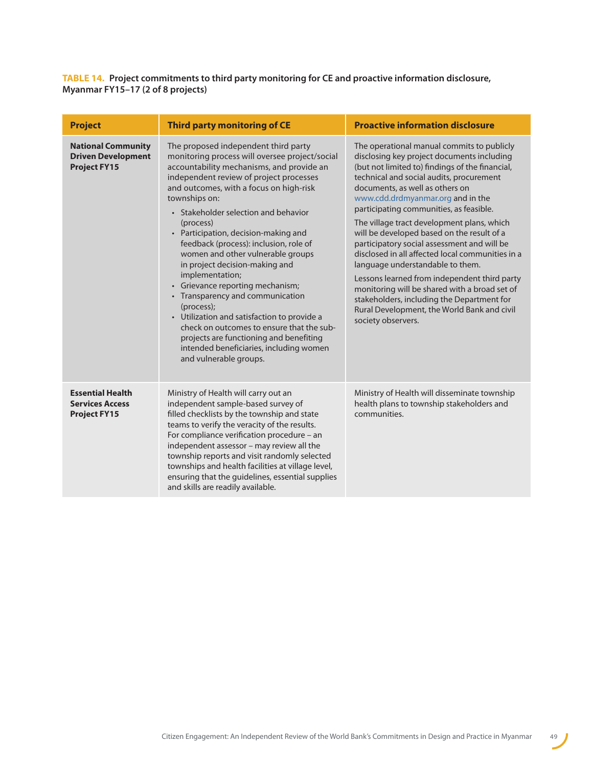**TABLE 14. Project commitments to third party monitoring for CE and proactive information disclosure, Myanmar FY15–17 (2 of 8 projects)**

| <b>Project</b>                                                                | <b>Third party monitoring of CE</b>                                                                                                                                                                                                                                                                                                                                                                                                                                                                                                                                                                                                                                                                                                                                           | <b>Proactive information disclosure</b>                                                                                                                                                                                                                                                                                                                                                                                                                                                                                                                                                                                                                                                                                                                           |
|-------------------------------------------------------------------------------|-------------------------------------------------------------------------------------------------------------------------------------------------------------------------------------------------------------------------------------------------------------------------------------------------------------------------------------------------------------------------------------------------------------------------------------------------------------------------------------------------------------------------------------------------------------------------------------------------------------------------------------------------------------------------------------------------------------------------------------------------------------------------------|-------------------------------------------------------------------------------------------------------------------------------------------------------------------------------------------------------------------------------------------------------------------------------------------------------------------------------------------------------------------------------------------------------------------------------------------------------------------------------------------------------------------------------------------------------------------------------------------------------------------------------------------------------------------------------------------------------------------------------------------------------------------|
| <b>National Community</b><br><b>Driven Development</b><br><b>Project FY15</b> | The proposed independent third party<br>monitoring process will oversee project/social<br>accountability mechanisms, and provide an<br>independent review of project processes<br>and outcomes, with a focus on high-risk<br>townships on:<br>• Stakeholder selection and behavior<br>(process)<br>• Participation, decision-making and<br>feedback (process): inclusion, role of<br>women and other vulnerable groups<br>in project decision-making and<br>implementation;<br>• Grievance reporting mechanism;<br>• Transparency and communication<br>(process);<br>• Utilization and satisfaction to provide a<br>check on outcomes to ensure that the sub-<br>projects are functioning and benefiting<br>intended beneficiaries, including women<br>and vulnerable groups. | The operational manual commits to publicly<br>disclosing key project documents including<br>(but not limited to) findings of the financial,<br>technical and social audits, procurement<br>documents, as well as others on<br>www.cdd.drdmyanmar.org and in the<br>participating communities, as feasible.<br>The village tract development plans, which<br>will be developed based on the result of a<br>participatory social assessment and will be<br>disclosed in all affected local communities in a<br>language understandable to them.<br>Lessons learned from independent third party<br>monitoring will be shared with a broad set of<br>stakeholders, including the Department for<br>Rural Development, the World Bank and civil<br>society observers. |
| <b>Essential Health</b><br><b>Services Access</b><br><b>Project FY15</b>      | Ministry of Health will carry out an<br>independent sample-based survey of<br>filled checklists by the township and state<br>teams to verify the veracity of the results.<br>For compliance verification procedure - an<br>independent assessor - may review all the<br>township reports and visit randomly selected<br>townships and health facilities at village level,<br>ensuring that the guidelines, essential supplies<br>and skills are readily available.                                                                                                                                                                                                                                                                                                            | Ministry of Health will disseminate township<br>health plans to township stakeholders and<br>communities.                                                                                                                                                                                                                                                                                                                                                                                                                                                                                                                                                                                                                                                         |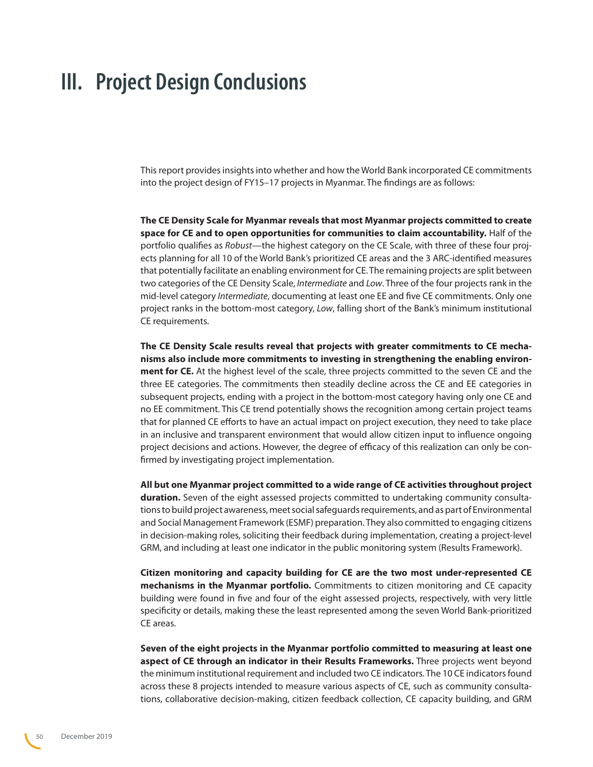## <span id="page-49-0"></span>**III. Project Design Conclusions**

This report provides insights into whether and how the World Bank incorporated CE commitments into the project design of FY15–17 projects in Myanmar. The findings are as follows:

**The CE Density Scale for Myanmar reveals that most Myanmar projects committed to create space for CE and to open opportunities for communities to claim accountability.** Half of the portfolio qualifies as *Robust*—the highest category on the CE Scale, with three of these four projects planning for all 10 of the World Bank's prioritized CE areas and the 3 ARC-identified measures that potentially facilitate an enabling environment for CE. The remaining projects are split between two categories of the CE Density Scale, *Intermediate* and *Low*. Three of the four projects rank in the mid-level category *Intermediate*, documenting at least one EE and five CE commitments. Only one project ranks in the bottom-most category, *Low*, falling short of the Bank's minimum institutional CE requirements.

**The CE Density Scale results reveal that projects with greater commitments to CE mechanisms also include more commitments to investing in strengthening the enabling environment for CE.** At the highest level of the scale, three projects committed to the seven CE and the three EE categories. The commitments then steadily decline across the CE and EE categories in subsequent projects, ending with a project in the bottom-most category having only one CE and no EE commitment. This CE trend potentially shows the recognition among certain project teams that for planned CE efforts to have an actual impact on project execution, they need to take place in an inclusive and transparent environment that would allow citizen input to influence ongoing project decisions and actions. However, the degree of efficacy of this realization can only be confirmed by investigating project implementation.

**All but one Myanmar project committed to a wide range of CE activities throughout project duration.** Seven of the eight assessed projects committed to undertaking community consultations to build project awareness, meet social safeguards requirements, and as part of Environmental and Social Management Framework (ESMF) preparation. They also committed to engaging citizens in decision-making roles, soliciting their feedback during implementation, creating a project-level GRM, and including at least one indicator in the public monitoring system (Results Framework).

**Citizen monitoring and capacity building for CE are the two most under-represented CE mechanisms in the Myanmar portfolio.** Commitments to citizen monitoring and CE capacity building were found in five and four of the eight assessed projects, respectively, with very little specificity or details, making these the least represented among the seven World Bank-prioritized CE areas.

**Seven of the eight projects in the Myanmar portfolio committed to measuring at least one aspect of CE through an indicator in their Results Frameworks.** Three projects went beyond the minimum institutional requirement and included two CE indicators. The 10 CE indicators found across these 8 projects intended to measure various aspects of CE, such as community consultations, collaborative decision-making, citizen feedback collection, CE capacity building, and GRM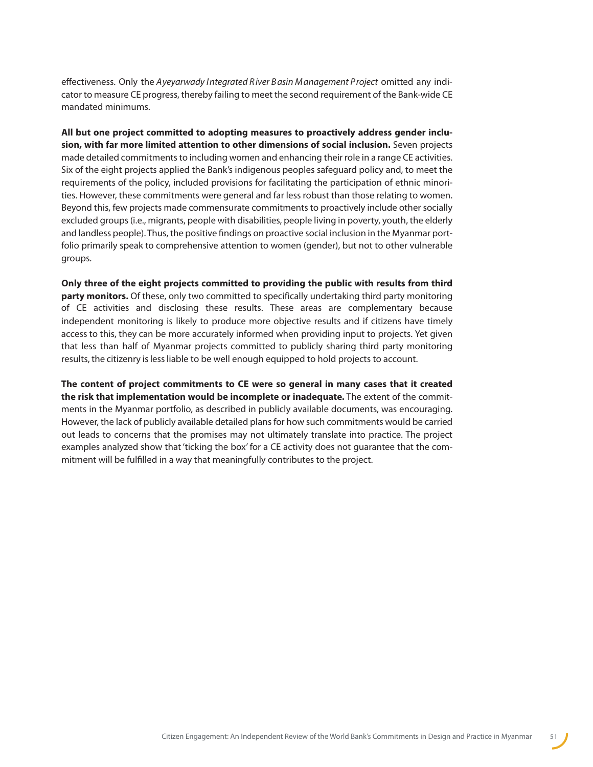effectiveness. Only the *Ayeyarwady I ntegrated R iver B asin M anagement Project* omitted any indicator to measure CE progress, thereby failing to meet the second requirement of the Bank-wide CE mandated minimums.

**All but one project committed to adopting measures to proactively address gender inclusion, with far more limited attention to other dimensions of social inclusion.** Seven projects made detailed commitments to including women and enhancing their role in a range CE activities. Six of the eight projects applied the Bank's indigenous peoples safeguard policy and, to meet the requirements of the policy, included provisions for facilitating the participation of ethnic minorities. However, these commitments were general and far less robust than those relating to women. Beyond this, few projects made commensurate commitments to proactively include other socially excluded groups (i.e., migrants, people with disabilities, people living in poverty, youth, the elderly and landless people). Thus, the positive findings on proactive social inclusion in the Myanmar portfolio primarily speak to comprehensive attention to women (gender), but not to other vulnerable groups.

**Only three of the eight projects committed to providing the public with results from third party monitors.** Of these, only two committed to specifically undertaking third party monitoring of CE activities and disclosing these results. These areas are complementary because independent monitoring is likely to produce more objective results and if citizens have timely access to this, they can be more accurately informed when providing input to projects. Yet given that less than half of Myanmar projects committed to publicly sharing third party monitoring results, the citizenry is less liable to be well enough equipped to hold projects to account.

**The content of project commitments to CE were so general in many cases that it created the risk that implementation would be incomplete or inadequate.** The extent of the commitments in the Myanmar portfolio, as described in publicly available documents, was encouraging. However, the lack of publicly available detailed plans for how such commitments would be carried out leads to concerns that the promises may not ultimately translate into practice. The project examples analyzed show that 'ticking the box' for a CE activity does not guarantee that the commitment will be fulfilled in a way that meaningfully contributes to the project.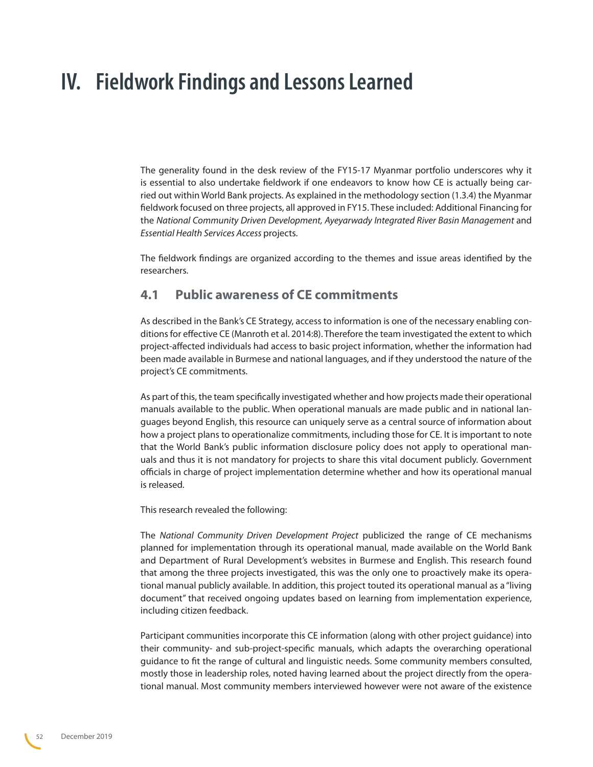## <span id="page-51-0"></span>**IV. Fieldwork Findings and Lessons Learned**

The generality found in the desk review of the FY15-17 Myanmar portfolio underscores why it is essential to also undertake fieldwork if one endeavors to know how CE is actually being carried out within World Bank projects. As explained in the methodology section (1.3.4) the Myanmar fieldwork focused on three projects, all approved in FY15. These included: Additional Financing for the National Community Driven Development, Ayeyarwady Integrated River Basin Management and *Essential Health Services Access* projects.

The fieldwork findings are organized according to the themes and issue areas identified by the researchers.

## **4.1 Public awareness of CE commitments**

As described in the Bank's CE Strategy, access to information is one of the necessary enabling conditions for effective CE (Manroth et al. 2014:8). Therefore the team investigated the extent to which project-affected individuals had access to basic project information, whether the information had been made available in Burmese and national languages, and if they understood the nature of the project's CE commitments.

As part of this, the team specifically investigated whether and how projects made their operational manuals available to the public. When operational manuals are made public and in national languages beyond English, this resource can uniquely serve as a central source of information about how a project plans to operationalize commitments, including those for CE. It is important to note that the World Bank's public information disclosure policy does not apply to operational manuals and thus it is not mandatory for projects to share this vital document publicly. Government officials in charge of project implementation determine whether and how its operational manual is released.

This research revealed the following:

The *National Community Driven Development Project* publicized the range of CE mechanisms planned for implementation through its operational manual, made available on the World Bank and Department of Rural Development's websites in Burmese and English. This research found that among the three projects investigated, this was the only one to proactively make its operational manual publicly available. In addition, this project touted its operational manual as a "living document" that received ongoing updates based on learning from implementation experience, including citizen feedback.

Participant communities incorporate this CE information (along with other project guidance) into their community- and sub-project-specific manuals, which adapts the overarching operational guidance to fit the range of cultural and linguistic needs. Some community members consulted, mostly those in leadership roles, noted having learned about the project directly from the operational manual. Most community members interviewed however were not aware of the existence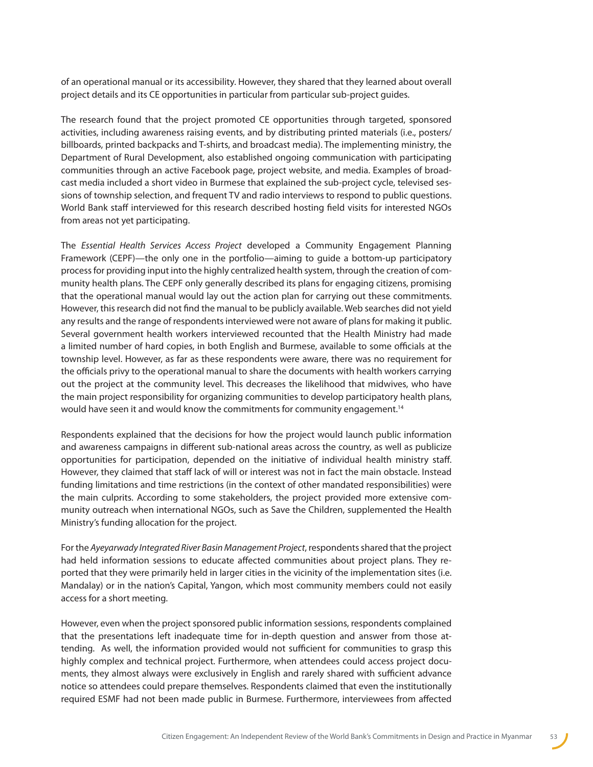of an operational manual or its accessibility. However, they shared that they learned about overall project details and its CE opportunities in particular from particular sub-project guides.

The research found that the project promoted CE opportunities through targeted, sponsored activities, including awareness raising events, and by distributing printed materials (i.e., posters/ billboards, printed backpacks and T-shirts, and broadcast media). The implementing ministry, the Department of Rural Development, also established ongoing communication with participating communities through an active Facebook page, project website, and media. Examples of broadcast media included a short video in Burmese that explained the sub-project cycle, televised sessions of township selection, and frequent TV and radio interviews to respond to public questions. World Bank staff interviewed for this research described hosting field visits for interested NGOs from areas not yet participating.

The *Essential Health Services Access Project* developed a Community Engagement Planning Framework (CEPF)—the only one in the portfolio—aiming to guide a bottom-up participatory process for providing input into the highly centralized health system, through the creation of community health plans. The CEPF only generally described its plans for engaging citizens, promising that the operational manual would lay out the action plan for carrying out these commitments. However, this research did not find the manual to be publicly available. Web searches did not yield any results and the range of respondents interviewed were not aware of plans for making it public. Several government health workers interviewed recounted that the Health Ministry had made a limited number of hard copies, in both English and Burmese, available to some officials at the township level. However, as far as these respondents were aware, there was no requirement for the officials privy to the operational manual to share the documents with health workers carrying out the project at the community level. This decreases the likelihood that midwives, who have the main project responsibility for organizing communities to develop participatory health plans, would have seen it and would know the commitments for community engagement.<sup>[14](#page-68-9)</sup>

Respondents explained that the decisions for how the project would launch public information and awareness campaigns in different sub-national areas across the country, as well as publicize opportunities for participation, depended on the initiative of individual health ministry staff. However, they claimed that staff lack of will or interest was not in fact the main obstacle. Instead funding limitations and time restrictions (in the context of other mandated responsibilities) were the main culprits. According to some stakeholders, the project provided more extensive community outreach when international NGOs, such as Save the Children, supplemented the Health Ministry's funding allocation for the project.

For the *Ayeyarwady Integrated River Basin Management Project*, respondents shared that the project had held information sessions to educate affected communities about project plans. They reported that they were primarily held in larger cities in the vicinity of the implementation sites (i.e. Mandalay) or in the nation's Capital, Yangon, which most community members could not easily access for a short meeting.

However, even when the project sponsored public information sessions, respondents complained that the presentations left inadequate time for in-depth question and answer from those attending. As well, the information provided would not sufficient for communities to grasp this highly complex and technical project. Furthermore, when attendees could access project documents, they almost always were exclusively in English and rarely shared with sufficient advance notice so attendees could prepare themselves. Respondents claimed that even the institutionally required ESMF had not been made public in Burmese. Furthermore, interviewees from affected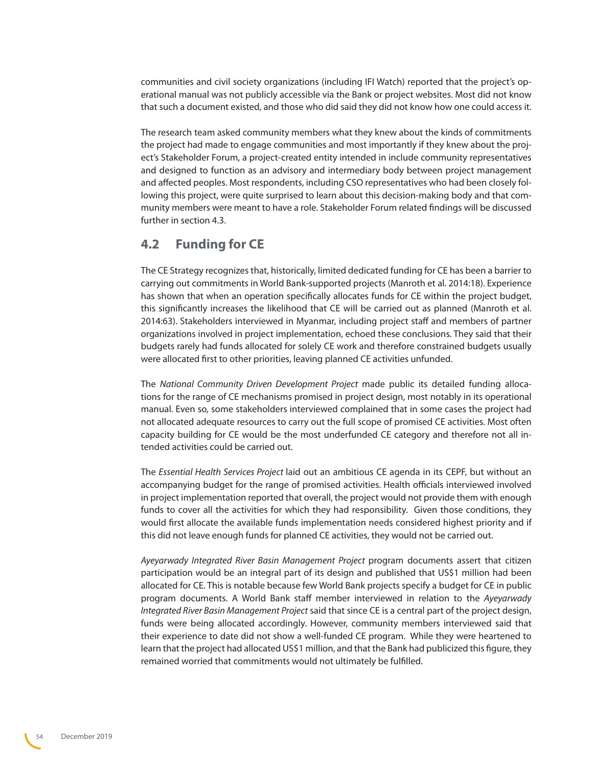<span id="page-53-0"></span>communities and civil society organizations (including IFI Watch) reported that the project's operational manual was not publicly accessible via the Bank or project websites. Most did not know that such a document existed, and those who did said they did not know how one could access it.

The research team asked community members what they knew about the kinds of commitments the project had made to engage communities and most importantly if they knew about the project's Stakeholder Forum, a project-created entity intended in include community representatives and designed to function as an advisory and intermediary body between project management and affected peoples. Most respondents, including CSO representatives who had been closely following this project, were quite surprised to learn about this decision-making body and that community members were meant to have a role. Stakeholder Forum related findings will be discussed further in section 4.3.

### **4.2 Funding for CE**

The CE Strategy recognizes that, historically, limited dedicated funding for CE has been a barrier to carrying out commitments in World Bank-supported projects (Manroth et al. 2014:18). Experience has shown that when an operation specifically allocates funds for CE within the project budget, this significantly increases the likelihood that CE will be carried out as planned (Manroth et al. 2014:63). Stakeholders interviewed in Myanmar, including project staff and members of partner organizations involved in project implementation, echoed these conclusions. They said that their budgets rarely had funds allocated for solely CE work and therefore constrained budgets usually were allocated first to other priorities, leaving planned CE activities unfunded.

The *National Community Driven Development Project* made public its detailed funding allocations for the range of CE mechanisms promised in project design, most notably in its operational manual. Even so, some stakeholders interviewed complained that in some cases the project had not allocated adequate resources to carry out the full scope of promised CE activities. Most often capacity building for CE would be the most underfunded CE category and therefore not all intended activities could be carried out.

The *Essential Health Services Project* laid out an ambitious CE agenda in its CEPF, but without an accompanying budget for the range of promised activities. Health officials interviewed involved in project implementation reported that overall, the project would not provide them with enough funds to cover all the activities for which they had responsibility. Given those conditions, they would first allocate the available funds implementation needs considered highest priority and if this did not leave enough funds for planned CE activities, they would not be carried out.

*Ayeyarwady Integrated River Basin Management Project* program documents assert that citizen participation would be an integral part of its design and published that US\$1 million had been allocated for CE. This is notable because few World Bank projects specify a budget for CE in public program documents. A World Bank staff member interviewed in relation to the *Ayeyarwady Integrated River Basin Management Project* said that since CE is a central part of the project design, funds were being allocated accordingly. However, community members interviewed said that their experience to date did not show a well-funded CE program. While they were heartened to learn that the project had allocated US\$1 million, and that the Bank had publicized this figure, they remained worried that commitments would not ultimately be fulfilled.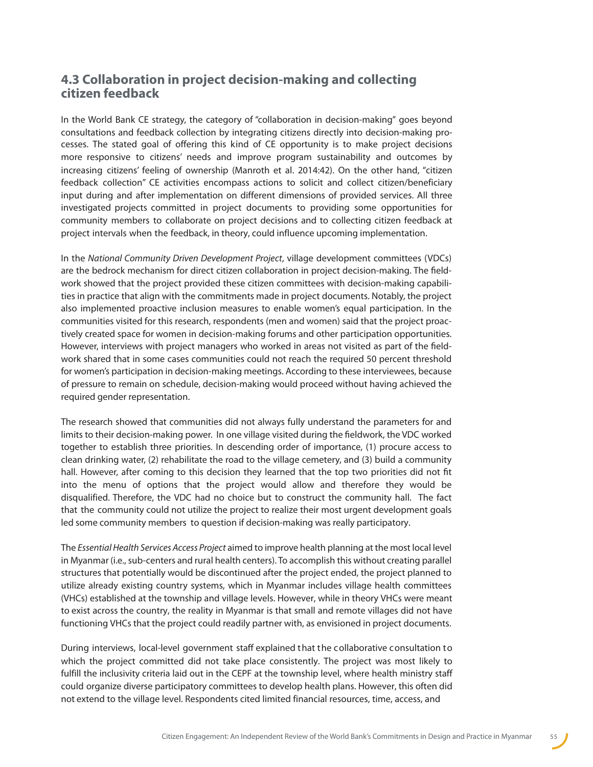## <span id="page-54-0"></span>**4.3 Collaboration in project decision-making and collecting citizen feedback**

In the World Bank CE strategy, the category of "collaboration in decision-making" goes beyond consultations and feedback collection by integrating citizens directly into decision-making processes. The stated goal of offering this kind of CE opportunity is to make project decisions more responsive to citizens' needs and improve program sustainability and outcomes by increasing citizens' feeling of ownership (Manroth et al. 2014:42). On the other hand, "citizen feedback collection" CE activities encompass actions to solicit and collect citizen/beneficiary input during and after implementation on different dimensions of provided services. All three investigated projects committed in project documents to providing some opportunities for community members to collaborate on project decisions and to collecting citizen feedback at project intervals when the feedback, in theory, could influence upcoming implementation.

In the *National Community Driven Development Project*, village development committees (VDCs) are the bedrock mechanism for direct citizen collaboration in project decision-making. The fieldwork showed that the project provided these citizen committees with decision-making capabilities in practice that align with the commitments made in project documents. Notably, the project also implemented proactive inclusion measures to enable women's equal participation. In the communities visited for this research, respondents (men and women) said that the project proactively created space for women in decision-making forums and other participation opportunities. However, interviews with project managers who worked in areas not visited as part of the fieldwork shared that in some cases communities could not reach the required 50 percent threshold for women's participation in decision-making meetings. According to these interviewees, because of pressure to remain on schedule, decision-making would proceed without having achieved the required gender representation.

The research showed that communities did not always fully understand the parameters for and limits to their decision-making power. In one village visited during the fieldwork, the VDC worked together to establish three priorities. In descending order of importance, (1) procure access to clean drinking water, (2) rehabilitate the road to the village cemetery, and (3) build a community hall. However, after coming to this decision they learned that the top two priorities did not fit into the menu of options that the project would allow and therefore they would be disqualified. Therefore, the VDC had no choice but to construct the community hall. The fact that the community could not utilize the project to realize their most urgent development goals led some community members to question if decision-making was really participatory.

The *Essential Health Services Access Project* aimed to improve health planning at the most local level in Myanmar (i.e., sub-centers and rural health centers). To accomplish this without creating parallel structures that potentially would be discontinued after the project ended, the project planned to utilize already existing country systems, which in Myanmar includes village health committees (VHCs) established at the township and village levels. However, while in theory VHCs were meant to exist across the country, the reality in Myanmar is that small and remote villages did not have functioning VHCs that the project could readily partner with, as envisioned in project documents.

During interviews, local-level government staff explained that the collaborative consultation to which the project committed did not take place consistently. The project was most likely to fulfill the inclusivity criteria laid out in the CEPF at the township level, where health ministry staff could organize diverse participatory committees to develop health plans. However, this often did not extend to the village level. Respondents cited limited financial resources, time, access, and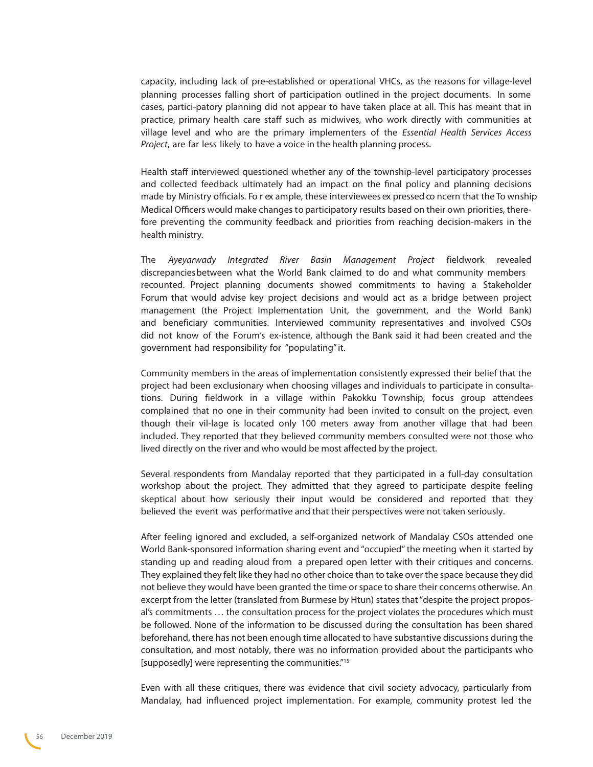capacity, including lack of pre-established or operational VHCs, as the reasons for village-level planning processes falling short of participation outlined in the project documents. In some cases, partici-patory planning did not appear to have taken place at all. This has meant that in practice, primary health care staff such as midwives, who work directly with communities at village level and who are the primary implementers of the *Essential Health Services Access Project*, are far less likely to have a voice in the health planning process.

Health staff interviewed questioned whether any of the township-level participatory processes and collected feedback ultimately had an impact on the final policy and planning decisions made by Ministry officials. Fo r ex ample, these interviewees ex pressed co ncern that the To wnship Medical Officers would make changes to participatory results based on their own priorities, therefore preventing the community feedback and priorities from reaching decision-makers in the health ministry.

The *Ayeyarwady Integrated River Basin Management Project* fieldwork revealed discrepancies between what the World Bank claimed to do and what community members recounted. Project planning documents showed commitments to having a Stakeholder Forum that would advise key project decisions and would act as a bridge between project management (the Project Implementation Unit, the government, and the World Bank) and beneficiary communities. Interviewed community representatives and involved CSOs did not know of the Forum's ex-istence, although the Bank said it had been created and the government had responsibility for "populating" it.

Community members in the areas of implementation consistently expressed their belief that the project had been exclusionary when choosing villages and individuals to participate in consultations. During fieldwork in a village within Pakokku Township, focus group attendees complained that no one in their community had been invited to consult on the project, even though their vil-lage is located only 100 meters away from another village that had been included. They reported that they believed community members consulted were not those who lived directly on the river and who would be most affected by the project.

Several respondents from Mandalay reported that they participated in a full-day consultation workshop about the project. They admitted that they agreed to participate despite feeling skeptical about how seriously their input would be considered and reported that they believed the event was performative and that their perspectives were not taken seriously.

After feeling ignored and excluded, a self-organized network of Mandalay CSOs attended one World Bank-sponsored information sharing event and "occupied" the meeting when it started by standing up and reading aloud from a prepared open letter with their critiques and concerns. They explained they felt like they had no other choice than to take over the space because they did not believe they would have been granted the time or space to share their concerns otherwise. An excerpt from the letter (translated from Burmese by Htun) states that "despite the project proposal's commitments … the consultation process for the project violates the procedures which must be followed. None of the information to be discussed during the consultation has been shared beforehand, there has not been enough time allocated to have substantive discussions during the consultation, and most notably, there was no information provided about the participants who [supposedly] were representing the communities."[15](#page-68-10)

Even with all these critiques, there was evidence that civil society advocacy, particularly from Mandalay, had influenced project implementation. For example, community protest led the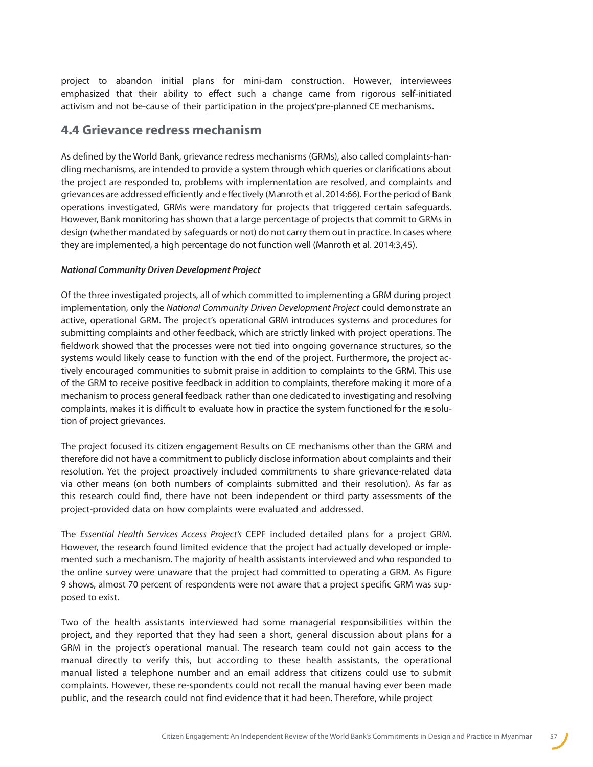<span id="page-56-0"></span>project to abandon initial plans for mini-dam construction. However, interviewees emphasized that their ability to effect such a change came from rigorous self-initiated activism and not be-cause of their participation in the project' pre-planned CE mechanisms.

### **4.4 Grievance redress mechanism**

As defined by the World Bank, grievance redress mechanisms (GRMs), also called complaints-handling mechanisms, are intended to provide a system through which queries or clarifications about the project are responded to, problems with implementation are resolved, and complaints and grievances are addressed efficiently and effectively (Manroth et al. 2014:66). For the period of Bank operations investigated, GRMs were mandatory for projects that triggered certain safeguards. However, Bank monitoring has shown that a large percentage of projects that commit to GRMs in design (whether mandated by safeguards or not) do not carry them out in practice. In cases where they are implemented, a high percentage do not function well (Manroth et al. 2014:3,45).

#### *National Community Driven Development Project*

Of the three investigated projects, all of which committed to implementing a GRM during project implementation, only the *National Community Driven Development Project* could demonstrate an active, operational GRM. The project's operational GRM introduces systems and procedures for submitting complaints and other feedback, which are strictly linked with project operations. The fieldwork showed that the processes were not tied into ongoing governance structures, so the systems would likely cease to function with the end of the project. Furthermore, the project actively encouraged communities to submit praise in addition to complaints to the GRM. This use of the GRM to receive positive feedback in addition to complaints, therefore making it more of a mechanism to process general feedback rather than one dedicated to investigating and resolving complaints, makes it is difficult to evaluate how in practice the system functioned for the resolution of project grievances.

The project focused its citizen engagement Results on CE mechanisms other than the GRM and therefore did not have a commitment to publicly disclose information about complaints and their resolution. Yet the project proactively included commitments to share grievance-related data via other means (on both numbers of complaints submitted and their resolution). As far as this research could find, there have not been independent or third party assessments of the project-provided data on how complaints were evaluated and addressed.

The *Essential Health Services Access Project's* CEPF included detailed plans for a project GRM. However, the research found limited evidence that the project had actually developed or implemented such a mechanism. The majority of health assistants interviewed and who responded to the online survey were unaware that the project had committed to operating a GRM. As Figure 9 shows, almost 70 percent of respondents were not aware that a project specific GRM was supposed to exist.

Two of the health assistants interviewed had some managerial responsibilities within the project, and they reported that they had seen a short, general discussion about plans for a GRM in the project's operational manual. The research team could not gain access to the manual directly to verify this, but according to these health assistants, the operational manual listed a telephone number and an email address that citizens could use to submit complaints. However, these re-spondents could not recall the manual having ever been made public, and the research could not find evidence that it had been. Therefore, while project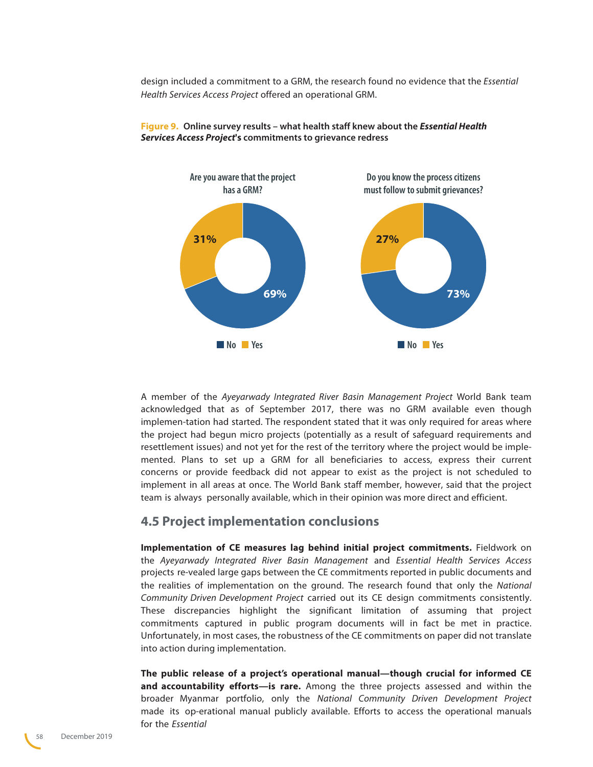<span id="page-57-0"></span>design included a commitment to a GRM, the research found no evidence that the *Essential Health Services Access Project* offered an operational GRM.



**Figure 9. Online survey results – what health staff knew about the Essential Health Services Access Project's commitments to grievance redress**

A member of the *Ayeyarwady Integrated River Basin Management Project* World Bank team acknowledged that as of September 2017, there was no GRM available even though implemen-tation had started. The respondent stated that it was only required for areas where the project had begun micro projects (potentially as a result of safeguard requirements and resettlement issues) and not yet for the rest of the territory where the project would be implemented. Plans to set up a GRM for all beneficiaries to access, express their current concerns or provide feedback did not appear to exist as the project is not scheduled to implement in all areas at once. The World Bank staff member, however, said that the project team is always personally available, which in their opinion was more direct and efficient.

### **4.5 Project implementation conclusions**

**Implementation of CE measures lag behind initial project commitments.** Fieldwork on the *Ayeyarwady Integrated River Basin Management* and *Essential Health Services Access*  projects re-vealed large gaps between the CE commitments reported in public documents and the realities of implementation on the ground. The research found that only the *National Community Driven Development Project* carried out its CE design commitments consistently. These discrepancies highlight the significant limitation of assuming that project commitments captured in public program documents will in fact be met in practice. Unfortunately, in most cases, the robustness of the CE commitments on paper did not translate into action during implementation.

**The public release of a project's operational manual—though crucial for informed CE and accountability efforts—is rare.** Among the three projects assessed and within the broader Myanmar portfolio, only the *National Community Driven Development Project* made its op-erational manual publicly available. Efforts to access the operational manuals for the *Essential*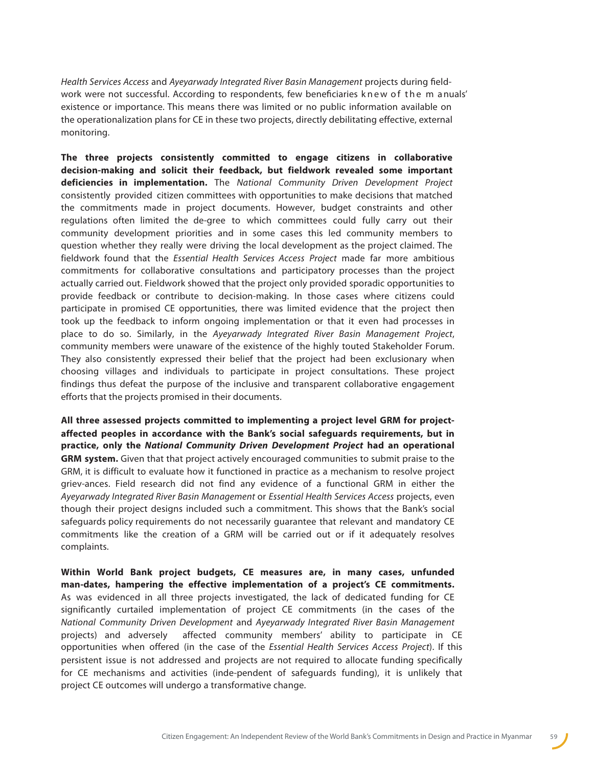*Health Services Access* and *Ayeyarwady Integrated River Basin Management* projects during fieldwork were not successful. According to respondents, few beneficiaries knew of the m anuals' existence or importance. This means there was limited or no public information available on the operationalization plans for CE in these two projects, directly debilitating effective, external monitoring.

**The three projects consistently committed to engage citizens in collaborative decision-making and solicit their feedback, but fieldwork revealed some important deficiencies in implementation.** The *National Community Driven Development Project* consistently provided citizen committees with opportunities to make decisions that matched the commitments made in project documents. However, budget constraints and other regulations often limited the de-gree to which committees could fully carry out their community development priorities and in some cases this led community members to question whether they really were driving the local development as the project claimed. The fieldwork found that the *Essential Health Services Access Project* made far more ambitious commitments for collaborative consultations and participatory processes than the project actually carried out. Fieldwork showed that the project only provided sporadic opportunities to provide feedback or contribute to decision-making. In those cases where citizens could participate in promised CE opportunities, there was limited evidence that the project then took up the feedback to inform ongoing implementation or that it even had processes in place to do so. Similarly, in the *Ayeyarwady Integrated River Basin Management Project*, community members were unaware of the existence of the highly touted Stakeholder Forum. They also consistently expressed their belief that the project had been exclusionary when choosing villages and individuals to participate in project consultations. These project findings thus defeat the purpose of the inclusive and transparent collaborative engagement efforts that the projects promised in their documents.

**All three assessed projects committed to implementing a project level GRM for projectaffected peoples in accordance with the Bank's social safeguards requirements, but in practice, only the National Community Driven Development Project had an operational GRM system.** Given that that project actively encouraged communities to submit praise to the GRM, it is difficult to evaluate how it functioned in practice as a mechanism to resolve project griev-ances. Field research did not find any evidence of a functional GRM in either the *Ayeyarwady Integrated River Basin Management* or *Essential Health Services Access* projects, even though their project designs included such a commitment. This shows that the Bank's social safeguards policy requirements do not necessarily guarantee that relevant and mandatory CE commitments like the creation of a GRM will be carried out or if it adequately resolves complaints.

**Within World Bank project budgets, CE measures are, in many cases, unfunded man-dates, hampering the effective implementation of a project's CE commitments.** As was evidenced in all three projects investigated, the lack of dedicated funding for CE significantly curtailed implementation of project CE commitments (in the cases of the *National Community Driven Development* and *Ayeyarwady Integrated River Basin Management* projects) and adversely affected community members' ability to participate in CE opportunities when offered (in the case of the *Essential Health Services Access* Project). If this persistent issue is not addressed and projects are not required to allocate funding specifically for CE mechanisms and activities (inde-pendent of safeguards funding), it is unlikely that project CE outcomes will undergo a transformative change.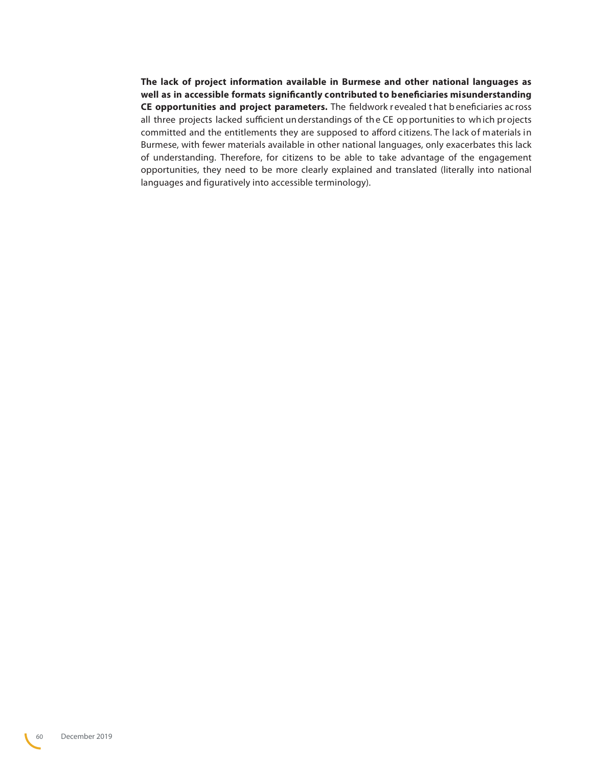**The lack of project information available in Burmese and other national languages as well as in accessible formats significantly contributed to beneficiaries misunderstanding CE opportunities and project parameters.** The fieldwork r evealed t hat b eneficiaries ac ross all three projects lacked sufficient un derstandings of th e CE op portunities to wh ich pr ojects committed and the entitlements they are supposed to afford citizens. The lack of materials in Burmese, with fewer materials available in other national languages, only exacerbates this lack of understanding. Therefore, for citizens to be able to take advantage of the engagement opportunities, they need to be more clearly explained and translated (literally into national languages and figuratively into accessible terminology).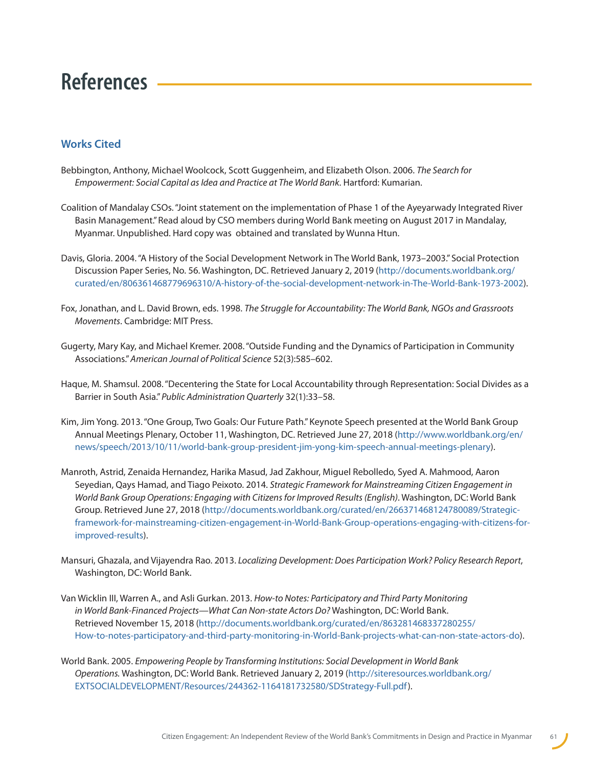## <span id="page-60-0"></span>**References**

### **Works Cited**

- Bebbington, Anthony, Michael Woolcock, Scott Guggenheim, and Elizabeth Olson. 2006. *The Search for Empowerment: Social Capital as Idea and Practice at The World Bank*. Hartford: Kumarian.
- Coalition of Mandalay CSOs. "Joint statement on the implementation of Phase 1 of the Ayeyarwady Integrated River Basin Management." Read aloud by CSO members during World Bank meeting on August 2017 in Mandalay, Myanmar. Unpublished. Hard copy was obtained and translated by Wunna Htun.
- Davis, Gloria. 2004. "A History of the Social Development Network in The World Bank, 1973–2003." Social Protection Discussion Paper Series, No. 56. Washington, DC. Retrieved January 2, 2019 [\(http://documents.worldbank.org/](http://documents.worldbank.org/curated/en/806361468779696310/A-history-of-the-social-development-net) [curated/en/806361468779696310/A-history-of-the-social-development-network-in-The-World-Bank-1973-2002\)](http://documents.worldbank.org/curated/en/806361468779696310/A-history-of-the-social-development-net).
- Fox, Jonathan, and L. David Brown, eds. 1998. *The Struggle for Accountability: The World Bank, NGOs and Grassroots Movements*. Cambridge: MIT Press.
- Gugerty, Mary Kay, and Michael Kremer. 2008. "Outside Funding and the Dynamics of Participation in Community Associations." *American Journal of Political Science* 52(3):585–602.
- Haque, M. Shamsul. 2008. "Decentering the State for Local Accountability through Representation: Social Divides as a Barrier in South Asia." *Public Administration Quarterly* 32(1):33–58.
- Kim, Jim Yong. 2013. "One Group, Two Goals: Our Future Path." Keynote Speech presented at the World Bank Group Annual Meetings Plenary, October 11, Washington, DC. Retrieved June 27, 2018 ([http://www.worldbank.org/en/](http://www.worldbank.org/en/news/speech/2013/10/11/world-bank-group-president-jim-yong-kim-speech-an) [news/speech/2013/10/11/world-bank-group-president-jim-yong-kim-speech-annual-meetings-plenary\)](http://www.worldbank.org/en/news/speech/2013/10/11/world-bank-group-president-jim-yong-kim-speech-an).
- Manroth, Astrid, Zenaida Hernandez, Harika Masud, Jad Zakhour, Miguel Rebolledo, Syed A. Mahmood, Aaron Seyedian, Qays Hamad, and Tiago Peixoto. 2014. *Strategic Framework for Mainstreaming Citizen Engagement in World Bank Group Operations: Engaging with Citizens for Improved Results (English)*. Washington, DC: World Bank Group. Retrieved June 27, 2018 [\(http://documents.worldbank.org/curated/en/266371468124780089/Strategic](http://documents.worldbank.org/curated/en/266371468124780089/Strategic-framework-for-mainstreaming-c)[framework-for-mainstreaming-citizen-engagement-in-World-Bank-Group-operations-engaging-with-citizens-for](http://documents.worldbank.org/curated/en/266371468124780089/Strategic-framework-for-mainstreaming-c)[improved-results](http://documents.worldbank.org/curated/en/266371468124780089/Strategic-framework-for-mainstreaming-c)).
- Mansuri, Ghazala, and Vijayendra Rao. 2013. *Localizing Development: Does Participation Work? Policy Research Report*, Washington, DC: World Bank.
- Van Wicklin III, Warren A., and Asli Gurkan. 2013. *How-to Notes: Participatory and Third Party Monitoring in World Bank-Financed Projects—What Can Non-state Actors Do?* Washington, DC: World Bank. Retrieved November 15, 2018 [\(http://documents.worldbank.org/curated/en/863281468337280255/](http://documents.worldbank.org/curated/en/863281468337280255/How-to-notes-participatory-and-third-pa) [How-to-notes-participatory-and-third-party-monitoring-in-World-Bank-projects-what-can-non-state-actors-do\)](http://documents.worldbank.org/curated/en/863281468337280255/How-to-notes-participatory-and-third-pa).
- World Bank. 2005. *Empowering People by Transforming Institutions: Social Development in World Bank Operations.* Washington, DC: World Bank. Retrieved January 2, 2019 ([http://siteresources.worldbank.org/](http://siteresources.worldbank.org/EXTSOCIALDEVELOPMENT/Resources/244362-1164181732580/SDStrategy-Full.pdf) [EXTSOCIALDEVELOPMENT/Resources/244362-1164181732580/SDStrategy-Full.pdf](http://siteresources.worldbank.org/EXTSOCIALDEVELOPMENT/Resources/244362-1164181732580/SDStrategy-Full.pdf)).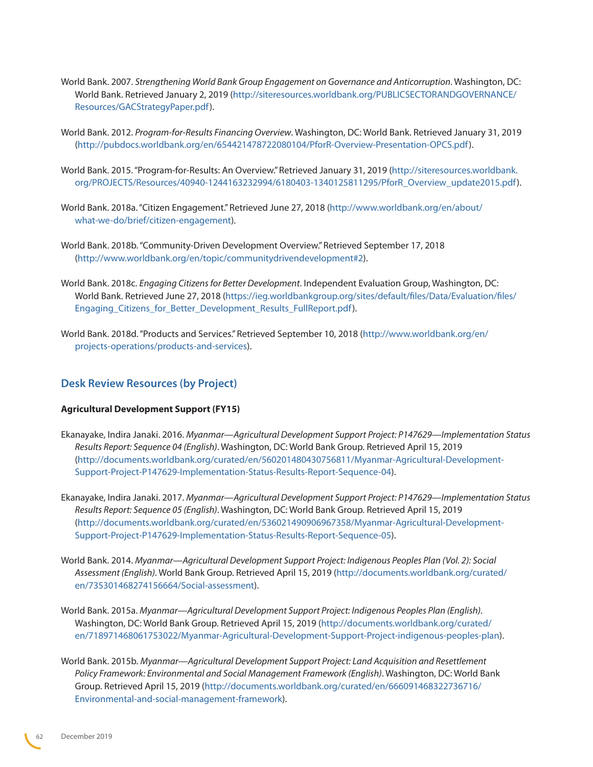- World Bank. 2007. *Strengthening World Bank Group Engagement on Governance and Anticorruption*. Washington, DC: World Bank. Retrieved January 2, 2019 ([http://siteresources.worldbank.org/PUBLICSECTORANDGOVERNANCE/](http://siteresources.worldbank.org/PUBLICSECTORANDGOVERNANCE/Resources/GACStrategyPaper.pdf) [Resources/GACStrategyPaper.pdf](http://siteresources.worldbank.org/PUBLICSECTORANDGOVERNANCE/Resources/GACStrategyPaper.pdf)).
- World Bank. 2012. *Program-for-Results Financing Overview*. Washington, DC: World Bank. Retrieved January 31, 2019 [\(http://pubdocs.worldbank.org/en/654421478722080104/PforR-Overview-Presentation-OPCS.pdf](http://pubdocs.worldbank.org/en/654421478722080104/PforR-Overview-Presentation-OPCS.pdf)).
- World Bank. 2015. "Program-for-Results: An Overview." Retrieved January 31, 2019 ([http://siteresources.worldbank.](http://siteresources.worldbank.org/PROJECTS/Resources/40940-1244163232994/6180403-1340125811295/Pfor) [org/PROJECTS/Resources/40940-1244163232994/6180403-1340125811295/PforR\\_Overview\\_update2015.pdf\)](http://siteresources.worldbank.org/PROJECTS/Resources/40940-1244163232994/6180403-1340125811295/Pfor).
- World Bank. 2018a. "Citizen Engagement." Retrieved June 27, 2018 ([http://www.worldbank.org/en/about/](http://www.worldbank.org/en/about/what-we-do/brief/citizen-engagement) [what-we-do/brief/citizen-engagement\)](http://www.worldbank.org/en/about/what-we-do/brief/citizen-engagement).
- World Bank. 2018b. "Community-Driven Development Overview." Retrieved September 17, 2018 [\(http://www.worldbank.org/en/topic/communitydrivendevelopment#2](http://www.worldbank.org/en/topic/communitydrivendevelopment#2)).
- World Bank. 2018c. *Engaging Citizens for Better Development*. Independent Evaluation Group, Washington, DC: World Bank. Retrieved June 27, 2018 ([https://ieg.worldbankgroup.org/sites/default/files/Data/Evaluation/files/](https://ieg.worldbankgroup.org/sites/default/files/Data/Evaluation/files/Engaging_Citizens_for_Bette) [Engaging\\_Citizens\\_for\\_Better\\_Development\\_Results\\_FullReport.pdf\)](https://ieg.worldbankgroup.org/sites/default/files/Data/Evaluation/files/Engaging_Citizens_for_Bette).
- World Bank. 2018d. "Products and Services." Retrieved September 10, 2018 ([http://www.worldbank.org/en/](http://www.worldbank.org/en/projects-operations/products-and-services) [projects-operations/products-and-services](http://www.worldbank.org/en/projects-operations/products-and-services)).

#### **Desk Review Resources (by Project)**

#### **Agricultural Development Support (FY15)**

- Ekanayake, Indira Janaki. 2016. *Myanmar—Agricultural Development Support Project: P147629—Implementation Status Results Report: Sequence 04 (English)*. Washington, DC: World Bank Group. Retrieved April 15, 2019 [\(http://documents.worldbank.org/curated/en/560201480430756811/Myanmar-Agricultural-Development-](http://documents.worldbank.org/curated/en/560201480430756811/Myanmar-Agricultural-Development-Suppor)[Support-Project-P147629-Implementation-Status-Results-Report-Sequence-04](http://documents.worldbank.org/curated/en/560201480430756811/Myanmar-Agricultural-Development-Suppor)).
- Ekanayake, Indira Janaki. 2017. *Myanmar—Agricultural Development Support Project: P147629—Implementation Status Results Report: Sequence 05 (English)*. Washington, DC: World Bank Group. Retrieved April 15, 2019 [\(http://documents.worldbank.org/curated/en/536021490906967358/Myanmar-Agricultural-Development-](http://documents.worldbank.org/curated/en/536021490906967358/Myanmar-Agricultural-Development-Suppor)[Support-Project-P147629-Implementation-Status-Results-Report-Sequence-05](http://documents.worldbank.org/curated/en/536021490906967358/Myanmar-Agricultural-Development-Suppor)).
- World Bank. 2014. *Myanmar—Agricultural Development Support Project: Indigenous Peoples Plan (Vol. 2): Social Assessment (English)*. World Bank Group. Retrieved April 15, 2019 ([http://documents.worldbank.org/curated/](http://documents.worldbank.org/curated/en/735301468274156664/Social-assessment) [en/735301468274156664/Social-assessment\)](http://documents.worldbank.org/curated/en/735301468274156664/Social-assessment).
- World Bank. 2015a. *Myanmar—Agricultural Development Support Project: Indigenous Peoples Plan (English)*. Washington, DC: World Bank Group. Retrieved April 15, 2019 ([http://documents.worldbank.org/curated/](http://documents.worldbank.org/curated/en/718971468061753022/Myanmar-Agricultural-Development-Suppor) [en/718971468061753022/Myanmar-Agricultural-Development-Support-Project-indigenous-peoples-plan\)](http://documents.worldbank.org/curated/en/718971468061753022/Myanmar-Agricultural-Development-Suppor).
- World Bank. 2015b. *Myanmar—Agricultural Development Support Project: Land Acquisition and Resettlement Policy Framework: Environmental and Social Management Framework (English)*. Washington, DC: World Bank Group. Retrieved April 15, 2019 [\(http://documents.worldbank.org/curated/en/666091468322736716/](http://documents.worldbank.org/curated/en/666091468322736716/Environmental-and-social-management-fra) [Environmental-and-social-management-framework](http://documents.worldbank.org/curated/en/666091468322736716/Environmental-and-social-management-fra)).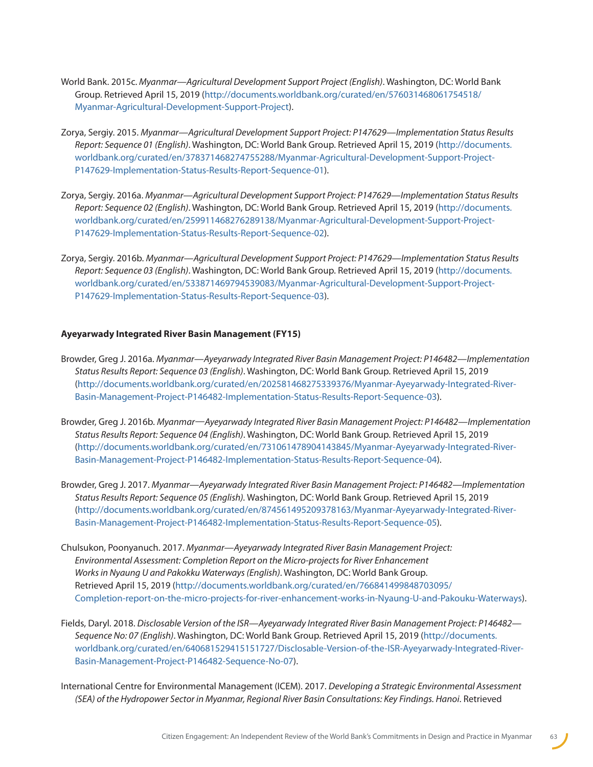- World Bank. 2015c. *Myanmar—Agricultural Development Support Project (English)*. Washington, DC: World Bank Group. Retrieved April 15, 2019 [\(http://documents.worldbank.org/curated/en/576031468061754518/](http://documents.worldbank.org/curated/en/576031468061754518/Myanmar-Agricultural-Development-Suppor) [Myanmar-Agricultural-Development-Support-Project](http://documents.worldbank.org/curated/en/576031468061754518/Myanmar-Agricultural-Development-Suppor)).
- Zorya, Sergiy. 2015. *Myanmar—Agricultural Development Support Project: P147629—Implementation Status Results Report: Sequence 01 (English)*. Washington, DC: World Bank Group. Retrieved April 15, 2019 ([http://documents.](http://documents.worldbank.org/curated/en/378371468274755288/Myanmar-Agricultural-Development-Suppor) [worldbank.org/curated/en/378371468274755288/Myanmar-Agricultural-Development-Support-Project-](http://documents.worldbank.org/curated/en/378371468274755288/Myanmar-Agricultural-Development-Suppor)[P147629-Implementation-Status-Results-Report-Sequence-01\)](http://documents.worldbank.org/curated/en/378371468274755288/Myanmar-Agricultural-Development-Suppor).
- Zorya, Sergiy. 2016a. *Myanmar—Agricultural Development Support Project: P147629—Implementation Status Results Report: Sequence 02 (English)*. Washington, DC: World Bank Group. Retrieved April 15, 2019 ([http://documents.](http://documents.worldbank.org/curated/en/259911468276289138/Myanmar-Agricultural-Development-Suppor) [worldbank.org/curated/en/259911468276289138/Myanmar-Agricultural-Development-Support-Project-](http://documents.worldbank.org/curated/en/259911468276289138/Myanmar-Agricultural-Development-Suppor)[P147629-Implementation-Status-Results-Report-Sequence-02\)](http://documents.worldbank.org/curated/en/259911468276289138/Myanmar-Agricultural-Development-Suppor).
- Zorya, Sergiy. 2016b. *Myanmar—Agricultural Development Support Project: P147629—Implementation Status Results Report: Sequence 03 (English)*. Washington, DC: World Bank Group. Retrieved April 15, 2019 ([http://documents.](http://documents.worldbank.org/curated/en/533871469794539083/Myanmar-Agricultural-Development-Suppor) [worldbank.org/curated/en/533871469794539083/Myanmar-Agricultural-Development-Support-Project-](http://documents.worldbank.org/curated/en/533871469794539083/Myanmar-Agricultural-Development-Suppor)[P147629-Implementation-Status-Results-Report-Sequence-03\)](http://documents.worldbank.org/curated/en/533871469794539083/Myanmar-Agricultural-Development-Suppor).

#### **Ayeyarwady Integrated River Basin Management (FY15)**

- Browder, Greg J. 2016a. *Myanmar—Ayeyarwady Integrated River Basin Management Project: P146482—Implementation Status Results Report: Sequence 03 (English)*. Washington, DC: World Bank Group. Retrieved April 15, 2019 [\(http://documents.worldbank.org/curated/en/202581468275339376/Myanmar-Ayeyarwady-Integrated-River-](http://documents.worldbank.org/curated/en/202581468275339376/Myanmar-Ayeyarwady-Integrated-River-Bas)[Basin-Management-Project-P146482-Implementation-Status-Results-Report-Sequence-03](http://documents.worldbank.org/curated/en/202581468275339376/Myanmar-Ayeyarwady-Integrated-River-Bas)).
- Browder, Greg J. 2016b. *Myanmar—Ayeyarwady Integrated River Basin Management Project: P146482—Implementation Status Results Report: Sequence 04 (English)*. Washington, DC: World Bank Group. Retrieved April 15, 2019 [\(http://documents.worldbank.org/curated/en/731061478904143845/Myanmar-Ayeyarwady-Integrated-River-](http://documents.worldbank.org/curated/en/731061478904143845/Myanmar-Ayeyarwady-Integrated-River-Bas)[Basin-Management-Project-P146482-Implementation-Status-Results-Report-Sequence-04](http://documents.worldbank.org/curated/en/731061478904143845/Myanmar-Ayeyarwady-Integrated-River-Bas)).
- Browder, Greg J. 2017. *Myanmar—Ayeyarwady Integrated River Basin Management Project: P146482—Implementation Status Results Report: Sequence 05 (English).* Washington, DC: World Bank Group. Retrieved April 15, 2019 [\(http://documents.worldbank.org/curated/en/874561495209378163/Myanmar-Ayeyarwady-Integrated-River-](http://documents.worldbank.org/curated/en/874561495209378163/Myanmar-Ayeyarwady-Integrated-River-Bas)[Basin-Management-Project-P146482-Implementation-Status-Results-Report-Sequence-05](http://documents.worldbank.org/curated/en/874561495209378163/Myanmar-Ayeyarwady-Integrated-River-Bas)).
- Chulsukon, Poonyanuch. 2017. *Myanmar—Ayeyarwady Integrated River Basin Management Project: Environmental Assessment: Completion Report on the Micro-projects for River Enhancement Works in Nyaung U and Pakokku Waterways (English)*. Washington, DC: World Bank Group. Retrieved April 15, 2019 [\(http://documents.worldbank.org/curated/en/766841499848703095/](http://documents.worldbank.org/curated/en/766841499848703095/Completion-report-on-the-micro-projects) [Completion-report-on-the-micro-projects-for-river-enhancement-works-in-Nyaung-U-and-Pakouku-Waterways](http://documents.worldbank.org/curated/en/766841499848703095/Completion-report-on-the-micro-projects)).
- Fields, Daryl. 2018. *Disclosable Version of the ISR—Ayeyarwady Integrated River Basin Management Project: P146482— Sequence No: 07 (English)*. Washington, DC: World Bank Group. Retrieved April 15, 2019 [\(http://documents.](http://documents.worldbank.org/curated/en/640681529415151727/Disclosable-Version-of-the-ISR-Ayeyarwa) [worldbank.org/curated/en/640681529415151727/Disclosable-Version-of-the-ISR-Ayeyarwady-Integrated-River-](http://documents.worldbank.org/curated/en/640681529415151727/Disclosable-Version-of-the-ISR-Ayeyarwa)[Basin-Management-Project-P146482-Sequence-No-07](http://documents.worldbank.org/curated/en/640681529415151727/Disclosable-Version-of-the-ISR-Ayeyarwa)).
- International Centre for Environmental Management (ICEM). 2017. *Developing a Strategic Environmental Assessment (SEA) of the Hydropower Sector in Myanmar, Regional River Basin Consultations: Key Findings. Hanoi*. Retrieved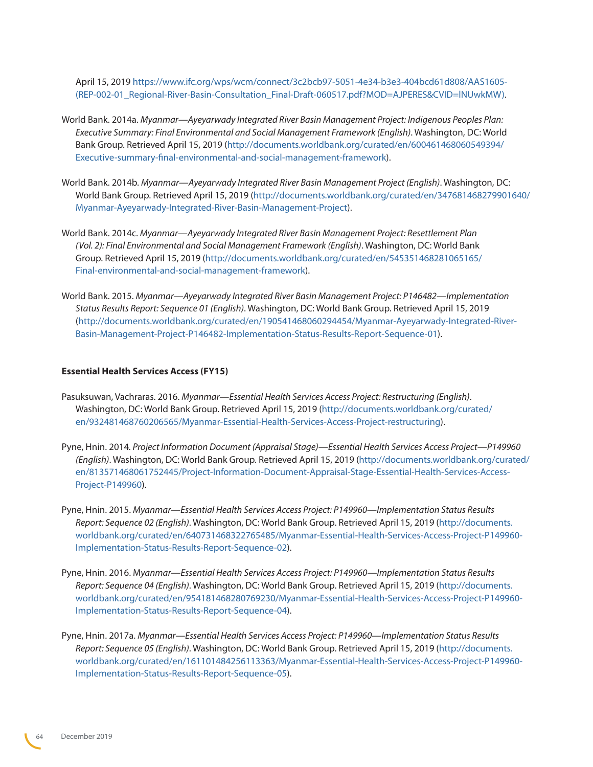April 15, 2019 [https://www.ifc.org/wps/wcm/connect/3c2bcb97-5051-4e34-b3e3-404bcd61d808/AAS1605-](https://www.ifc.org/wps/wcm/connect/3c2bcb97-5051-4e34-b3e3-404bcd61d808/AAS1605-(REP-002-01_Regiona) [\(REP-002-01\\_Regional-River-Basin-Consultation\\_Final-Draft-060517.pdf?MOD=AJPERES&CVID=lNUwkMW\)](https://www.ifc.org/wps/wcm/connect/3c2bcb97-5051-4e34-b3e3-404bcd61d808/AAS1605-(REP-002-01_Regiona).

- World Bank. 2014a. *Myanmar—Ayeyarwady Integrated River Basin Management Project: Indigenous Peoples Plan: Executive Summary: Final Environmental and Social Management Framework (English)*. Washington, DC: World Bank Group. Retrieved April 15, 2019 ([http://documents.worldbank.org/curated/en/600461468060549394/](http://documents.worldbank.org/curated/en/600461468060549394/Executive-summary-final-environmental-a) [Executive-summary-final-environmental-and-social-management-framework\)](http://documents.worldbank.org/curated/en/600461468060549394/Executive-summary-final-environmental-a).
- World Bank. 2014b. *Myanmar—Ayeyarwady Integrated River Basin Management Project (English)*. Washington, DC: World Bank Group. Retrieved April 15, 2019 ([http://documents.worldbank.org/curated/en/347681468279901640/](http://documents.worldbank.org/curated/en/347681468279901640/Myanmar-Ayeyarwady-Integrated-River-Bas) [Myanmar-Ayeyarwady-Integrated-River-Basin-Management-Project\)](http://documents.worldbank.org/curated/en/347681468279901640/Myanmar-Ayeyarwady-Integrated-River-Bas).
- World Bank. 2014c. *Myanmar—Ayeyarwady Integrated River Basin Management Project: Resettlement Plan (Vol. 2): Final Environmental and Social Management Framework (English)*. Washington, DC: World Bank Group. Retrieved April 15, 2019 [\(http://documents.worldbank.org/curated/en/545351468281065165/](http://documents.worldbank.org/curated/en/545351468281065165/Final-environmental-and-social-manageme) [Final-environmental-and-social-management-framework](http://documents.worldbank.org/curated/en/545351468281065165/Final-environmental-and-social-manageme)).
- World Bank. 2015. *Myanmar—Ayeyarwady Integrated River Basin Management Project: P146482—Implementation Status Results Report: Sequence 01 (English)*. Washington, DC: World Bank Group. Retrieved April 15, 2019 ([http://documents.worldbank.org/curated/en/190541468060294454/Myanmar-Ayeyarwady-Integrated-River-](http://documents.worldbank.org/curated/en/190541468060294454/Myanmar-Ayeyarwady-Integrated-River-Bas)[Basin-Management-Project-P146482-Implementation-Status-Results-Report-Sequence-01\)](http://documents.worldbank.org/curated/en/190541468060294454/Myanmar-Ayeyarwady-Integrated-River-Bas).

#### **Essential Health Services Access (FY15)**

- Pasuksuwan, Vachraras. 2016. *Myanmar—Essential Health Services Access Project: Restructuring (English)*. Washington, DC: World Bank Group. Retrieved April 15, 2019 [\(http://documents.worldbank.org/curated/](http://documents.worldbank.org/curated/en/932481468760206565/Myanmar-Essential-Health-Services-Acces) [en/932481468760206565/Myanmar-Essential-Health-Services-Access-Project-restructuring\)](http://documents.worldbank.org/curated/en/932481468760206565/Myanmar-Essential-Health-Services-Acces).
- Pyne, Hnin. 2014*. Project Information Document (Appraisal Stage)—Essential Health Services Access Project—P149960 (English)*. Washington, DC: World Bank Group. Retrieved April 15, 2019 ([http://documents.worldbank.org/curated/](http://documents.worldbank.org/curated/en/813571468061752445/Project-Information-Document-Appraisal-) [en/813571468061752445/Project-Information-Document-Appraisal-Stage-Essential-Health-Services-Access-](http://documents.worldbank.org/curated/en/813571468061752445/Project-Information-Document-Appraisal-)[Project-P149960](http://documents.worldbank.org/curated/en/813571468061752445/Project-Information-Document-Appraisal-)).
- Pyne, Hnin. 2015. *Myanmar—Essential Health Services Access Project: P149960—Implementation Status Results Report: Sequence 02 (English)*. Washington, DC: World Bank Group. Retrieved April 15, 2019 [\(http://documents.](http://documents.worldbank.org/curated/en/640731468322765485/Myanmar-Essential-Health-Services-Acces) [worldbank.org/curated/en/640731468322765485/Myanmar-Essential-Health-Services-Access-Project-P149960-](http://documents.worldbank.org/curated/en/640731468322765485/Myanmar-Essential-Health-Services-Acces) [Implementation-Status-Results-Report-Sequence-02](http://documents.worldbank.org/curated/en/640731468322765485/Myanmar-Essential-Health-Services-Acces)).
- Pyne, Hnin. 2016. M*yanmar—Essential Health Services Access Project: P149960—Implementation Status Results Report: Sequence 04 (English)*. Washington, DC: World Bank Group. Retrieved April 15, 2019 [\(http://documents.](http://documents.worldbank.org/curated/en/954181468280769230/Myanmar-Essential-Health-Services-Acces) [worldbank.org/curated/en/954181468280769230/Myanmar-Essential-Health-Services-Access-Project-P149960-](http://documents.worldbank.org/curated/en/954181468280769230/Myanmar-Essential-Health-Services-Acces) [Implementation-Status-Results-Report-Sequence-04](http://documents.worldbank.org/curated/en/954181468280769230/Myanmar-Essential-Health-Services-Acces)).
- Pyne, Hnin. 2017a. *Myanmar—Essential Health Services Access Project: P149960—Implementation Status Results Report: Sequence 05 (English)*. Washington, DC: World Bank Group. Retrieved April 15, 2019 [\(http://documents.](http://documents.worldbank.org/curated/en/161101484256113363/Myanmar-Essential-Health-Services-Acces) [worldbank.org/curated/en/161101484256113363/Myanmar-Essential-Health-Services-Access-Project-P149960-](http://documents.worldbank.org/curated/en/161101484256113363/Myanmar-Essential-Health-Services-Acces) [Implementation-Status-Results-Report-Sequence-05](http://documents.worldbank.org/curated/en/161101484256113363/Myanmar-Essential-Health-Services-Acces)).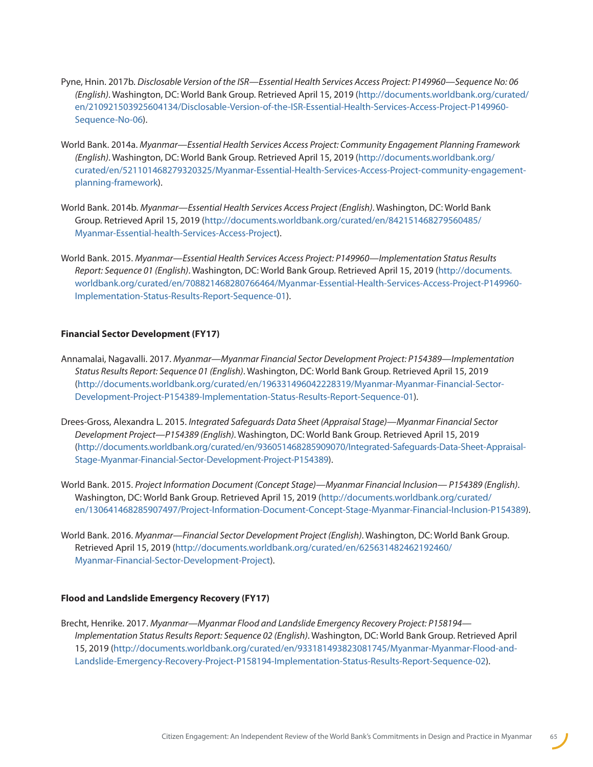- Pyne, Hnin. 2017b. *Disclosable Version of the ISR—Essential Health Services Access Project: P149960—Sequence No: 06 (English)*. Washington, DC: World Bank Group. Retrieved April 15, 2019 [\(http://documents.worldbank.org/curated/](http://documents.worldbank.org/curated/en/210921503925604134/Disclosable-Version-of-the-ISR-Essentia) [en/210921503925604134/Disclosable-Version-of-the-ISR-Essential-Health-Services-Access-Project-P149960-](http://documents.worldbank.org/curated/en/210921503925604134/Disclosable-Version-of-the-ISR-Essentia) [Sequence-No-06](http://documents.worldbank.org/curated/en/210921503925604134/Disclosable-Version-of-the-ISR-Essentia)).
- World Bank. 2014a. *Myanmar—Essential Health Services Access Project: Community Engagement Planning Framework (English)*. Washington, DC: World Bank Group. Retrieved April 15, 2019 [\(http://documents.worldbank.org/](http://documents.worldbank.org/curated/en/521101468279320325/Myanmar-Essential-Health-Services-Acces) [curated/en/521101468279320325/Myanmar-Essential-Health-Services-Access-Project-community-engagement](http://documents.worldbank.org/curated/en/521101468279320325/Myanmar-Essential-Health-Services-Acces)[planning-framework\)](http://documents.worldbank.org/curated/en/521101468279320325/Myanmar-Essential-Health-Services-Acces).
- World Bank. 2014b. *Myanmar—Essential Health Services Access Project (English)*. Washington, DC: World Bank Group. Retrieved April 15, 2019 [\(http://documents.worldbank.org/curated/en/842151468279560485/](http://documents.worldbank.org/curated/en/842151468279560485/Myanmar-Essential-health-Services-Acces) [Myanmar-Essential-health-Services-Access-Project](http://documents.worldbank.org/curated/en/842151468279560485/Myanmar-Essential-health-Services-Acces)).
- World Bank. 2015. *Myanmar—Essential Health Services Access Project: P149960—Implementation Status Results Report: Sequence 01 (English)*. Washington, DC: World Bank Group. Retrieved April 15, 2019 ([http://documents.](http://documents.worldbank.org/curated/en/708821468280766464/Myanmar-Essential-Health-Services-Acces) [worldbank.org/curated/en/708821468280766464/Myanmar-Essential-Health-Services-Access-Project-P149960-](http://documents.worldbank.org/curated/en/708821468280766464/Myanmar-Essential-Health-Services-Acces) [Implementation-Status-Results-Report-Sequence-01\)](http://documents.worldbank.org/curated/en/708821468280766464/Myanmar-Essential-Health-Services-Acces).

#### **Financial Sector Development (FY17)**

- Annamalai, Nagavalli. 2017. *Myanmar—Myanmar Financial Sector Development Project: P154389—Implementation Status Results Report: Sequence 01 (English)*. Washington, DC: World Bank Group. Retrieved April 15, 2019 [\(http://documents.worldbank.org/curated/en/196331496042228319/Myanmar-Myanmar-Financial-Sector-](http://documents.worldbank.org/curated/en/196331496042228319/Myanmar-Myanmar-Financial-Sector-Develo)[Development-Project-P154389-Implementation-Status-Results-Report-Sequence-01](http://documents.worldbank.org/curated/en/196331496042228319/Myanmar-Myanmar-Financial-Sector-Develo)).
- Drees-Gross, Alexandra L. 2015. *Integrated Safeguards Data Sheet (Appraisal Stage)—Myanmar Financial Sector Development Project—P154389 (English)*. Washington, DC: World Bank Group. Retrieved April 15, 2019 [\(http://documents.worldbank.org/curated/en/936051468285909070/Integrated-Safeguards-Data-Sheet-Appraisal-](http://documents.worldbank.org/curated/en/936051468285909070/Integrated-Safeguards-Data-Sheet-Apprai)[Stage-Myanmar-Financial-Sector-Development-Project-P154389](http://documents.worldbank.org/curated/en/936051468285909070/Integrated-Safeguards-Data-Sheet-Apprai)).
- World Bank. 2015. *Project Information Document (Concept Stage)—Myanmar Financial Inclusion— P154389 (English)*. Washington, DC: World Bank Group. Retrieved April 15, 2019 ([http://documents.worldbank.org/curated/](http://documents.worldbank.org/curated/en/130641468285907497/Project-Information-Document-Concept-St) [en/130641468285907497/Project-Information-Document-Concept-Stage-Myanmar-Financial-Inclusion-P154389\)](http://documents.worldbank.org/curated/en/130641468285907497/Project-Information-Document-Concept-St).
- World Bank. 2016. *Myanmar—Financial Sector Development Project (English)*. Washington, DC: World Bank Group. Retrieved April 15, 2019 [\(http://documents.worldbank.org/curated/en/625631482462192460/](http://documents.worldbank.org/curated/en/625631482462192460/Myanmar-Financial-Sector-Development-Pr) [Myanmar-Financial-Sector-Development-Project\)](http://documents.worldbank.org/curated/en/625631482462192460/Myanmar-Financial-Sector-Development-Pr).

#### **Flood and Landslide Emergency Recovery (FY17)**

Brecht, Henrike. 2017. *Myanmar—Myanmar Flood and Landslide Emergency Recovery Project: P158194— Implementation Status Results Report: Sequence 02 (English)*. Washington, DC: World Bank Group. Retrieved April 15, 2019 [\(http://documents.worldbank.org/curated/en/933181493823081745/Myanmar-Myanmar-Flood-and-](http://documents.worldbank.org/curated/en/933181493823081745/Myanmar-Myanmar-Flood-and-Landslide-Eme)[Landslide-Emergency-Recovery-Project-P158194-Implementation-Status-Results-Report-Sequence-02\)](http://documents.worldbank.org/curated/en/933181493823081745/Myanmar-Myanmar-Flood-and-Landslide-Eme).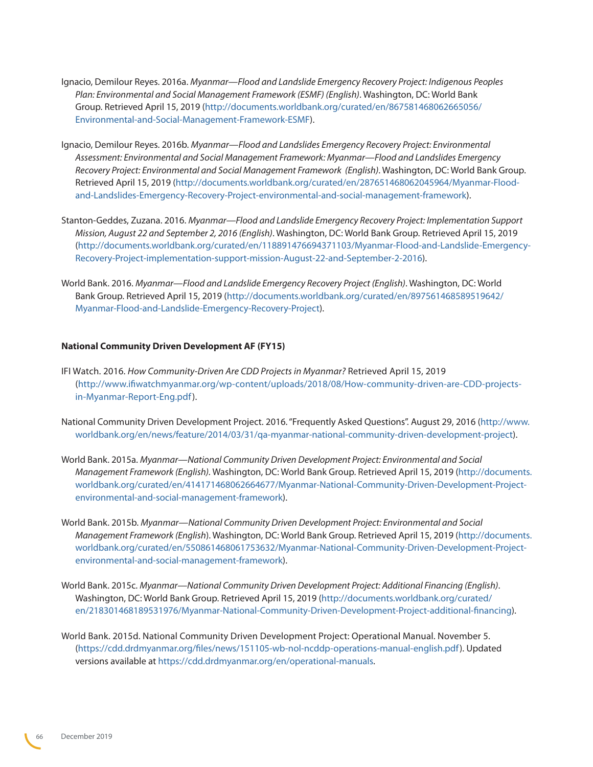- Ignacio, Demilour Reyes. 2016a. *Myanmar—Flood and Landslide Emergency Recovery Project: Indigenous Peoples Plan: Environmental and Social Management Framework (ESMF) (English)*. Washington, DC: World Bank Group. Retrieved April 15, 2019 ([http://documents.worldbank.org/curated/en/867581468062665056/](http://documents.worldbank.org/curated/en/867581468062665056/Environmental-and-Social-Management-Fra) [Environmental-and-Social-Management-Framework-ESMF](http://documents.worldbank.org/curated/en/867581468062665056/Environmental-and-Social-Management-Fra)).
- Ignacio, Demilour Reyes. 2016b. *Myanmar—Flood and Landslides Emergency Recovery Project: Environmental Assessment: Environmental and Social Management Framework: Myanmar—Flood and Landslides Emergency Recovery Project: Environmental and Social Management Framework (English)*. Washington, DC: World Bank Group. Retrieved April 15, 2019 [\(http://documents.worldbank.org/curated/en/287651468062045964/Myanmar-Flood](http://documents.worldbank.org/curated/en/287651468062045964/Myanmar-Flood-and-Landslides-Emergency-)[and-Landslides-Emergency-Recovery-Project-environmental-and-social-management-framework\)](http://documents.worldbank.org/curated/en/287651468062045964/Myanmar-Flood-and-Landslides-Emergency-).
- Stanton-Geddes, Zuzana. 2016. *Myanmar—Flood and Landslide Emergency Recovery Project: Implementation Support Mission, August 22 and September 2, 2016 (English)*. Washington, DC: World Bank Group. Retrieved April 15, 2019 ([http://documents.worldbank.org/curated/en/118891476694371103/Myanmar-Flood-and-Landslide-Emergency-](http://documents.worldbank.org/curated/en/118891476694371103/Myanmar-Flood-and-Landslide-Emergency-R)[Recovery-Project-implementation-support-mission-August-22-and-September-2-2016](http://documents.worldbank.org/curated/en/118891476694371103/Myanmar-Flood-and-Landslide-Emergency-R)).
- World Bank. 2016. *Myanmar—Flood and Landslide Emergency Recovery Project (English)*. Washington, DC: World Bank Group. Retrieved April 15, 2019 [\(http://documents.worldbank.org/curated/en/897561468589519642/](http://documents.worldbank.org/curated/en/897561468589519642/Myanmar-Flood-and-Landslide-Emergency-R) [Myanmar-Flood-and-Landslide-Emergency-Recovery-Project](http://documents.worldbank.org/curated/en/897561468589519642/Myanmar-Flood-and-Landslide-Emergency-R)).

#### **National Community Driven Development AF (FY15)**

- IFI Watch. 2016. *How Community-*D*riven* A*re CDD Projects in Myanmar?* Retrieved April 15, 2019 ([http://www.ifiwatchmyanmar.org/wp-content/uploads/2018/08/How-community-driven-are-CDD-projects](http://www.ifiwatchmyanmar.org/wp-content/uploads/2018/08/How-community-driven-are-CDD-projects-in-Myanmar-Report-Eng.pdf)[in-Myanmar-Report-Eng.pdf\)](http://www.ifiwatchmyanmar.org/wp-content/uploads/2018/08/How-community-driven-are-CDD-projects-in-Myanmar-Report-Eng.pdf).
- National Community Driven Development Project. 2016. "Frequently Asked Questions". August 29, 2016 [\(http://www.](http://www.worldbank.org/en/news/feature/2014/03/31/qa-myanmar-national-community-driven-development-project) [worldbank.org/en/news/feature/2014/03/31/qa-myanmar-national-community-driven-development-project\)](http://www.worldbank.org/en/news/feature/2014/03/31/qa-myanmar-national-community-driven-development-project).
- World Bank. 2015a. *Myanmar—National Community Driven Development Project: Environmental and Social Management Framework (English).* Washington, DC: World Bank Group. Retrieved April 15, 2019 [\(http://documents.](http://documents.worldbank.org/curated/en/414171468062664677/Myanmar-National-Community-Driven-Devel) [worldbank.org/curated/en/414171468062664677/Myanmar-National-Community-Driven-Development-Project](http://documents.worldbank.org/curated/en/414171468062664677/Myanmar-National-Community-Driven-Devel)[environmental-and-social-management-framework\)](http://documents.worldbank.org/curated/en/414171468062664677/Myanmar-National-Community-Driven-Devel).
- World Bank. 2015b. *Myanmar—National Community Driven Development Project: Environmental and Social Management Framework (English*). Washington, DC: World Bank Group. Retrieved April 15, 2019 [\(http://documents.](http://documents.worldbank.org/curated/en/550861468061753632/Myanmar-National-Community-Driven-Devel) [worldbank.org/curated/en/550861468061753632/Myanmar-National-Community-Driven-Development-Project](http://documents.worldbank.org/curated/en/550861468061753632/Myanmar-National-Community-Driven-Devel)[environmental-and-social-management-framework\)](http://documents.worldbank.org/curated/en/550861468061753632/Myanmar-National-Community-Driven-Devel).
- World Bank. 2015c. *Myanmar—National Community Driven Development Project: Additional Financing (English)*. Washington, DC: World Bank Group. Retrieved April 15, 2019 [\(http://documents.worldbank.org/curated/](http://documents.worldbank.org/curated/en/218301468189531976/Myanmar-National-Community-Driven-Devel) [en/218301468189531976/Myanmar-National-Community-Driven-Development-Project-additional-financing](http://documents.worldbank.org/curated/en/218301468189531976/Myanmar-National-Community-Driven-Devel)).
- World Bank. 2015d. National Community Driven Development Project: Operational Manual. November 5. ([https://cdd.drdmyanmar.org/files/news/151105-wb-nol-ncddp-operations-manual-english.pdf\)](https://cdd.drdmyanmar.org/files/news/151105-wb-nol-ncddp-operations-manual-english.pdf). Updated versions available at [https://cdd.drdmyanmar.org/en/operational-manuals.](https://cdd.drdmyanmar.org/en/operational-manuals)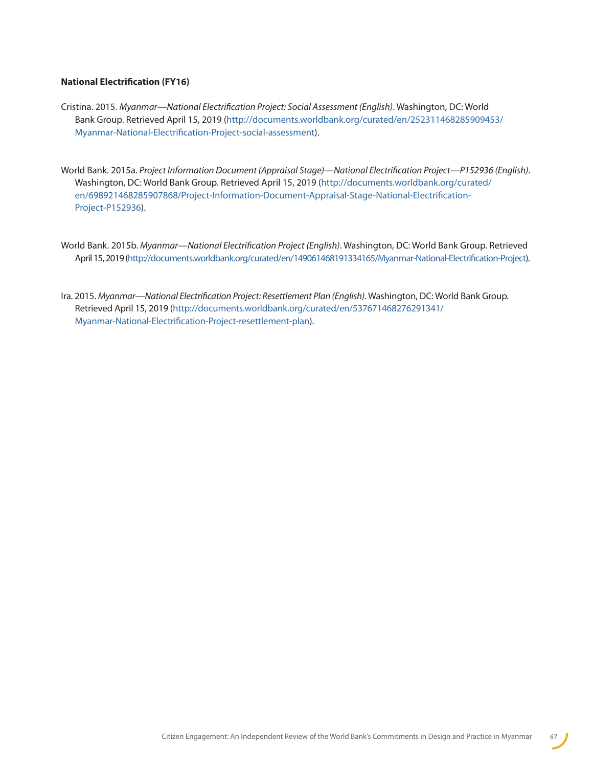#### **National Electrification (FY16)**

- Cristina. 2015. *Myanmar—National Electrification Project: Social Assessment (English)*. Washington, DC: World Bank Group. Retrieved April 15, 2019 ([http://documents.worldbank.org/curated/en/252311468285909453/](http://documents.worldbank.org/curated/en/252311468285909453/Myanmar-National-Electrification-Projec) [Myanmar-National-Electrification-Project-social-assessment\)](http://documents.worldbank.org/curated/en/252311468285909453/Myanmar-National-Electrification-Projec).
- World Bank. 2015a. *Project Information Document (Appraisal Stage)—National Electrification Project—P152936 (English)*. Washington, DC: World Bank Group. Retrieved April 15, 2019 ([http://documents.worldbank.org/curated/](http://documents.worldbank.org/curated/en/698921468285907868/Project-Information-Document-Appraisal-) [en/698921468285907868/Project-Information-Document-Appraisal-Stage-National-Electrification-](http://documents.worldbank.org/curated/en/698921468285907868/Project-Information-Document-Appraisal-)[Project-P152936\)](http://documents.worldbank.org/curated/en/698921468285907868/Project-Information-Document-Appraisal-).
- World Bank. 2015b. *Myanmar—National Electrification Project (English)*. Washington, DC: World Bank Group. Retrieved April 15, 2019 [\(http://documents.worldbank.org/curated/en/149061468191334165/Myanmar-National-Electrification-Project\)](http://documents.worldbank.org/curated/en/149061468191334165/Myanmar-National-Electrification-Projec).
- Ira. 2015. *Myanmar—National Electrification Project: Resettlement Plan (English)*. Washington, DC: World Bank Group. Retrieved April 15, 2019 ([http://documents.worldbank.org/curated/en/537671468276291341/](http://documents.worldbank.org/curated/en/537671468276291341/Myanmar-National-Electrification-Projec) [Myanmar-National-Electrification-Project-resettlement-plan\)](http://documents.worldbank.org/curated/en/537671468276291341/Myanmar-National-Electrification-Projec).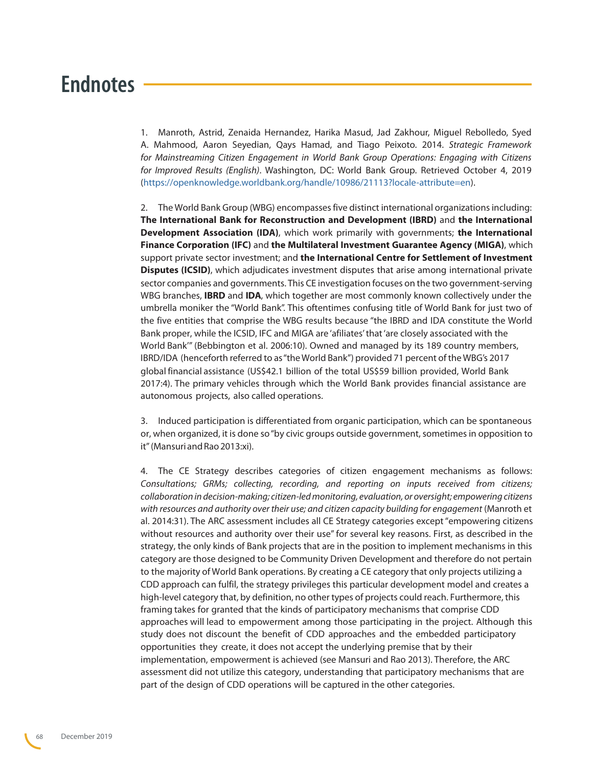## <span id="page-67-0"></span>**Endnotes**

1. Manroth, Astrid, Zenaida Hernandez, Harika Masud, Jad Zakhour, Miguel Rebolledo, Syed A. Mahmood, Aaron Seyedian, Qays Hamad, and Tiago Peixoto. 2014. *Strategic Framework for Mainstreaming Citizen Engagement in World Bank Group Operations: Engaging with Citizens for Improved Results (English)*. Washington, DC: World Bank Group. Retrieved October 4, 2019 [\(https://openknowledge.worldbank.org/handle/10986/21113?locale-attribute=en](https://openknowledge.worldbank.org/handle/10986/21113?locale-attribute=en)).

2. The World Bank Group (WBG) encompasses five distinct international organizations including: **The International Bank for Reconstruction and Development (IBRD)** and **the International Development Association (IDA)**, which work primarily with governments; **the International Finance Corporation (IFC)** and **the Multilateral Investment Guarantee Agency (MIGA)**, which support private sector investment; and **the International Centre for Settlement of Investment Disputes (ICSID)**, which adjudicates investment disputes that arise among international private sector companies and governments. This CE investigation focuses on the two government-serving WBG branches, **IBRD** and **IDA**, which together are most commonly known collectively under the umbrella moniker the "World Bank". This oftentimes confusing title of World Bank for just two of the five entities that comprise the WBG results because "the IBRD and IDA constitute the World Bank proper, while the ICSID, IFC and MIGA are 'afiliates' that 'are closely associated with the World Bank'" (Bebbington et al. 2006:10). Owned and managed by its 189 country members, IBRD/IDA (henceforth referred to as "the World Bank") provided 71 percent of the WBG's 2017 global financial assistance (US\$42.1 billion of the total US\$59 billion provided, World Bank 2017:4). The primary vehicles through which the World Bank provides financial assistance are autonomous projects, also called operations.

3. Induced participation is differentiated from organic participation, which can be spontaneous or, when organized, it is done so "by civic groups outside government, sometimes in opposition to it" (Mansuri and Rao 2013:xi).

<span id="page-67-1"></span>4. The CE Strategy describes categories of citizen engagement mechanisms as follows: *Consultations; GRMs; collecting, recording, and reporting on inputs received from citizens; collaboration in decision-making; citizen-led monitoring, evaluation, or oversight; empowering citizens with resources and authority over their use; and citizen capacity building for engagement* (Manroth et al. 2014:31). The ARC assessment includes all CE Strategy categories except "empowering citizens without resources and authority over their use" for several key reasons. First, as described in the strategy, the only kinds of Bank projects that are in the position to implement mechanisms in this category are those designed to be Community Driven Development and therefore do not pertain to the majority of World Bank operations. By creating a CE category that only projects utilizing a CDD approach can fulfil, the strategy privileges this particular development model and creates a high-level category that, by definition, no other types of projects could reach. Furthermore, this framing takes for granted that the kinds of participatory mechanisms that comprise CDD approaches will lead to empowerment among those participating in the project. Although this study does not discount the benefit of CDD approaches and the embedded participatory opportunities they create, it does not accept the underlying premise that by their implementation, empowerment is achieved (see Mansuri and Rao 2013). Therefore, the ARC assessment did not utilize this category, understanding that participatory mechanisms that are part of the design of CDD operations will be captured in the other categories.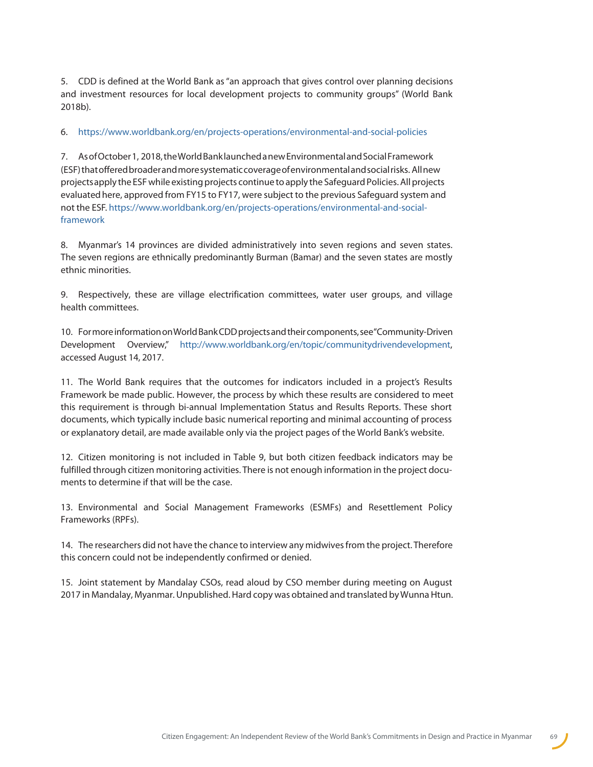<span id="page-68-0"></span>5. CDD is defined at the World Bank as "an approach that gives control over planning decisions and investment resources for local development projects to community groups" (World Bank 2018b).

#### <span id="page-68-1"></span>6. <https://www.worldbank.org/en/projects-operations/environmental-and-social-policies>

<span id="page-68-2"></span>7. As of October 1, 2018, the World Bank launched a new Environmental and Social Framework (ESF) that offered broader and more systematic coverage of environmental and social risks. All new projects apply the ESF while existing projects continue to apply the Safeguard Policies. All projects evaluated here, approved from FY15 to FY17, were subject to the previous Safeguard system and [not the ESF. https://www.worldbank.org/en/projects-operations/environmental-and-social](https://www.worldbank.org/en/projects-operations/environmental-and-social-framework)framework

<span id="page-68-3"></span>8. Myanmar's 14 provinces are divided administratively into seven regions and seven states. The seven regions are ethnically predominantly Burman (Bamar) and the seven states are mostly ethnic minorities.

<span id="page-68-4"></span>9. Respectively, these are village electrification committees, water user groups, and village health committees.

<span id="page-68-5"></span>10. For more information on World Bank CDD projects and their components, see "Community-Driven Development Overview," <http://www.worldbank.org/en/topic/communitydrivendevelopment>, accessed August 14, 2017.

<span id="page-68-6"></span>11. The World Bank requires that the outcomes for indicators included in a project's Results Framework be made public. However, the process by which these results are considered to meet this requirement is through bi-annual Implementation Status and Results Reports. These short documents, which typically include basic numerical reporting and minimal accounting of process or explanatory detail, are made available only via the project pages of the World Bank's website.

<span id="page-68-7"></span>12. Citizen monitoring is not included in Table 9, but both citizen feedback indicators may be fulfilled through citizen monitoring activities. There is not enough information in the project documents to determine if that will be the case.

<span id="page-68-8"></span>13. Environmental and Social Management Frameworks (ESMFs) and Resettlement Policy Frameworks (RPFs).

<span id="page-68-9"></span>14. The researchers did not have the chance to interview any midwives from the project. Therefore this concern could not be independently confirmed or denied.

<span id="page-68-10"></span>15. Joint statement by Mandalay CSOs, read aloud by CSO member during meeting on August 2017 in Mandalay, Myanmar. Unpublished. Hard copy was obtained and translated by Wunna Htun.